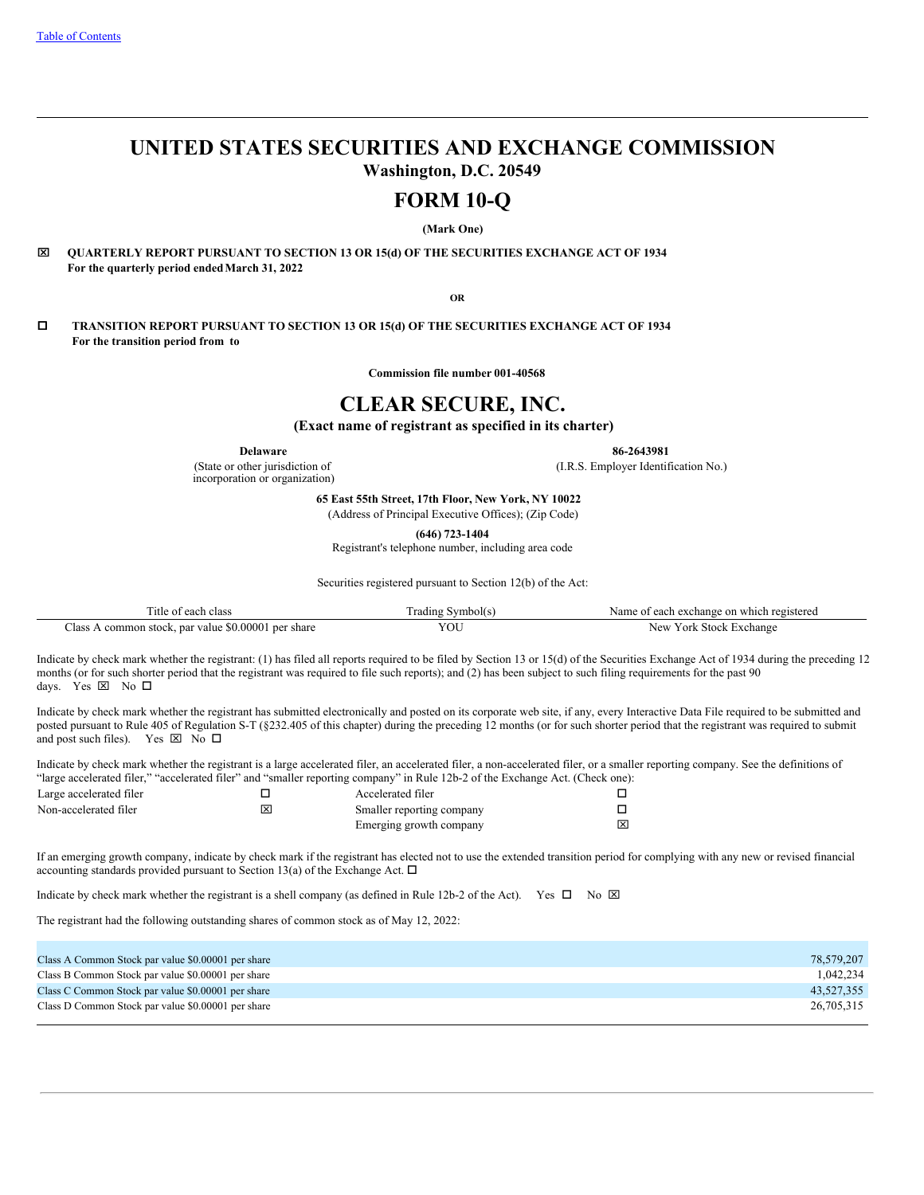# **UNITED STATES SECURITIES AND EXCHANGE COMMISSION Washington, D.C. 20549**

# **FORM 10-Q**

**(Mark One)**

x **QUARTERLY REPORT PURSUANT TO SECTION 13 OR 15(d) OF THE SECURITIES EXCHANGE ACT OF 1934 For the quarterly period endedMarch 31, 2022**

**OR**

o **TRANSITION REPORT PURSUANT TO SECTION 13 OR 15(d) OF THE SECURITIES EXCHANGE ACT OF 1934 For the transition period from to**

**Commission file number 001-40568**

# **CLEAR SECURE, INC.**

**(Exact name of registrant as specified in its charter)**

(State or other jurisdiction of incorporation or organization)

**Delaware 86-2643981**

(I.R.S. Employer Identification No.)

**65 East 55th Street, 17th Floor, New York, NY 10022** (Address of Principal Executive Offices); (Zip Code)

**(646) 723-1404**

Registrant's telephone number, including area code

Securities registered pursuant to Section 12(b) of the Act:

| . class<br><sub>1</sub> tle<br>e of each :                      | Symbol(s)<br>i rading | t each exchange on which registered<br>Name of |
|-----------------------------------------------------------------|-----------------------|------------------------------------------------|
| $\text{Class}$<br>A common stock, par value \$0,00001 per share | YOU                   | New<br>York<br>: Stock Exchange                |

Indicate by check mark whether the registrant: (1) has filed all reports required to be filed by Section 13 or 15(d) of the Securities Exchange Act of 1934 during the preceding 12 months (or for such shorter period that the registrant was required to file such reports); and (2) has been subject to such filing requirements for the past 90 days. Yes  $\boxtimes$  No  $\square$ 

Indicate by check mark whether the registrant has submitted electronically and posted on its corporate web site, if any, every Interactive Data File required to be submitted and posted pursuant to Rule 405 of Regulation S-T (§232.405 of this chapter) during the preceding 12 months (or for such shorter period that the registrant was required to submit and post such files). Yes  $\boxtimes$  No  $\square$ 

Indicate by check mark whether the registrant is a large accelerated filer, an accelerated filer, a non-accelerated filer, or a smaller reporting company. See the definitions of "large accelerated filer," "accelerated filer" and "smaller reporting company" in Rule 12b-2 of the Exchange Act. (Check one):

| Large accelerated filer |    | Accelerated filer         |  |
|-------------------------|----|---------------------------|--|
| Non-accelerated filer   | ∣× | Smaller reporting company |  |
|                         |    | Emerging growth company   |  |

If an emerging growth company, indicate by check mark if the registrant has elected not to use the extended transition period for complying with any new or revised financial accounting standards provided pursuant to Section 13(a) of the Exchange Act.  $\Box$ 

Indicate by check mark whether the registrant is a shell company (as defined in Rule 12b-2 of the Act). Yes  $\Box$  No  $\boxtimes$ 

The registrant had the following outstanding shares of common stock as of May 12, 2022:

<span id="page-0-0"></span>

| Class A Common Stock par value \$0,00001 per share | 78,579,207 |
|----------------------------------------------------|------------|
| Class B Common Stock par value \$0,00001 per share | 1.042.234  |
| Class C Common Stock par value \$0,00001 per share | 43.527.355 |
| Class D Common Stock par value \$0,00001 per share | 26,705,315 |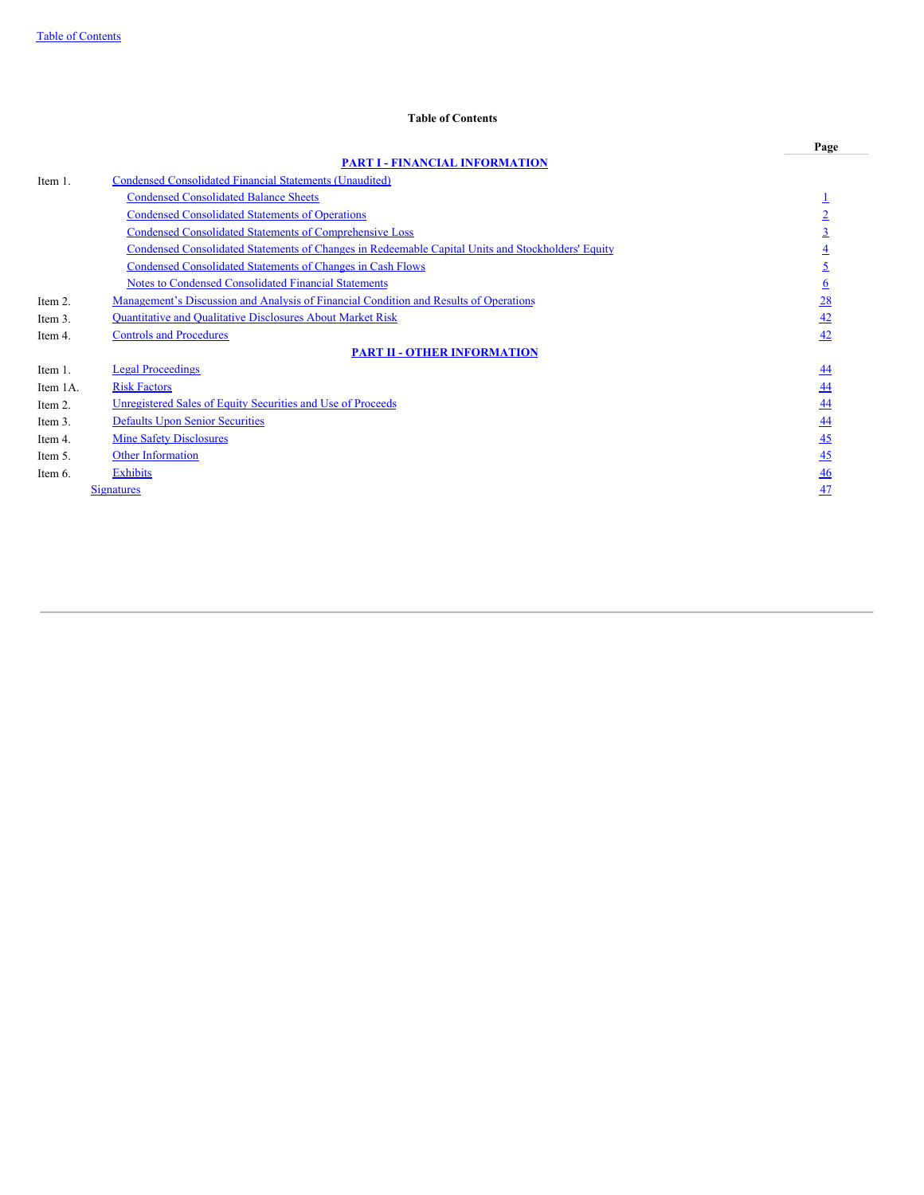# **Table of Contents**

<span id="page-1-2"></span><span id="page-1-1"></span><span id="page-1-0"></span>

|          |                                                                                                   | Page           |
|----------|---------------------------------------------------------------------------------------------------|----------------|
|          | <b>PART I - FINANCIAL INFORMATION</b>                                                             |                |
| Item 1.  | <b>Condensed Consolidated Financial Statements (Unaudited)</b>                                    |                |
|          | <b>Condensed Consolidated Balance Sheets</b>                                                      |                |
|          | <b>Condensed Consolidated Statements of Operations</b>                                            | $\overline{2}$ |
|          | <b>Condensed Consolidated Statements of Comprehensive Loss</b>                                    | <u>3</u>       |
|          | Condensed Consolidated Statements of Changes in Redeemable Capital Units and Stockholders' Equity | $\overline{4}$ |
|          | <b>Condensed Consolidated Statements of Changes in Cash Flows</b>                                 | <u>٤</u>       |
|          | <b>Notes to Condensed Consolidated Financial Statements</b>                                       | <u>6</u>       |
| Item 2.  | Management's Discussion and Analysis of Financial Condition and Results of Operations             | 28             |
| Item 3.  | <b>Quantitative and Qualitative Disclosures About Market Risk</b>                                 | 42             |
| Item 4.  | <b>Controls and Procedures</b>                                                                    | 42             |
|          | <b>PART II - OTHER INFORMATION</b>                                                                |                |
| Item 1   | <b>Legal Proceedings</b>                                                                          | 44             |
| Item 1A. | <b>Risk Factors</b>                                                                               | 44             |
| Item 2.  | Unregistered Sales of Equity Securities and Use of Proceeds                                       | 44             |
| Item 3   | <b>Defaults Upon Senior Securities</b>                                                            | 44             |
| Item 4.  | <b>Mine Safety Disclosures</b>                                                                    | 45             |
| Item 5.  | <b>Other Information</b>                                                                          | 45             |
| Item 6.  | <b>Exhibits</b>                                                                                   | $\frac{46}{5}$ |
|          | <b>Signatures</b>                                                                                 | 47             |
|          |                                                                                                   |                |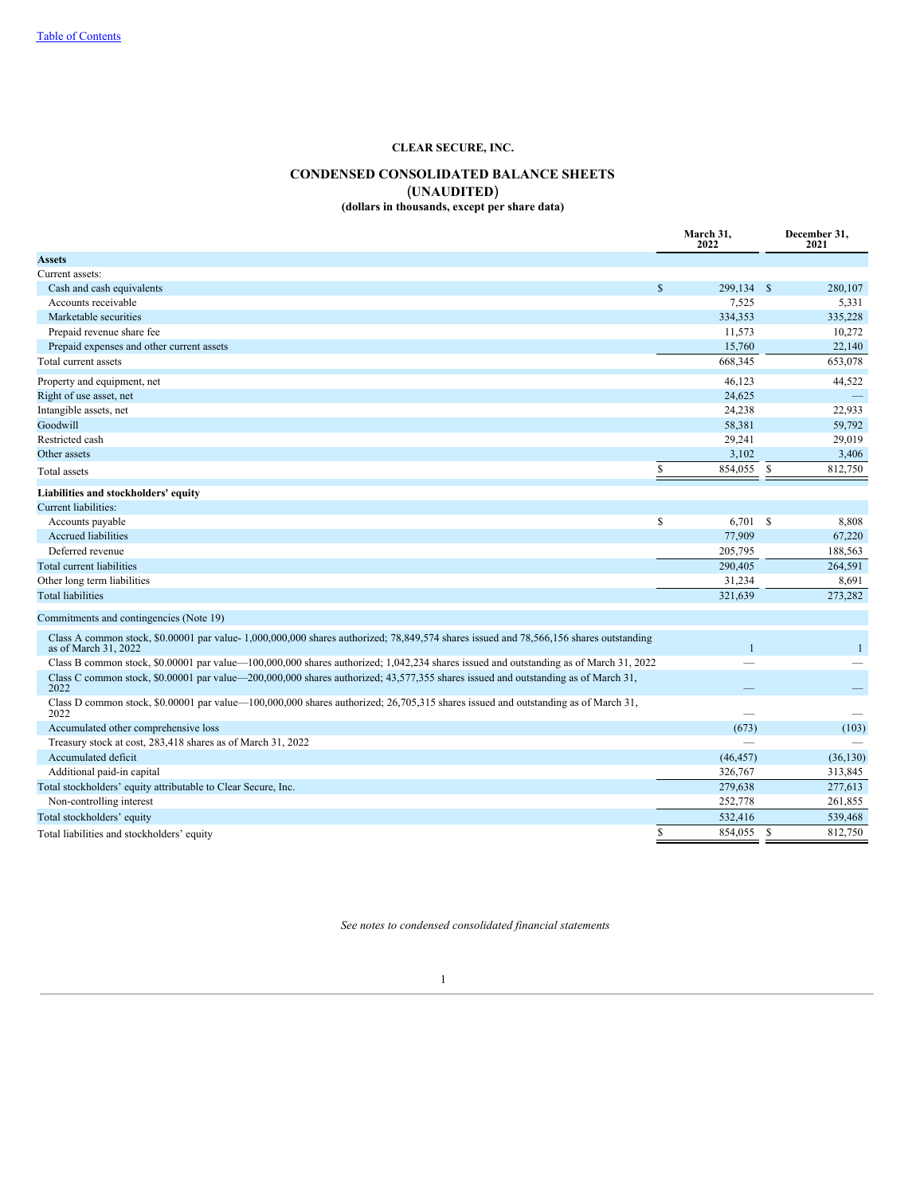# **CONDENSED CONSOLIDATED BALANCE SHEETS** (**UNAUDITED**)

**(dollars in thousands, except per share data)**

|                                                                                                                                                               | March 31,<br>2022          | December 31,<br>2021           |
|---------------------------------------------------------------------------------------------------------------------------------------------------------------|----------------------------|--------------------------------|
| <b>Assets</b>                                                                                                                                                 |                            |                                |
| Current assets:                                                                                                                                               |                            |                                |
| Cash and cash equivalents                                                                                                                                     | $\mathbb{S}$<br>299,134 \$ | 280,107                        |
| Accounts receivable                                                                                                                                           | 7,525                      | 5,331                          |
| Marketable securities                                                                                                                                         | 334,353                    | 335,228                        |
| Prepaid revenue share fee                                                                                                                                     | 11,573                     | 10,272                         |
| Prepaid expenses and other current assets                                                                                                                     | 15,760                     | 22,140                         |
| Total current assets                                                                                                                                          | 668,345                    | 653,078                        |
| Property and equipment, net                                                                                                                                   | 46,123                     | 44,522                         |
| Right of use asset, net                                                                                                                                       | 24,625                     | $\qquad \qquad \longleftarrow$ |
| Intangible assets, net                                                                                                                                        | 24,238                     | 22,933                         |
| Goodwill                                                                                                                                                      | 58,381                     | 59,792                         |
| Restricted cash                                                                                                                                               | 29,241                     | 29,019                         |
| Other assets                                                                                                                                                  | 3,102                      | 3,406                          |
| Total assets                                                                                                                                                  | $\mathbb S$<br>854,055 \$  | 812,750                        |
| Liabilities and stockholders' equity                                                                                                                          |                            |                                |
| Current liabilities:                                                                                                                                          |                            |                                |
| Accounts payable                                                                                                                                              | S<br>6,701 \$              | 8,808                          |
| <b>Accrued liabilities</b>                                                                                                                                    | 77,909                     | 67,220                         |
| Deferred revenue                                                                                                                                              | 205,795                    | 188,563                        |
| Total current liabilities                                                                                                                                     | 290,405                    | 264,591                        |
| Other long term liabilities                                                                                                                                   | 31,234                     | 8,691                          |
| <b>Total liabilities</b>                                                                                                                                      | 321,639                    | 273,282                        |
| Commitments and contingencies (Note 19)                                                                                                                       |                            |                                |
| Class A common stock, \$0.00001 par value-1,000,000,000 shares authorized; 78,849,574 shares issued and 78,566,156 shares outstanding<br>as of March 31, 2022 | $\mathbf{1}$               | $\mathbf{1}$                   |
| Class B common stock, \$0,00001 par value—100,000,000 shares authorized; 1,042,234 shares issued and outstanding as of March 31, 2022                         |                            |                                |
| Class C common stock, \$0.00001 par value—200,000,000 shares authorized; 43,577,355 shares issued and outstanding as of March 31,<br>2022                     |                            |                                |
| Class D common stock, \$0.00001 par value—100,000,000 shares authorized; 26,705,315 shares issued and outstanding as of March 31,<br>2022                     |                            |                                |
| Accumulated other comprehensive loss                                                                                                                          | (673)                      | (103)                          |
| Treasury stock at cost, 283,418 shares as of March 31, 2022                                                                                                   |                            |                                |
| Accumulated deficit                                                                                                                                           | (46, 457)                  | (36, 130)                      |
| Additional paid-in capital                                                                                                                                    | 326,767                    | 313,845                        |
| Total stockholders' equity attributable to Clear Secure, Inc.                                                                                                 | 279,638                    | 277,613                        |
| Non-controlling interest                                                                                                                                      | 252,778                    | 261,855                        |
| Total stockholders' equity                                                                                                                                    | 532,416                    | 539,468                        |
| Total liabilities and stockholders' equity                                                                                                                    | \$<br>854,055 \$           | 812,750                        |

<span id="page-2-0"></span>*See notes to condensed consolidated financial statements*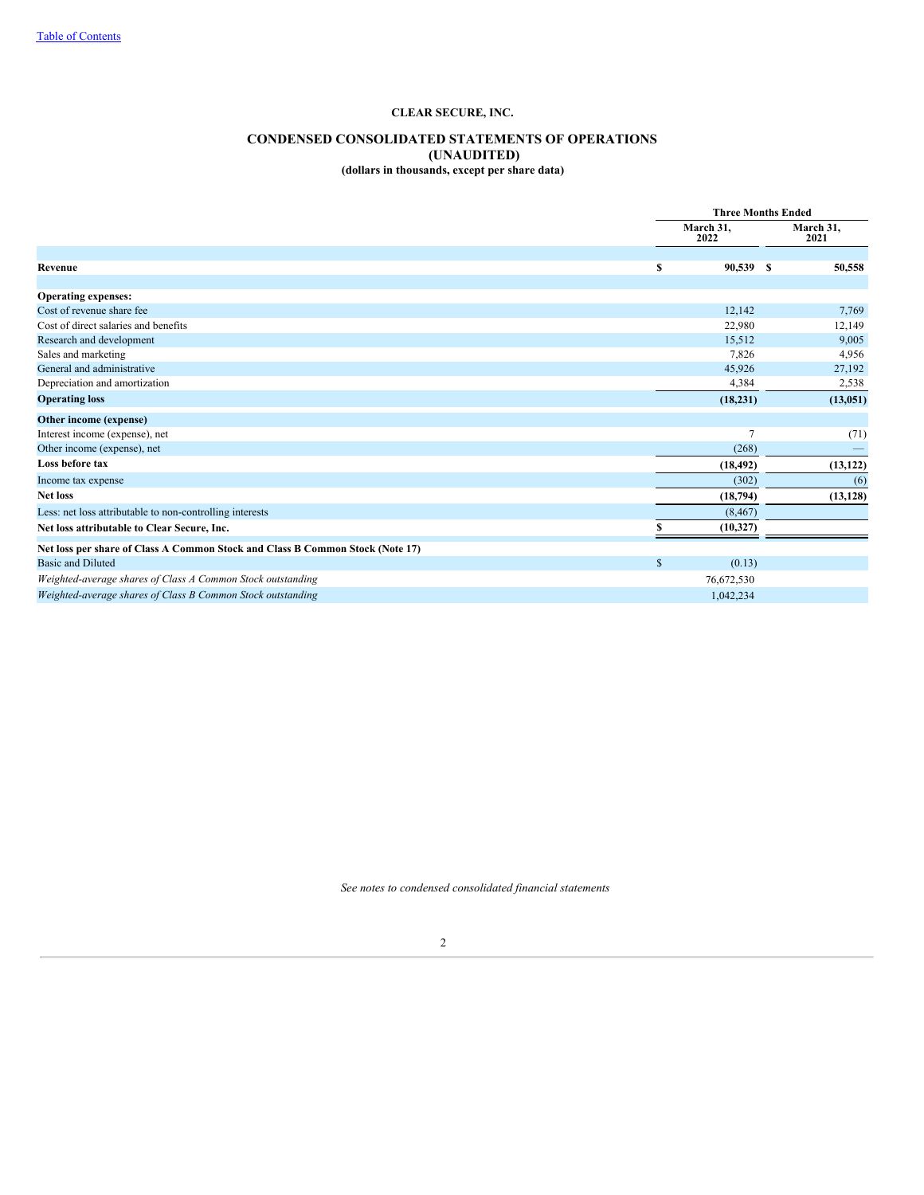# **CONDENSED CONSOLIDATED STATEMENTS OF OPERATIONS (UNAUDITED) (dollars in thousands, except per share data)**

|                                                                               |              | <b>Three Months Ended</b> |  |                   |  |
|-------------------------------------------------------------------------------|--------------|---------------------------|--|-------------------|--|
|                                                                               |              | March 31,<br>2022         |  | March 31,<br>2021 |  |
|                                                                               |              |                           |  |                   |  |
| Revenue                                                                       | S            | 90,539 \$                 |  | 50,558            |  |
|                                                                               |              |                           |  |                   |  |
| <b>Operating expenses:</b>                                                    |              |                           |  |                   |  |
| Cost of revenue share fee                                                     |              | 12,142                    |  | 7,769             |  |
| Cost of direct salaries and benefits                                          |              | 22,980                    |  | 12,149            |  |
| Research and development                                                      |              | 15,512                    |  | 9,005             |  |
| Sales and marketing                                                           |              | 7,826                     |  | 4,956             |  |
| General and administrative                                                    |              | 45,926                    |  | 27,192            |  |
| Depreciation and amortization                                                 |              | 4,384                     |  | 2,538             |  |
| <b>Operating loss</b>                                                         |              | (18, 231)                 |  | (13,051)          |  |
| Other income (expense)                                                        |              |                           |  |                   |  |
| Interest income (expense), net                                                |              |                           |  | (71)              |  |
| Other income (expense), net                                                   |              | (268)                     |  |                   |  |
| Loss before tax                                                               |              | (18, 492)                 |  | (13, 122)         |  |
| Income tax expense                                                            |              | (302)                     |  | (6)               |  |
| <b>Net loss</b>                                                               |              | (18, 794)                 |  | (13, 128)         |  |
| Less: net loss attributable to non-controlling interests                      |              | (8, 467)                  |  |                   |  |
| Net loss attributable to Clear Secure, Inc.                                   |              | (10, 327)                 |  |                   |  |
| Net loss per share of Class A Common Stock and Class B Common Stock (Note 17) |              |                           |  |                   |  |
| <b>Basic and Diluted</b>                                                      | $\mathbb{S}$ | (0.13)                    |  |                   |  |
| Weighted-average shares of Class A Common Stock outstanding                   |              | 76,672,530                |  |                   |  |
| Weighted-average shares of Class B Common Stock outstanding                   |              | 1,042,234                 |  |                   |  |

<span id="page-3-0"></span>*See notes to condensed consolidated financial statements*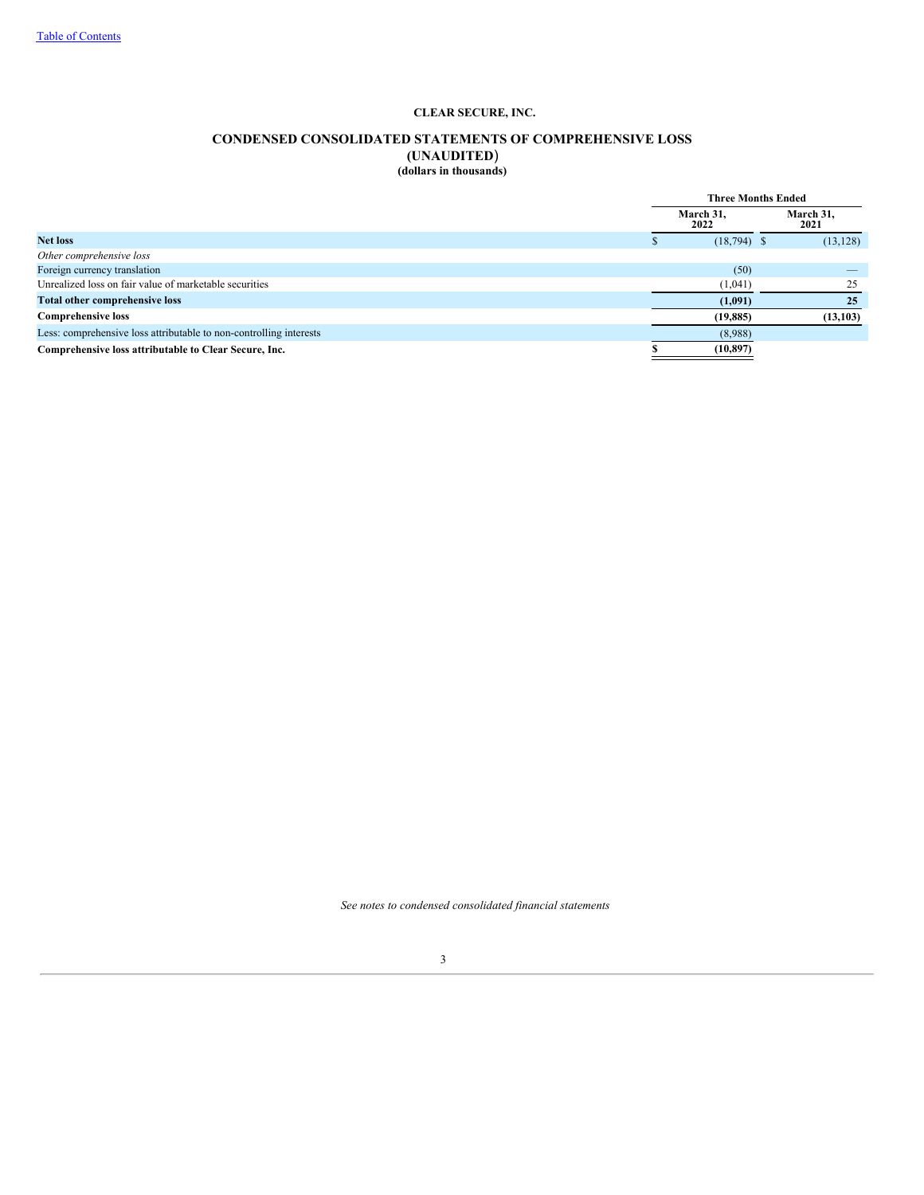# **CONDENSED CONSOLIDATED STATEMENTS OF COMPREHENSIVE LOSS (UNAUDITED**) **(dollars in thousands)**

|                                                                    | <b>Three Months Ended</b> |  |                   |  |
|--------------------------------------------------------------------|---------------------------|--|-------------------|--|
|                                                                    | March 31,<br>2022         |  | March 31,<br>2021 |  |
| <b>Net loss</b>                                                    | $(18,794)$ \$             |  | (13, 128)         |  |
| Other comprehensive loss                                           |                           |  |                   |  |
| Foreign currency translation                                       | (50)                      |  |                   |  |
| Unrealized loss on fair value of marketable securities             | (1,041)                   |  | 25                |  |
| <b>Total other comprehensive loss</b>                              | (1,091)                   |  | 25                |  |
| <b>Comprehensive loss</b>                                          | (19, 885)                 |  | (13, 103)         |  |
| Less: comprehensive loss attributable to non-controlling interests | (8,988)                   |  |                   |  |
| Comprehensive loss attributable to Clear Secure, Inc.              | (10, 897)                 |  |                   |  |

<span id="page-4-0"></span>*See notes to condensed consolidated financial statements*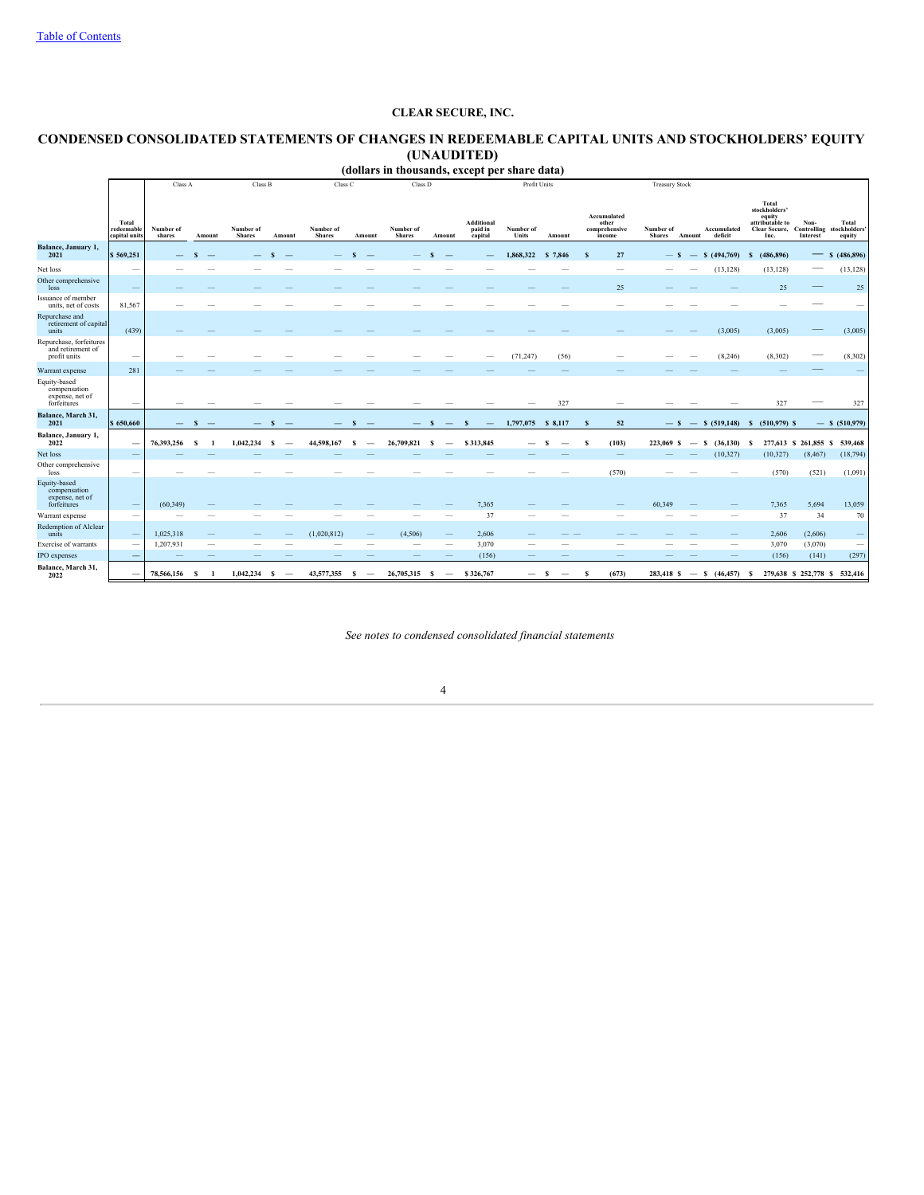# **CONDENSED CONSOLIDATED STATEMENTS OF CHANGES IN REDEEMABLE CAPITAL UNITS AND STOCKHOLDERS' EQUITY (UNAUDITED)**

|                                                                |                                      |                     |                          |                            |         |                            |                                       | (dollars in thousands, except per share data) |                                        |                                         |                          |                               |                                                 |                            |                                 |                        |                                                                                     |                                 |                                  |
|----------------------------------------------------------------|--------------------------------------|---------------------|--------------------------|----------------------------|---------|----------------------------|---------------------------------------|-----------------------------------------------|----------------------------------------|-----------------------------------------|--------------------------|-------------------------------|-------------------------------------------------|----------------------------|---------------------------------|------------------------|-------------------------------------------------------------------------------------|---------------------------------|----------------------------------|
|                                                                |                                      | Class A             |                          | Class B                    |         | Class C                    |                                       | Class D                                       |                                        |                                         | Profit Units             |                               |                                                 | <b>Treasury Stock</b>      |                                 |                        |                                                                                     |                                 |                                  |
|                                                                | Total<br>redeemable<br>capital units | Number of<br>shares | Amount                   | Number of<br><b>Shares</b> | Amount  | Number of<br><b>Shares</b> | Amount                                | Number of<br><b>Shares</b>                    | Amount                                 | <b>Additional</b><br>paid in<br>capital | Number of<br>Units       | Amount                        | Accumulated<br>other<br>comprehensive<br>income | Number of<br><b>Shares</b> | Amount                          | Accumulated<br>deficit | <b>Total</b><br>stockholders'<br>equity<br>attributable to<br>Clear Secure,<br>Inc. | Non-<br>Controlling<br>Interest | Total<br>stockholders'<br>equity |
| Balance, January 1,<br>2021                                    | \$569,251                            |                     |                          |                            |         |                            |                                       |                                               |                                        |                                         | 1,868,322 \$ 7,846       |                               | 27                                              | $-$ s                      | $\hspace{0.1mm}-\hspace{0.1mm}$ | \$(494,769)            | (486, 896)<br><sub>S</sub>                                                          |                                 | $-$ \$ (486,896)                 |
| Net loss                                                       | $\overline{\phantom{a}}$             |                     |                          |                            |         |                            |                                       |                                               |                                        |                                         |                          |                               |                                                 |                            |                                 | (13, 128)              | (13, 128)                                                                           |                                 | (13, 128)                        |
| Other comprehensive<br>loss                                    | $\overline{\phantom{a}}$             |                     |                          |                            |         |                            |                                       |                                               |                                        |                                         |                          |                               | 25                                              |                            |                                 |                        | 25                                                                                  |                                 | 25                               |
| Issuance of member<br>units, net of costs                      | 81,567                               |                     |                          |                            |         |                            |                                       |                                               |                                        |                                         |                          |                               |                                                 |                            |                                 |                        |                                                                                     |                                 |                                  |
| Repurchase and<br>retirement of capital<br>units               | (439)                                |                     |                          |                            |         |                            |                                       |                                               |                                        |                                         |                          |                               |                                                 |                            |                                 | (3,005)                | (3,005)                                                                             |                                 | (3,005)                          |
| Repurchase, forfeitures<br>and retirement of<br>profit units   | -                                    |                     |                          |                            |         |                            |                                       |                                               |                                        |                                         | (71, 247)                | (56)                          |                                                 |                            |                                 | (8, 246)               | (8, 302)                                                                            |                                 | (8,302)                          |
| Warrant expense                                                | 281                                  |                     |                          |                            |         |                            |                                       |                                               |                                        |                                         |                          |                               |                                                 |                            |                                 |                        |                                                                                     |                                 |                                  |
| Equity-based<br>compensation<br>expense, net of<br>forfeitures |                                      |                     |                          |                            |         |                            |                                       |                                               |                                        |                                         |                          | 327                           |                                                 |                            |                                 |                        | 327                                                                                 |                                 | 327                              |
| Balance, March 31,<br>2021                                     | \$650,660                            |                     | -S                       |                            | -5      |                            |                                       |                                               | S                                      | <sup>S</sup><br>-                       | 1,797,075                | \$8,117                       | 52<br>-8                                        | $-$ s                      |                                 | $-$ \$ (519,148)       | $(510, 979)$ \$<br><sub>S</sub>                                                     |                                 | $-$ \$ (510,979)                 |
| Balance, January 1,<br>2022                                    | -                                    | 76,393,256          | -9                       | 1.042.234                  | -S<br>- | 44,598,167                 | S<br>-                                | 26,709,821                                    | - S<br>$\hspace{0.1mm}-\hspace{0.1mm}$ | \$313,845                               |                          | э                             | (103)                                           | 223,069                    | s                               | (36, 130)              | s                                                                                   | 277,613 \$ 261,855 \$           | 539,468                          |
| Net loss                                                       |                                      |                     |                          |                            |         |                            |                                       |                                               |                                        |                                         |                          |                               |                                                 |                            |                                 | (10, 327)              | (10, 327)                                                                           | (8, 467)                        | (18, 794)                        |
| Other comprehensive<br>loss                                    | $\overline{\phantom{a}}$             |                     |                          |                            |         |                            |                                       |                                               |                                        |                                         |                          |                               | (570)                                           |                            |                                 |                        | (570)                                                                               | (521)                           | (1,091)                          |
| Equity-based<br>compensation<br>expense, net of<br>forfeitures | -                                    | (60, 349)           |                          |                            |         |                            |                                       |                                               |                                        | 7,365                                   |                          |                               |                                                 | 60.349                     |                                 |                        | 7,365                                                                               | 5,694                           | 13,059                           |
| Warrant expense                                                | $\overline{\phantom{a}}$             | $\sim$              |                          |                            |         |                            |                                       |                                               |                                        | 37                                      | -                        |                               |                                                 |                            |                                 |                        | 37                                                                                  | 34                              | 70                               |
| Redemption of Alclear<br>units                                 | -                                    | 1,025,318           |                          |                            |         | (1.020.812)                | $\overline{\phantom{a}}$              | (4,506)                                       | -                                      | 2,606                                   |                          |                               |                                                 |                            |                                 |                        | 2,606                                                                               | (2,606)                         | $\overline{\phantom{a}}$         |
| Exercise of warrants                                           | $\overline{\phantom{a}}$             | 1,207,931           | $\overline{\phantom{a}}$ |                            |         | $\overline{\phantom{a}}$   |                                       | -                                             | -                                      | 3,070                                   | $\overline{\phantom{a}}$ |                               |                                                 |                            |                                 | -                      | 3,070                                                                               | (3,070)                         | -                                |
| IPO expenses                                                   | -                                    |                     |                          |                            |         |                            |                                       |                                               |                                        | (156)                                   |                          |                               |                                                 |                            |                                 |                        | (156)                                                                               | (141)                           | (297)                            |
| Balance, March 31,<br>2022                                     | -                                    | 78,566,156          | -S<br>-1                 | 1,042,234                  | -S      | 43,577,355                 | -S<br>$\hspace{0.1mm}-\hspace{0.1mm}$ | 26,705,315                                    | - S<br>$\overline{\phantom{a}}$        | \$326,767                               | -                        | S<br>$\overline{\phantom{a}}$ | (673)<br>-S                                     | 283,418 \$                 |                                 | $-$ \$ (46,457)        | <b>S</b>                                                                            |                                 | 279,638 \$ 252,778 \$ 532,416    |

<span id="page-5-0"></span>*See notes to condensed consolidated financial statements*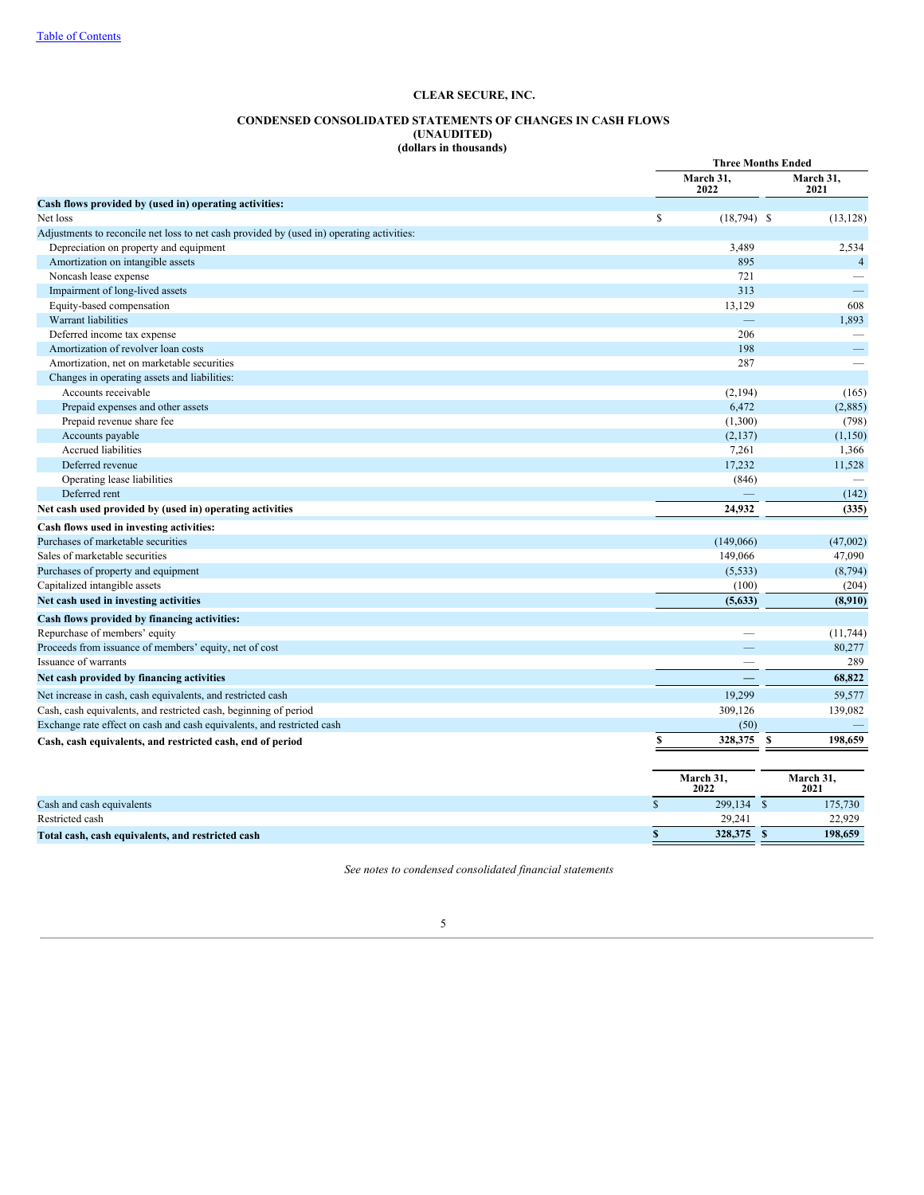#### **CONDENSED CONSOLIDATED STATEMENTS OF CHANGES IN CASH FLOWS (UNAUDITED) (dollars in thousands)**

|                                                                                           |                                | <b>Three Months Ended</b>   |
|-------------------------------------------------------------------------------------------|--------------------------------|-----------------------------|
|                                                                                           | March 31,<br>2022              | March 31,<br>2021           |
| Cash flows provided by (used in) operating activities:                                    |                                |                             |
| Net loss                                                                                  | $\mathbb{S}$<br>$(18, 794)$ \$ | (13, 128)                   |
| Adjustments to reconcile net loss to net cash provided by (used in) operating activities: |                                |                             |
| Depreciation on property and equipment                                                    | 3,489                          | 2,534                       |
| Amortization on intangible assets                                                         | 895                            | $\overline{4}$              |
| Noncash lease expense                                                                     | 721                            |                             |
| Impairment of long-lived assets                                                           | 313                            | $\overline{\phantom{m}}$    |
| Equity-based compensation                                                                 | 13,129                         | 608                         |
| Warrant liabilities                                                                       |                                | 1,893                       |
| Deferred income tax expense                                                               | 206                            |                             |
| Amortization of revolver loan costs                                                       | 198                            |                             |
| Amortization, net on marketable securities                                                | 287                            |                             |
| Changes in operating assets and liabilities:                                              |                                |                             |
| Accounts receivable                                                                       | (2, 194)                       | (165)                       |
| Prepaid expenses and other assets                                                         | 6,472                          | (2,885)                     |
| Prepaid revenue share fee                                                                 | (1,300)                        | (798)                       |
| Accounts payable                                                                          | (2,137)                        | (1,150)                     |
| <b>Accrued</b> liabilities                                                                | 7,261                          | 1,366                       |
| Deferred revenue                                                                          | 17,232                         | 11,528                      |
| Operating lease liabilities                                                               | (846)                          |                             |
| Deferred rent                                                                             |                                | (142)                       |
| Net cash used provided by (used in) operating activities                                  | 24,932                         | (335)                       |
| Cash flows used in investing activities:                                                  |                                |                             |
| Purchases of marketable securities                                                        | (149,066)                      | (47,002)                    |
| Sales of marketable securities                                                            | 149,066                        | 47,090                      |
| Purchases of property and equipment                                                       | (5,533)                        | (8, 794)                    |
| Capitalized intangible assets                                                             | (100)                          | (204)                       |
| Net cash used in investing activities                                                     | (5,633)                        | (8,910)                     |
| Cash flows provided by financing activities:                                              |                                |                             |
| Repurchase of members' equity                                                             |                                | (11,744)                    |
| Proceeds from issuance of members' equity, net of cost                                    |                                | 80,277                      |
| Issuance of warrants                                                                      |                                | 289                         |
| Net cash provided by financing activities                                                 |                                | 68,822                      |
| Net increase in cash, cash equivalents, and restricted cash                               | 19,299                         | 59,577                      |
| Cash, cash equivalents, and restricted cash, beginning of period                          | 309,126                        | 139,082                     |
| Exchange rate effect on cash and cash equivalents, and restricted cash                    | (50)                           |                             |
| Cash, cash equivalents, and restricted cash, end of period                                | 328,375<br>\$                  | 198,659<br>$\boldsymbol{s}$ |
|                                                                                           |                                |                             |

<span id="page-6-0"></span>

|                                                   | March 31,<br>2022 | March 31,<br>2021 |
|---------------------------------------------------|-------------------|-------------------|
| Cash and cash equivalents                         | 299.134           | 175,730           |
| Restricted cash                                   | 29.241            | 22,929            |
| Total cash, cash equivalents, and restricted cash | 328, 375          | 198,659           |

*See notes to condensed consolidated financial statements*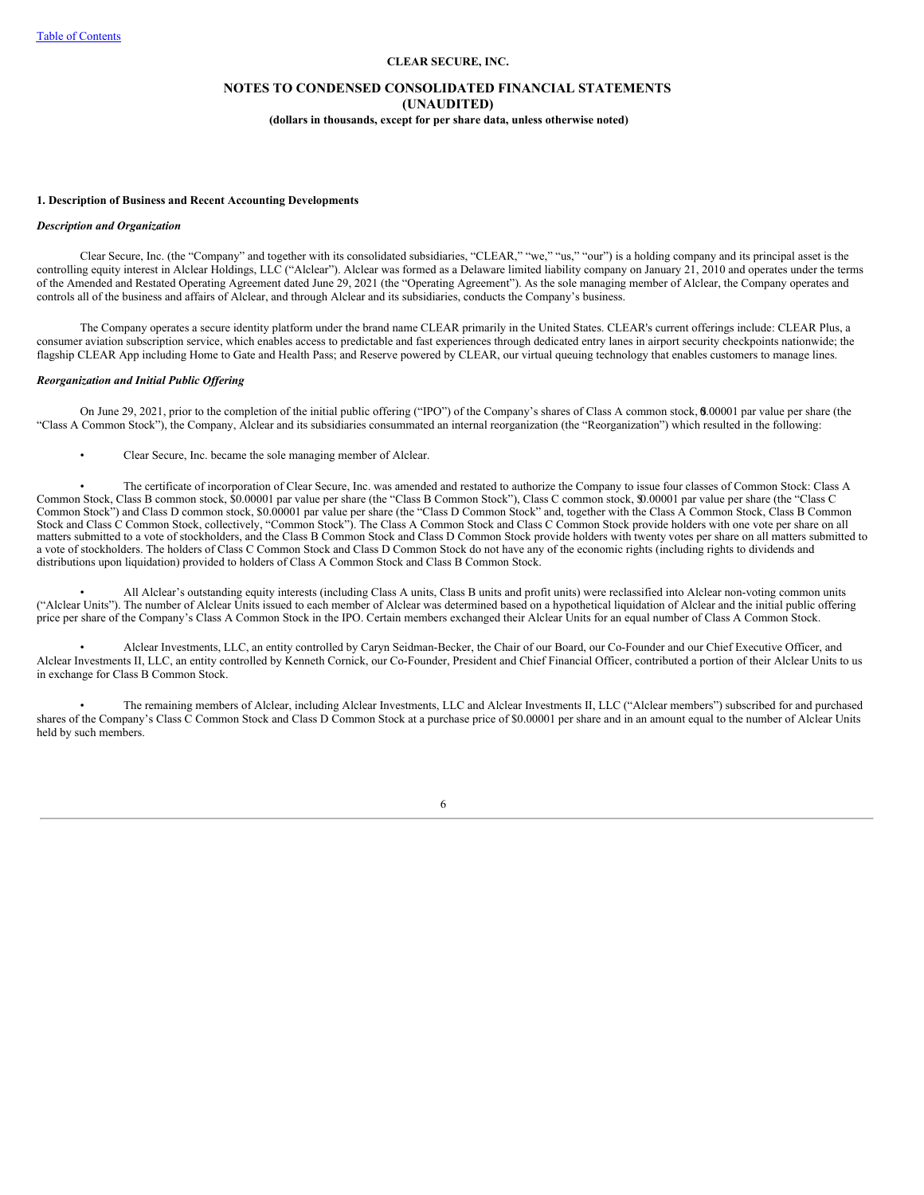# **NOTES TO CONDENSED CONSOLIDATED FINANCIAL STATEMENTS (UNAUDITED) (dollars in thousands, except for per share data, unless otherwise noted)**

## **1. Description of Business and Recent Accounting Developments**

#### *Description and Organization*

Clear Secure, Inc. (the "Company" and together with its consolidated subsidiaries, "CLEAR," "we," "us," "our") is a holding company and its principal asset is the controlling equity interest in Alclear Holdings, LLC ("Alclear"). Alclear was formed as a Delaware limited liability company on January 21, 2010 and operates under the terms of the Amended and Restated Operating Agreement dated June 29, 2021 (the "Operating Agreement"). As the sole managing member of Alclear, the Company operates and controls all of the business and affairs of Alclear, and through Alclear and its subsidiaries, conducts the Company's business.

The Company operates a secure identity platform under the brand name CLEAR primarily in the United States. CLEAR's current offerings include: CLEAR Plus, a consumer aviation subscription service, which enables access to predictable and fast experiences through dedicated entry lanes in airport security checkpoints nationwide; the flagship CLEAR App including Home to Gate and Health Pass; and Reserve powered by CLEAR, our virtual queuing technology that enables customers to manage lines.

#### *Reorganization and Initial Public Of ering*

On June 29, 2021, prior to the completion of the initial public offering ("IPO") of the Company's shares of Class A common stock, 0.00001 par value per share (the "Class A Common Stock"), the Company, Alclear and its subsidiaries consummated an internal reorganization (the "Reorganization") which resulted in the following:

• Clear Secure, Inc. became the sole managing member of Alclear.

• The certificate of incorporation of Clear Secure, Inc. was amended and restated to authorize the Company to issue four classes of Common Stock: Class A Common Stock, Class B common stock, \$0.00001 par value per share (the "Class B Common Stock"), Class C common stock, \$0.00001 par value per share (the "Class C Common Stock") and Class D common stock, \$0.00001 par value per share (the "Class D Common Stock" and, together with the Class A Common Stock, Class B Common Stock and Class C Common Stock, collectively, "Common Stock"). The Class A Common Stock and Class C Common Stock provide holders with one vote per share on all matters submitted to a vote of stockholders, and the Class B Common Stock and Class D Common Stock provide holders with twenty votes per share on all matters submitted to a vote of stockholders. The holders of Class C Common Stock and Class D Common Stock do not have any of the economic rights (including rights to dividends and distributions upon liquidation) provided to holders of Class A Common Stock and Class B Common Stock.

• All Alclear's outstanding equity interests (including Class A units, Class B units and profit units) were reclassified into Alclear non-voting common units ("Alclear Units"). The number of Alclear Units issued to each member of Alclear was determined based on a hypothetical liquidation of Alclear and the initial public offering price per share of the Company's Class A Common Stock in the IPO. Certain members exchanged their Alclear Units for an equal number of Class A Common Stock.

• Alclear Investments, LLC, an entity controlled by Caryn Seidman-Becker, the Chair of our Board, our Co-Founder and our Chief Executive Officer, and Alclear Investments II, LLC, an entity controlled by Kenneth Cornick, our Co-Founder, President and Chief Financial Officer, contributed a portion of their Alclear Units to us in exchange for Class B Common Stock.

• The remaining members of Alclear, including Alclear Investments, LLC and Alclear Investments II, LLC ("Alclear members") subscribed for and purchased shares of the Company's Class C Common Stock and Class D Common Stock at a purchase price of \$0.00001 per share and in an amount equal to the number of Alclear Units held by such members.

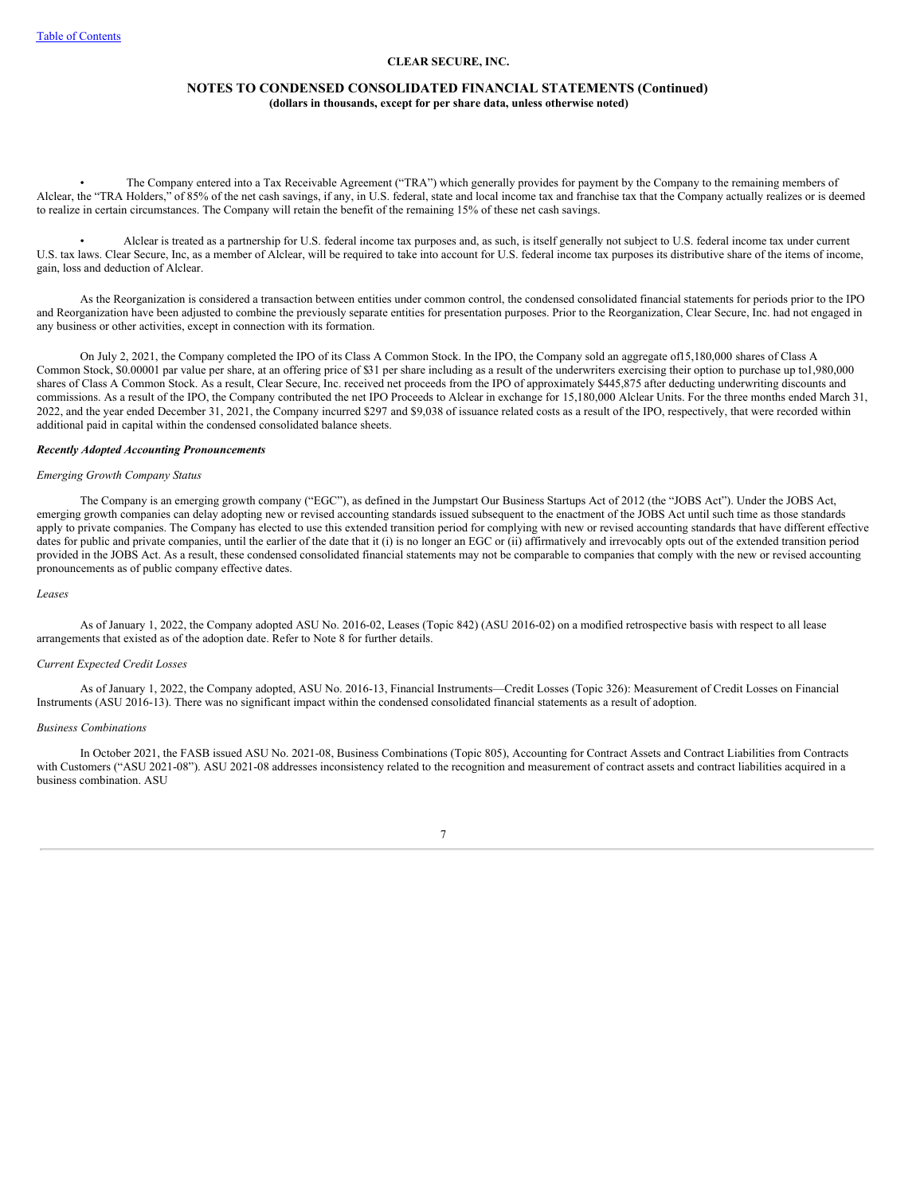## **NOTES TO CONDENSED CONSOLIDATED FINANCIAL STATEMENTS (Continued) (dollars in thousands, except for per share data, unless otherwise noted)**

• The Company entered into a Tax Receivable Agreement ("TRA") which generally provides for payment by the Company to the remaining members of Alclear, the "TRA Holders," of 85% of the net cash savings, if any, in U.S. federal, state and local income tax and franchise tax that the Company actually realizes or is deemed to realize in certain circumstances. The Company will retain the benefit of the remaining 15% of these net cash savings.

• Alclear is treated as a partnership for U.S. federal income tax purposes and, as such, is itself generally not subject to U.S. federal income tax under current U.S. tax laws. Clear Secure, Inc, as a member of Alclear, will be required to take into account for U.S. federal income tax purposes its distributive share of the items of income, gain, loss and deduction of Alclear.

As the Reorganization is considered a transaction between entities under common control, the condensed consolidated financial statements for periods prior to the IPO and Reorganization have been adjusted to combine the previously separate entities for presentation purposes. Prior to the Reorganization, Clear Secure, Inc. had not engaged in any business or other activities, except in connection with its formation.

On July 2, 2021, the Company completed the IPO of its Class A Common Stock. In the IPO, the Company sold an aggregate of15,180,000 shares of Class A Common Stock, \$0.00001 par value per share, at an offering price of \$31 per share including as a result of the underwriters exercising their option to purchase up to1,980,000 shares of Class A Common Stock. As a result, Clear Secure, Inc. received net proceeds from the IPO of approximately \$445,875 after deducting underwriting discounts and commissions. As a result of the IPO, the Company contributed the net IPO Proceeds to Alclear in exchange for 15,180,000 Alclear Units. For the three months ended March 31, 2022, and the year ended December 31, 2021, the Company incurred \$297 and \$9,038 of issuance related costs as a result of the IPO, respectively, that were recorded within additional paid in capital within the condensed consolidated balance sheets.

# *Recently Adopted Accounting Pronouncements*

#### *Emerging Growth Company Status*

The Company is an emerging growth company ("EGC"), as defined in the Jumpstart Our Business Startups Act of 2012 (the "JOBS Act"). Under the JOBS Act, emerging growth companies can delay adopting new or revised accounting standards issued subsequent to the enactment of the JOBS Act until such time as those standards apply to private companies. The Company has elected to use this extended transition period for complying with new or revised accounting standards that have different effective dates for public and private companies, until the earlier of the date that it (i) is no longer an EGC or (ii) affirmatively and irrevocably opts out of the extended transition period provided in the JOBS Act. As a result, these condensed consolidated financial statements may not be comparable to companies that comply with the new or revised accounting pronouncements as of public company effective dates.

*Leases*

As of January 1, 2022, the Company adopted ASU No. 2016-02, Leases (Topic 842) (ASU 2016-02) on a modified retrospective basis with respect to all lease arrangements that existed as of the adoption date. Refer to Note 8 for further details.

#### *Current Expected Credit Losses*

As of January 1, 2022, the Company adopted, ASU No. 2016-13, Financial Instruments—Credit Losses (Topic 326): Measurement of Credit Losses on Financial Instruments (ASU 2016-13). There was no significant impact within the condensed consolidated financial statements as a result of adoption.

#### *Business Combinations*

In October 2021, the FASB issued ASU No. 2021-08, Business Combinations (Topic 805), Accounting for Contract Assets and Contract Liabilities from Contracts with Customers ("ASU 2021-08"). ASU 2021-08 addresses inconsistency related to the recognition and measurement of contract assets and contract liabilities acquired in a business combination. ASU

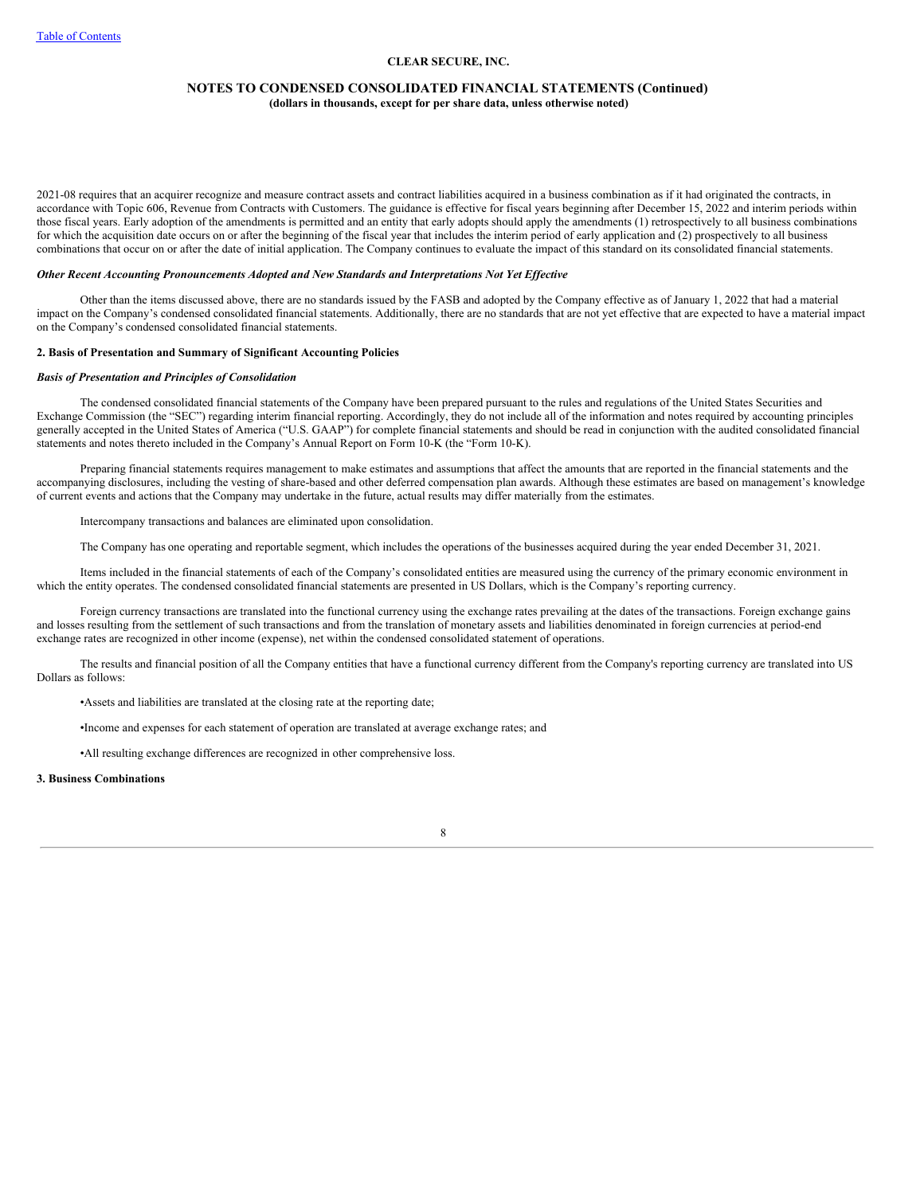## **NOTES TO CONDENSED CONSOLIDATED FINANCIAL STATEMENTS (Continued) (dollars in thousands, except for per share data, unless otherwise noted)**

2021-08 requires that an acquirer recognize and measure contract assets and contract liabilities acquired in a business combination as if it had originated the contracts, in accordance with Topic 606, Revenue from Contracts with Customers. The guidance is effective for fiscal years beginning after December 15, 2022 and interim periods within those fiscal years. Early adoption of the amendments is permitted and an entity that early adopts should apply the amendments (1) retrospectively to all business combinations for which the acquisition date occurs on or after the beginning of the fiscal year that includes the interim period of early application and (2) prospectively to all business combinations that occur on or after the date of initial application. The Company continues to evaluate the impact of this standard on its consolidated financial statements.

## *Other Recent Accounting Pronouncements Adopted and New Standards and Interpretations Not Yet Ef ective*

Other than the items discussed above, there are no standards issued by the FASB and adopted by the Company effective as of January 1, 2022 that had a material impact on the Company's condensed consolidated financial statements. Additionally, there are no standards that are not yet effective that are expected to have a material impact on the Company's condensed consolidated financial statements.

#### **2. Basis of Presentation and Summary of Significant Accounting Policies**

#### *Basis of Presentation and Principles of Consolidation*

The condensed consolidated financial statements of the Company have been prepared pursuant to the rules and regulations of the United States Securities and Exchange Commission (the "SEC") regarding interim financial reporting. Accordingly, they do not include all of the information and notes required by accounting principles generally accepted in the United States of America ("U.S. GAAP") for complete financial statements and should be read in conjunction with the audited consolidated financial statements and notes thereto included in the Company's Annual Report on Form 10-K (the "Form 10-K).

Preparing financial statements requires management to make estimates and assumptions that affect the amounts that are reported in the financial statements and the accompanying disclosures, including the vesting of share-based and other deferred compensation plan awards. Although these estimates are based on management's knowledge of current events and actions that the Company may undertake in the future, actual results may differ materially from the estimates.

Intercompany transactions and balances are eliminated upon consolidation.

The Company has one operating and reportable segment, which includes the operations of the businesses acquired during the year ended December 31, 2021.

Items included in the financial statements of each of the Company's consolidated entities are measured using the currency of the primary economic environment in which the entity operates. The condensed consolidated financial statements are presented in US Dollars, which is the Company's reporting currency.

Foreign currency transactions are translated into the functional currency using the exchange rates prevailing at the dates of the transactions. Foreign exchange gains and losses resulting from the settlement of such transactions and from the translation of monetary assets and liabilities denominated in foreign currencies at period-end exchange rates are recognized in other income (expense), net within the condensed consolidated statement of operations.

The results and financial position of all the Company entities that have a functional currency different from the Company's reporting currency are translated into US Dollars as follows:

8

•Assets and liabilities are translated at the closing rate at the reporting date;

•Income and expenses for each statement of operation are translated at average exchange rates; and

•All resulting exchange differences are recognized in other comprehensive loss.

# **3. Business Combinations**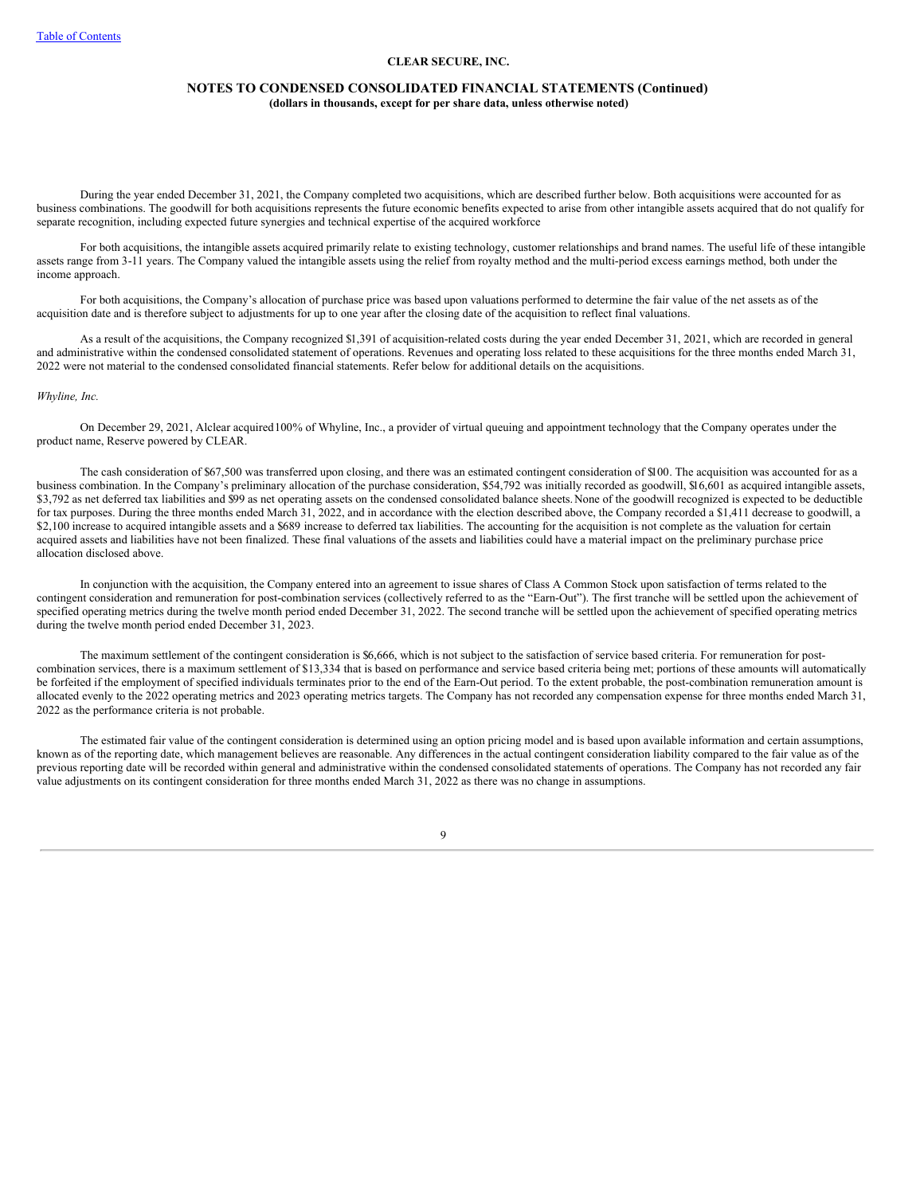# **NOTES TO CONDENSED CONSOLIDATED FINANCIAL STATEMENTS (Continued) (dollars in thousands, except for per share data, unless otherwise noted)**

During the year ended December 31, 2021, the Company completed two acquisitions, which are described further below. Both acquisitions were accounted for as business combinations. The goodwill for both acquisitions represents the future economic benefits expected to arise from other intangible assets acquired that do not qualify for separate recognition, including expected future synergies and technical expertise of the acquired workforce

For both acquisitions, the intangible assets acquired primarily relate to existing technology, customer relationships and brand names. The useful life of these intangible assets range from 3-11 years. The Company valued the intangible assets using the relief from royalty method and the multi-period excess earnings method, both under the income approach.

For both acquisitions, the Company's allocation of purchase price was based upon valuations performed to determine the fair value of the net assets as of the acquisition date and is therefore subject to adjustments for up to one year after the closing date of the acquisition to reflect final valuations.

As a result of the acquisitions, the Company recognized \$1,391 of acquisition-related costs during the year ended December 31, 2021, which are recorded in general and administrative within the condensed consolidated statement of operations. Revenues and operating loss related to these acquisitions for the three months ended March 31, 2022 were not material to the condensed consolidated financial statements. Refer below for additional details on the acquisitions.

## *Whyline, Inc.*

On December 29, 2021, Alclear acquired100% of Whyline, Inc., a provider of virtual queuing and appointment technology that the Company operates under the product name, Reserve powered by CLEAR.

The cash consideration of \$67,500 was transferred upon closing, and there was an estimated contingent consideration of \$100. The acquisition was accounted for as a business combination. In the Company's preliminary allocation of the purchase consideration, \$54,792 was initially recorded as goodwill, \$16,601 as acquired intangible assets, \$3,792 as net deferred tax liabilities and \$99 as net operating assets on the condensed consolidated balance sheets. None of the goodwill recognized is expected to be deductible for tax purposes. During the three months ended March 31, 2022, and in accordance with the election described above, the Company recorded a \$1,411 decrease to goodwill, a \$2,100 increase to acquired intangible assets and a \$689 increase to deferred tax liabilities. The accounting for the acquisition is not complete as the valuation for certain acquired assets and liabilities have not been finalized. These final valuations of the assets and liabilities could have a material impact on the preliminary purchase price allocation disclosed above.

In conjunction with the acquisition, the Company entered into an agreement to issue shares of Class A Common Stock upon satisfaction of terms related to the contingent consideration and remuneration for post-combination services (collectively referred to as the "Earn-Out"). The first tranche will be settled upon the achievement of specified operating metrics during the twelve month period ended December 31, 2022. The second tranche will be settled upon the achievement of specified operating metrics during the twelve month period ended December 31, 2023.

The maximum settlement of the contingent consideration is \$6,666, which is not subject to the satisfaction of service based criteria. For remuneration for postcombination services, there is a maximum settlement of \$13,334 that is based on performance and service based criteria being met; portions of these amounts will automatically be forfeited if the employment of specified individuals terminates prior to the end of the Earn-Out period. To the extent probable, the post-combination remuneration amount is allocated evenly to the 2022 operating metrics and 2023 operating metrics targets. The Company has not recorded any compensation expense for three months ended March 31, 2022 as the performance criteria is not probable.

The estimated fair value of the contingent consideration is determined using an option pricing model and is based upon available information and certain assumptions, known as of the reporting date, which management believes are reasonable. Any differences in the actual contingent consideration liability compared to the fair value as of the previous reporting date will be recorded within general and administrative within the condensed consolidated statements of operations. The Company has not recorded any fair value adjustments on its contingent consideration for three months ended March 31, 2022 as there was no change in assumptions.

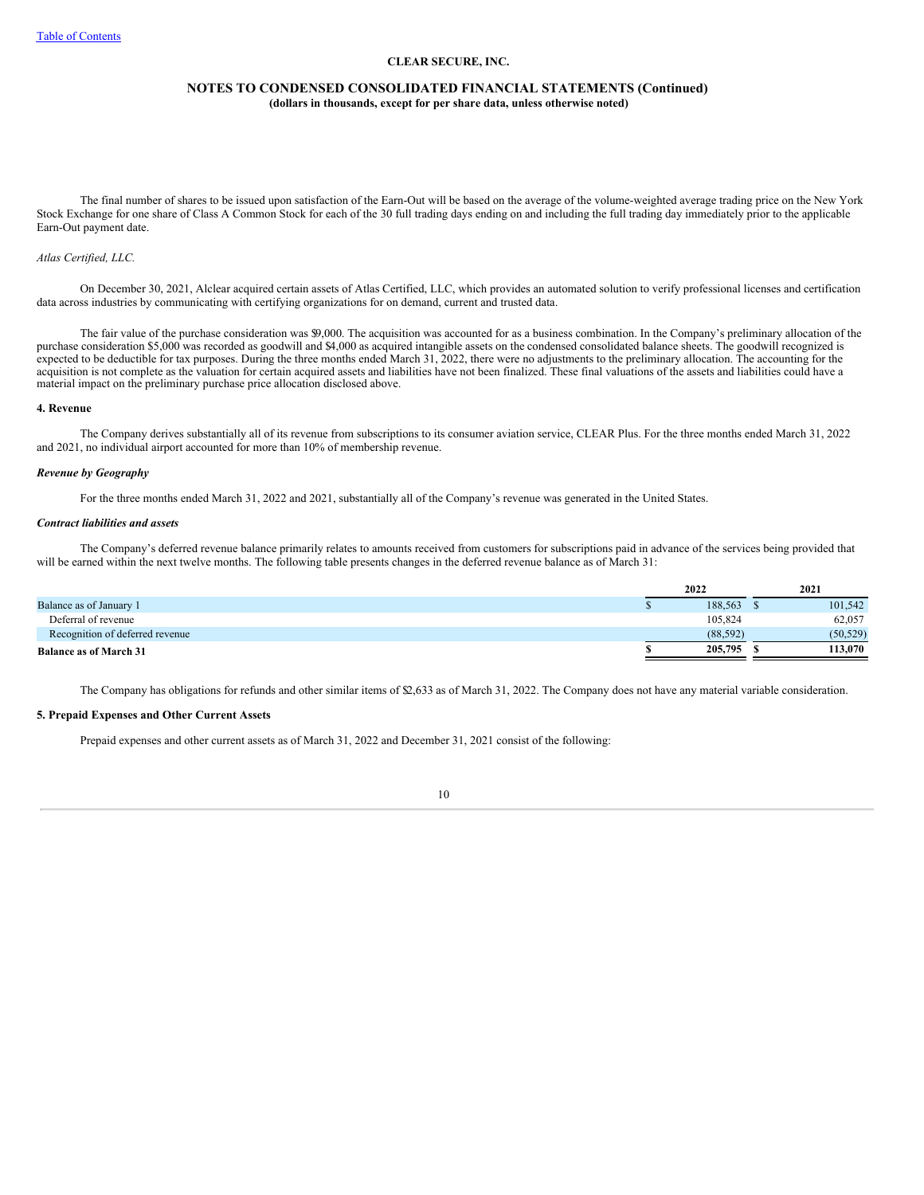# **NOTES TO CONDENSED CONSOLIDATED FINANCIAL STATEMENTS (Continued) (dollars in thousands, except for per share data, unless otherwise noted)**

The final number of shares to be issued upon satisfaction of the Earn-Out will be based on the average of the volume-weighted average trading price on the New York Stock Exchange for one share of Class A Common Stock for each of the 30 full trading days ending on and including the full trading day immediately prior to the applicable Earn-Out payment date.

# *Atlas Certified, LLC.*

On December 30, 2021, Alclear acquired certain assets of Atlas Certified, LLC, which provides an automated solution to verify professional licenses and certification data across industries by communicating with certifying organizations for on demand, current and trusted data.

The fair value of the purchase consideration was \$9,000. The acquisition was accounted for as a business combination. In the Company's preliminary allocation of the purchase consideration \$5,000 was recorded as goodwill and \$4,000 as acquired intangible assets on the condensed consolidated balance sheets. The goodwill recognized is expected to be deductible for tax purposes. During the three months ended March 31, 2022, there were no adjustments to the preliminary allocation. The accounting for the acquisition is not complete as the valuation for certain acquired assets and liabilities have not been finalized. These final valuations of the assets and liabilities could have a material impact on the preliminary purchase price allocation disclosed above.

#### **4. Revenue**

The Company derives substantially all of its revenue from subscriptions to its consumer aviation service, CLEAR Plus. For the three months ended March 31, 2022 and 2021, no individual airport accounted for more than 10% of membership revenue.

#### *Revenue by Geography*

For the three months ended March 31, 2022 and 2021, substantially all of the Company's revenue was generated in the United States.

## *Contract liabilities and assets*

The Company's deferred revenue balance primarily relates to amounts received from customers for subscriptions paid in advance of the services being provided that will be earned within the next twelve months. The following table presents changes in the deferred revenue balance as of March 31:

|                                 | 2022      | 2021      |
|---------------------------------|-----------|-----------|
| Balance as of January 1         | 188,563   | 101.542   |
| Deferral of revenue             | 105,824   | 62,057    |
| Recognition of deferred revenue | (88, 592) | (50, 529) |
| <b>Balance as of March 31</b>   | 205,795   | 113.070   |

The Company has obligations for refunds and other similar items of \$2,633 as of March 31, 2022. The Company does not have any material variable consideration.

#### **5. Prepaid Expenses and Other Current Assets**

Prepaid expenses and other current assets as of March 31, 2022 and December 31, 2021 consist of the following: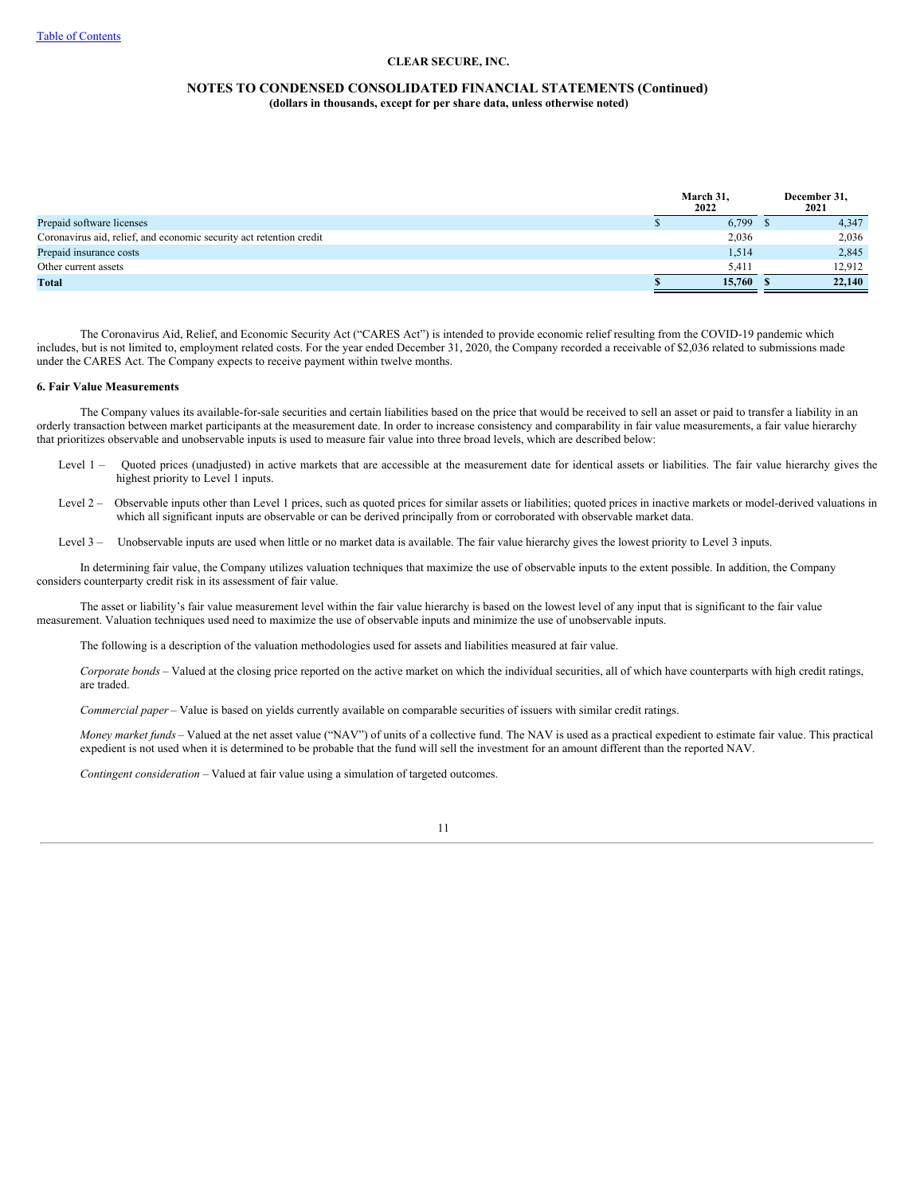## **NOTES TO CONDENSED CONSOLIDATED FINANCIAL STATEMENTS (Continued) (dollars in thousands, except for per share data, unless otherwise noted)**

|                                                                     | March 31.<br>2022 | December 31,<br>2021 |
|---------------------------------------------------------------------|-------------------|----------------------|
| Prepaid software licenses                                           | 6,799             | 4,347                |
| Coronavirus aid, relief, and economic security act retention credit | 2,036             | 2,036                |
| Prepaid insurance costs                                             | 1,514             | 2,845                |
| Other current assets                                                | 5.411             | 12.912               |
| <b>Total</b>                                                        | 15.760            | 22,140               |

The Coronavirus Aid, Relief, and Economic Security Act ("CARES Act") is intended to provide economic relief resulting from the COVID-19 pandemic which includes, but is not limited to, employment related costs. For the year ended December 31, 2020, the Company recorded a receivable of \$2,036 related to submissions made under the CARES Act. The Company expects to receive payment within twelve months.

#### **6. Fair Value Measurements**

The Company values its available-for-sale securities and certain liabilities based on the price that would be received to sell an asset or paid to transfer a liability in an orderly transaction between market participants at the measurement date. In order to increase consistency and comparability in fair value measurements, a fair value hierarchy that prioritizes observable and unobservable inputs is used to measure fair value into three broad levels, which are described below:

- Level 1 Quoted prices (unadjusted) in active markets that are accessible at the measurement date for identical assets or liabilities. The fair value hierarchy gives the highest priority to Level 1 inputs.
- Level 2 Observable inputs other than Level 1 prices, such as quoted prices for similar assets or liabilities; quoted prices in inactive markets or model-derived valuations in which all significant inputs are observable or can be derived principally from or corroborated with observable market data.

Level 3 – Unobservable inputs are used when little or no market data is available. The fair value hierarchy gives the lowest priority to Level 3 inputs.

In determining fair value, the Company utilizes valuation techniques that maximize the use of observable inputs to the extent possible. In addition, the Company considers counterparty credit risk in its assessment of fair value.

The asset or liability's fair value measurement level within the fair value hierarchy is based on the lowest level of any input that is significant to the fair value measurement. Valuation techniques used need to maximize the use of observable inputs and minimize the use of unobservable inputs.

The following is a description of the valuation methodologies used for assets and liabilities measured at fair value.

*Corporate bonds* – Valued at the closing price reported on the active market on which the individual securities, all of which have counterparts with high credit ratings, are traded.

*Commercial paper* – Value is based on yields currently available on comparable securities of issuers with similar credit ratings.

*Money market funds* – Valued at the net asset value ("NAV") of units of a collective fund. The NAV is used as a practical expedient to estimate fair value. This practical expedient is not used when it is determined to be probable that the fund will sell the investment for an amount different than the reported NAV.

*Contingent consideration –* Valued at fair value using a simulation of targeted outcomes.

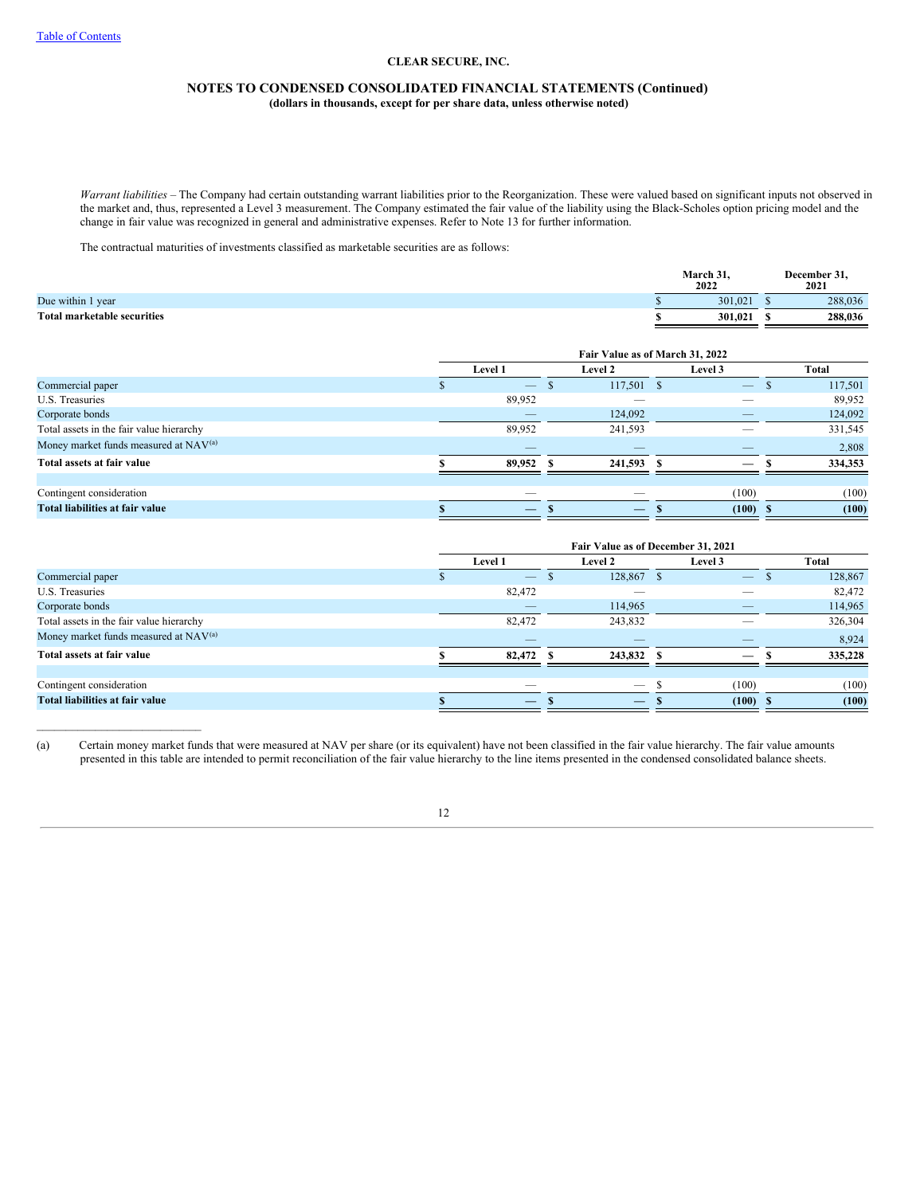\_\_\_\_\_\_\_\_\_\_\_\_\_\_\_\_\_\_\_\_\_\_\_\_\_\_\_\_

# **CLEAR SECURE, INC.**

# **NOTES TO CONDENSED CONSOLIDATED FINANCIAL STATEMENTS (Continued) (dollars in thousands, except for per share data, unless otherwise noted)**

*Warrant liabilities –* The Company had certain outstanding warrant liabilities prior to the Reorganization. These were valued based on significant inputs not observed in the market and, thus, represented a Level 3 measurement. The Company estimated the fair value of the liability using the Black-Scholes option pricing model and the change in fair value was recognized in general and administrative expenses. Refer to Note 13 for further information.

The contractual maturities of investments classified as marketable securities are as follows:

|                                    | March 31<br>2022 | December 31.<br>2021 |
|------------------------------------|------------------|----------------------|
| Due within 1 year                  | 301.021          | 288,036              |
| <b>Total marketable securities</b> | 301.021          | 288,036              |

|                                                   | Fair Value as of March 31, 2022           |                |                          |         |  |
|---------------------------------------------------|-------------------------------------------|----------------|--------------------------|---------|--|
|                                                   | Level 1                                   | <b>Level 2</b> | Level 3                  | Total   |  |
| Commercial paper                                  | $\overline{\phantom{m}}$                  | 117.501 \$     | $\overline{\phantom{m}}$ | 117,501 |  |
| U.S. Treasuries                                   | 89,952                                    |                |                          | 89,952  |  |
| Corporate bonds                                   |                                           | 124,092        |                          | 124,092 |  |
| Total assets in the fair value hierarchy          | 89,952                                    | 241,593        |                          | 331,545 |  |
| Money market funds measured at NAV <sup>(a)</sup> |                                           |                |                          | 2,808   |  |
| Total assets at fair value                        | 89.952                                    | 241,593 \$     | $\sim$                   | 334,353 |  |
|                                                   |                                           |                |                          |         |  |
| Contingent consideration                          |                                           |                | (100)                    | (100)   |  |
| Total liabilities at fair value                   | $\qquad \qquad \overline{\qquad \qquad }$ |                | $(100)$ \$               | (100)   |  |

|                                                   | Fair Value as of December 31, 2021 |                          |                          |              |
|---------------------------------------------------|------------------------------------|--------------------------|--------------------------|--------------|
|                                                   | Level 1                            | Level 2                  | Level 3                  | <b>Total</b> |
| Commercial paper                                  | $\hspace{0.1mm}-\hspace{0.1mm}$    | 128,867 \$               | $\overline{\phantom{m}}$ | 128,867      |
| U.S. Treasuries                                   | 82,472                             |                          |                          | 82,472       |
| Corporate bonds                                   |                                    | 114,965                  |                          | 114,965      |
| Total assets in the fair value hierarchy          | 82,472                             | 243,832                  |                          | 326,304      |
| Money market funds measured at NAV <sup>(a)</sup> |                                    |                          |                          | 8,924        |
| Total assets at fair value                        | 82,472 \$                          | 243,832 \$               | $\overline{\phantom{m}}$ | 335,228      |
|                                                   |                                    |                          |                          |              |
| Contingent consideration                          |                                    |                          | (100)                    | (100)        |
| Total liabilities at fair value                   | $\overline{\phantom{m}}$           | $\overline{\phantom{0}}$ | $(100)$ \$               | (100)        |

(a) Certain money market funds that were measured at NAV per share (or its equivalent) have not been classified in the fair value hierarchy. The fair value amounts presented in this table are intended to permit reconciliation of the fair value hierarchy to the line items presented in the condensed consolidated balance sheets.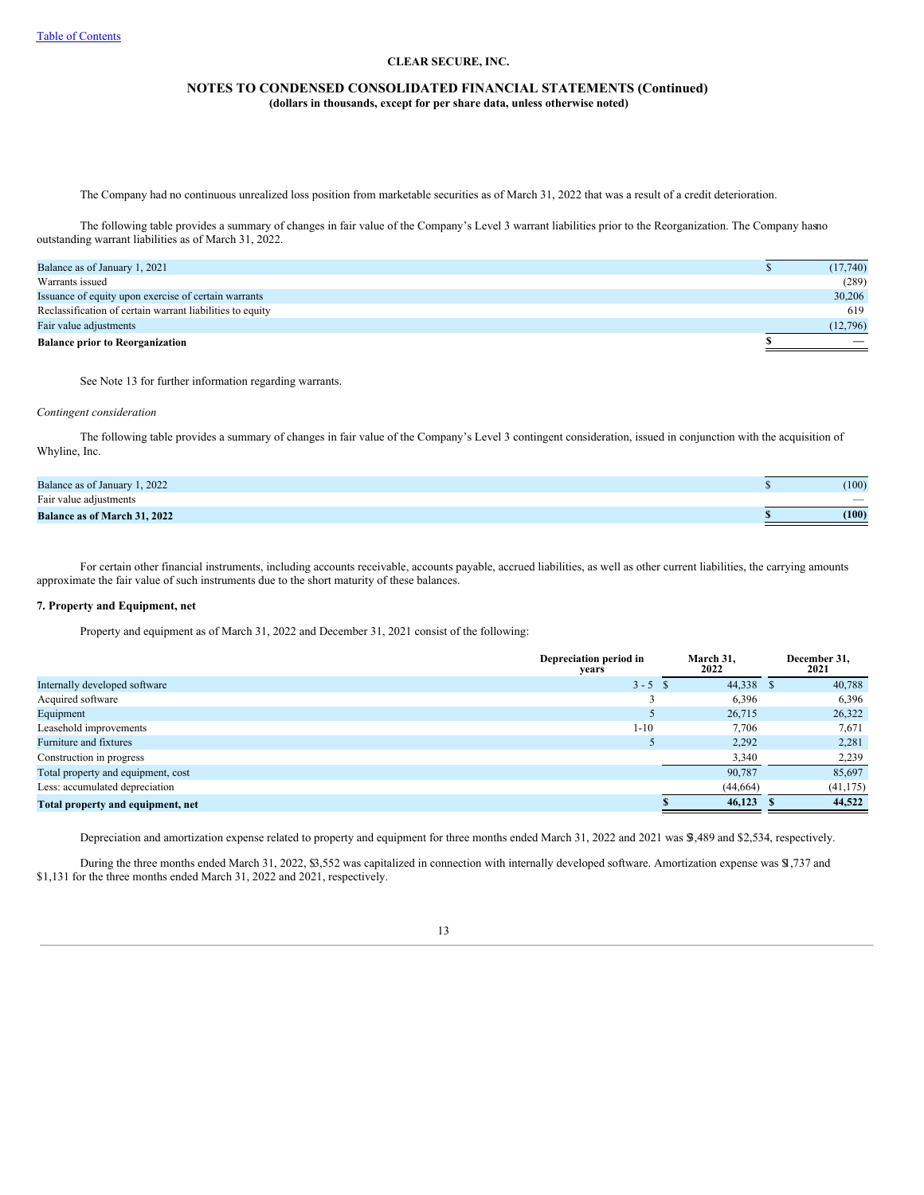# **NOTES TO CONDENSED CONSOLIDATED FINANCIAL STATEMENTS (Continued) (dollars in thousands, except for per share data, unless otherwise noted)**

The Company had no continuous unrealized loss position from marketable securities as of March 31, 2022 that was a result of a credit deterioration.

The following table provides a summary of changes in fair value of the Company's Level 3 warrant liabilities prior to the Reorganization. The Company hasno outstanding warrant liabilities as of March 31, 2022.

| Balance as of January 1, 2021                             | (17,740)                 |
|-----------------------------------------------------------|--------------------------|
| Warrants issued                                           | (289)                    |
| Issuance of equity upon exercise of certain warrants      | 30,206                   |
| Reclassification of certain warrant liabilities to equity | 619                      |
| Fair value adjustments                                    | (12,796)                 |
| <b>Balance prior to Reorganization</b>                    | $\overline{\phantom{m}}$ |

See Note 13 for further information regarding warrants.

# *Contingent consideration*

The following table provides a summary of changes in fair value of the Company's Level 3 contingent consideration, issued in conjunction with the acquisition of Whyline, Inc.

| Balance as of January 1, 2022       | (100)                    |
|-------------------------------------|--------------------------|
| Fair value adjustments              | $\overline{\phantom{a}}$ |
| <b>Balance as of March 31, 2022</b> | (100)                    |

For certain other financial instruments, including accounts receivable, accounts payable, accrued liabilities, as well as other current liabilities, the carrying amounts approximate the fair value of such instruments due to the short maturity of these balances.

# **7. Property and Equipment, net**

Property and equipment as of March 31, 2022 and December 31, 2021 consist of the following:

|                                    | Depreciation period in<br>vears | March 31.<br>2022 | December 31,<br>2021 |
|------------------------------------|---------------------------------|-------------------|----------------------|
| Internally developed software      | $3 - 5$ \$                      | 44,338            | 40,788               |
| Acquired software                  |                                 | 6,396             | 6,396                |
| Equipment                          |                                 | 26,715            | 26,322               |
| Leasehold improvements             | $1 - 10$                        | 7,706             | 7,671                |
| Furniture and fixtures             |                                 | 2,292             | 2,281                |
| Construction in progress           |                                 | 3,340             | 2,239                |
| Total property and equipment, cost |                                 | 90,787            | 85,697               |
| Less: accumulated depreciation     |                                 | (44, 664)         | (41, 175)            |
| Total property and equipment, net  |                                 | 46,123            | 44,522               |

Depreciation and amortization expense related to property and equipment for three months ended March 31, 2022 and 2021 was \$3,489 and \$2,534, respectively.

During the three months ended March 31, 2022, \$3,552 was capitalized in connection with internally developed software. Amortization expense was \$1,737 and \$1,131 for the three months ended March 31, 2022 and 2021, respectively.

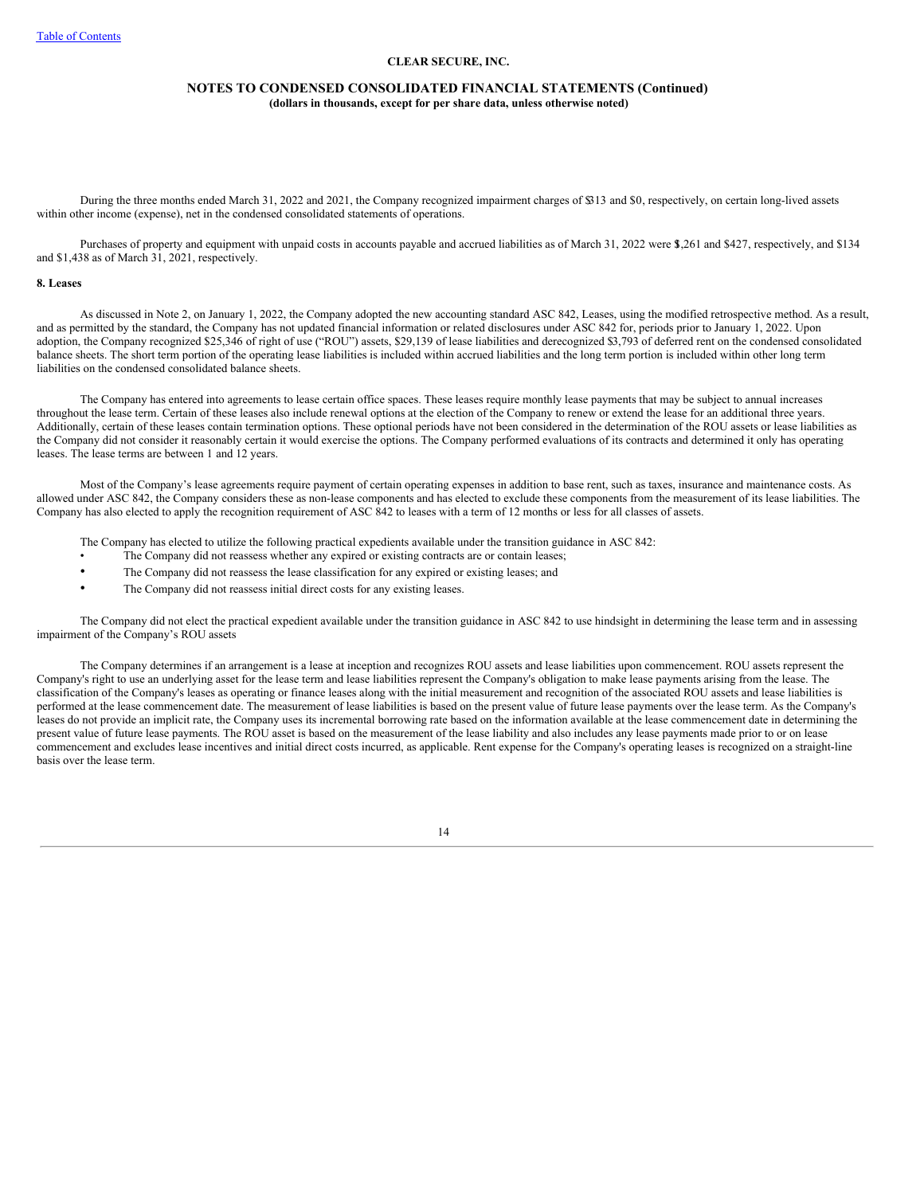# **NOTES TO CONDENSED CONSOLIDATED FINANCIAL STATEMENTS (Continued) (dollars in thousands, except for per share data, unless otherwise noted)**

During the three months ended March 31, 2022 and 2021, the Company recognized impairment charges of \$313 and \$0, respectively, on certain long-lived assets within other income (expense), net in the condensed consolidated statements of operations.

Purchases of property and equipment with unpaid costs in accounts payable and accrued liabilities as of March 31, 2022 were \$,261 and \$427, respectively, and \$134 and \$1,438 as of March 31, 2021, respectively.

#### **8. Leases**

As discussed in Note 2, on January 1, 2022, the Company adopted the new accounting standard ASC 842, Leases, using the modified retrospective method. As a result, and as permitted by the standard, the Company has not updated financial information or related disclosures under ASC 842 for, periods prior to January 1, 2022. Upon adoption, the Company recognized \$25,346 of right of use ("ROU") assets, \$29,139 of lease liabilities and derecognized \$3,793 of deferred rent on the condensed consolidated balance sheets. The short term portion of the operating lease liabilities is included within accrued liabilities and the long term portion is included within other long term liabilities on the condensed consolidated balance sheets.

The Company has entered into agreements to lease certain office spaces. These leases require monthly lease payments that may be subject to annual increases throughout the lease term. Certain of these leases also include renewal options at the election of the Company to renew or extend the lease for an additional three years. Additionally, certain of these leases contain termination options. These optional periods have not been considered in the determination of the ROU assets or lease liabilities as the Company did not consider it reasonably certain it would exercise the options. The Company performed evaluations of its contracts and determined it only has operating leases. The lease terms are between 1 and 12 years.

Most of the Company's lease agreements require payment of certain operating expenses in addition to base rent, such as taxes, insurance and maintenance costs. As allowed under ASC 842, the Company considers these as non-lease components and has elected to exclude these components from the measurement of its lease liabilities. The Company has also elected to apply the recognition requirement of ASC 842 to leases with a term of 12 months or less for all classes of assets.

The Company has elected to utilize the following practical expedients available under the transition guidance in ASC 842:

- The Company did not reassess whether any expired or existing contracts are or contain leases;
- The Company did not reassess the lease classification for any expired or existing leases; and
- The Company did not reassess initial direct costs for any existing leases.

The Company did not elect the practical expedient available under the transition guidance in ASC 842 to use hindsight in determining the lease term and in assessing impairment of the Company's ROU assets

The Company determines if an arrangement is a lease at inception and recognizes ROU assets and lease liabilities upon commencement. ROU assets represent the Company's right to use an underlying asset for the lease term and lease liabilities represent the Company's obligation to make lease payments arising from the lease. The classification of the Company's leases as operating or finance leases along with the initial measurement and recognition of the associated ROU assets and lease liabilities is performed at the lease commencement date. The measurement of lease liabilities is based on the present value of future lease payments over the lease term. As the Company's leases do not provide an implicit rate, the Company uses its incremental borrowing rate based on the information available at the lease commencement date in determining the present value of future lease payments. The ROU asset is based on the measurement of the lease liability and also includes any lease payments made prior to or on lease commencement and excludes lease incentives and initial direct costs incurred, as applicable. Rent expense for the Company's operating leases is recognized on a straight-line basis over the lease term.

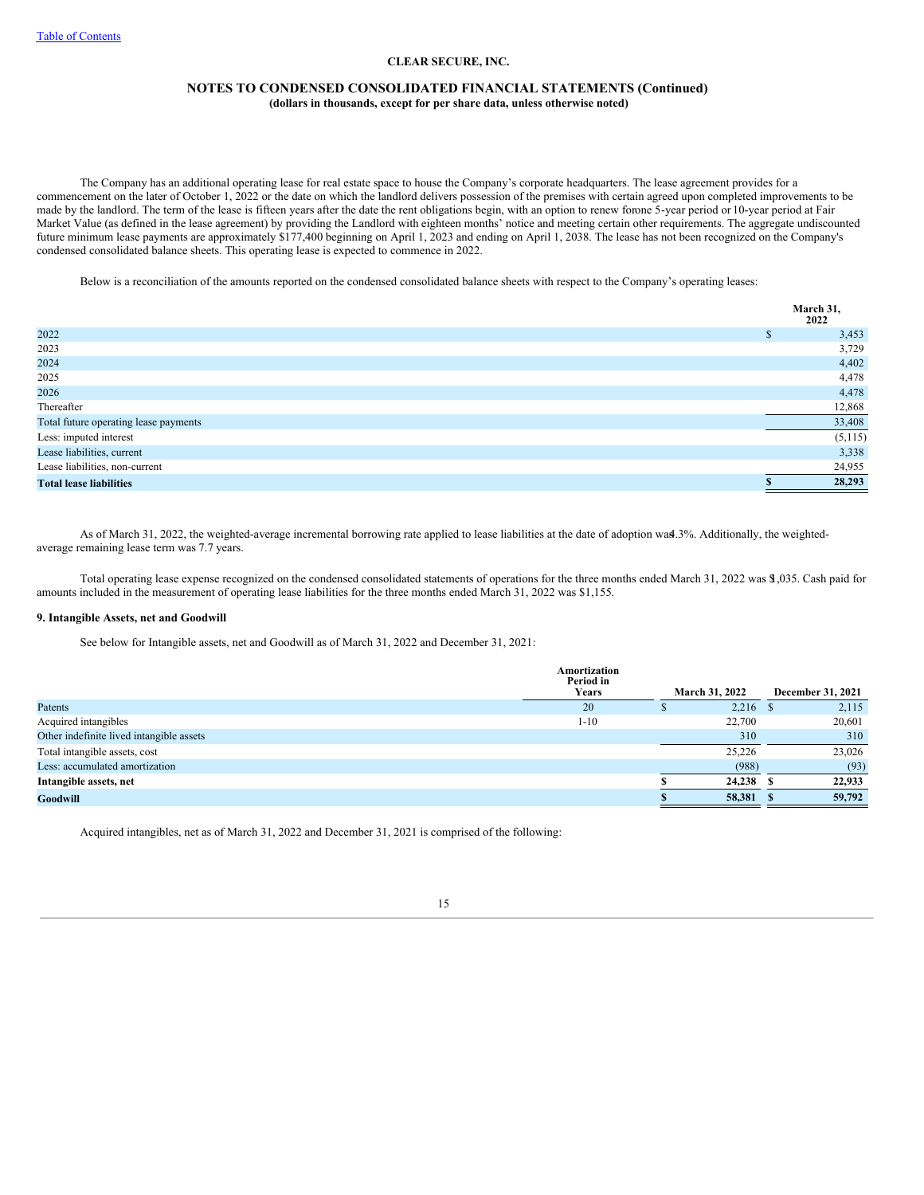# **NOTES TO CONDENSED CONSOLIDATED FINANCIAL STATEMENTS (Continued) (dollars in thousands, except for per share data, unless otherwise noted)**

The Company has an additional operating lease for real estate space to house the Company's corporate headquarters. The lease agreement provides for a commencement on the later of October 1, 2022 or the date on which the landlord delivers possession of the premises with certain agreed upon completed improvements to be made by the landlord. The term of the lease is fifteen years after the date the rent obligations begin, with an option to renew forone 5-year period or 10-year period at Fair Market Value (as defined in the lease agreement) by providing the Landlord with eighteen months' notice and meeting certain other requirements. The aggregate undiscounted future minimum lease payments are approximately \$177,400 beginning on April 1, 2023 and ending on April 1, 2038. The lease has not been recognized on the Company's condensed consolidated balance sheets. This operating lease is expected to commence in 2022.

Below is a reconciliation of the amounts reported on the condensed consolidated balance sheets with respect to the Company's operating leases:

|                                       |   | March 31,<br>2022 |
|---------------------------------------|---|-------------------|
| 2022                                  | ъ | 3,453             |
| 2023                                  |   | 3,729             |
| 2024                                  |   | 4,402             |
| 2025                                  |   | 4,478             |
| 2026                                  |   | 4,478             |
| Thereafter                            |   | 12,868            |
| Total future operating lease payments |   | 33,408            |
| Less: imputed interest                |   | (5,115)           |
| Lease liabilities, current            |   | 3,338             |
| Lease liabilities, non-current        |   | 24,955            |
| <b>Total lease liabilities</b>        |   | 28,293            |

As of March 31, 2022, the weighted-average incremental borrowing rate applied to lease liabilities at the date of adoption was4.3%. Additionally, the weightedaverage remaining lease term was 7.7 years.

Total operating lease expense recognized on the condensed consolidated statements of operations for the three months ended March 31, 2022 was \$1,035. Cash paid for amounts included in the measurement of operating lease liabilities for the three months ended March 31, 2022 was \$1,155.

# **9. Intangible Assets, net and Goodwill**

See below for Intangible assets, net and Goodwill as of March 31, 2022 and December 31, 2021:

|                                          | <b>Amortization</b><br>Period in<br>Years | <b>March 31, 2022</b> | <b>December 31, 2021</b> |
|------------------------------------------|-------------------------------------------|-----------------------|--------------------------|
| Patents                                  | 20                                        | $2,216$ \$            | 2,115                    |
| Acquired intangibles                     | $1 - 10$                                  | 22,700                | 20,601                   |
| Other indefinite lived intangible assets |                                           | 310                   | 310                      |
| Total intangible assets, cost            |                                           | 25,226                | 23,026                   |
| Less: accumulated amortization           |                                           | (988)                 | (93)                     |
| Intangible assets, net                   |                                           | 24,238                | 22,933                   |
| Goodwill                                 |                                           | 58,381                | 59,792                   |

Acquired intangibles, net as of March 31, 2022 and December 31, 2021 is comprised of the following: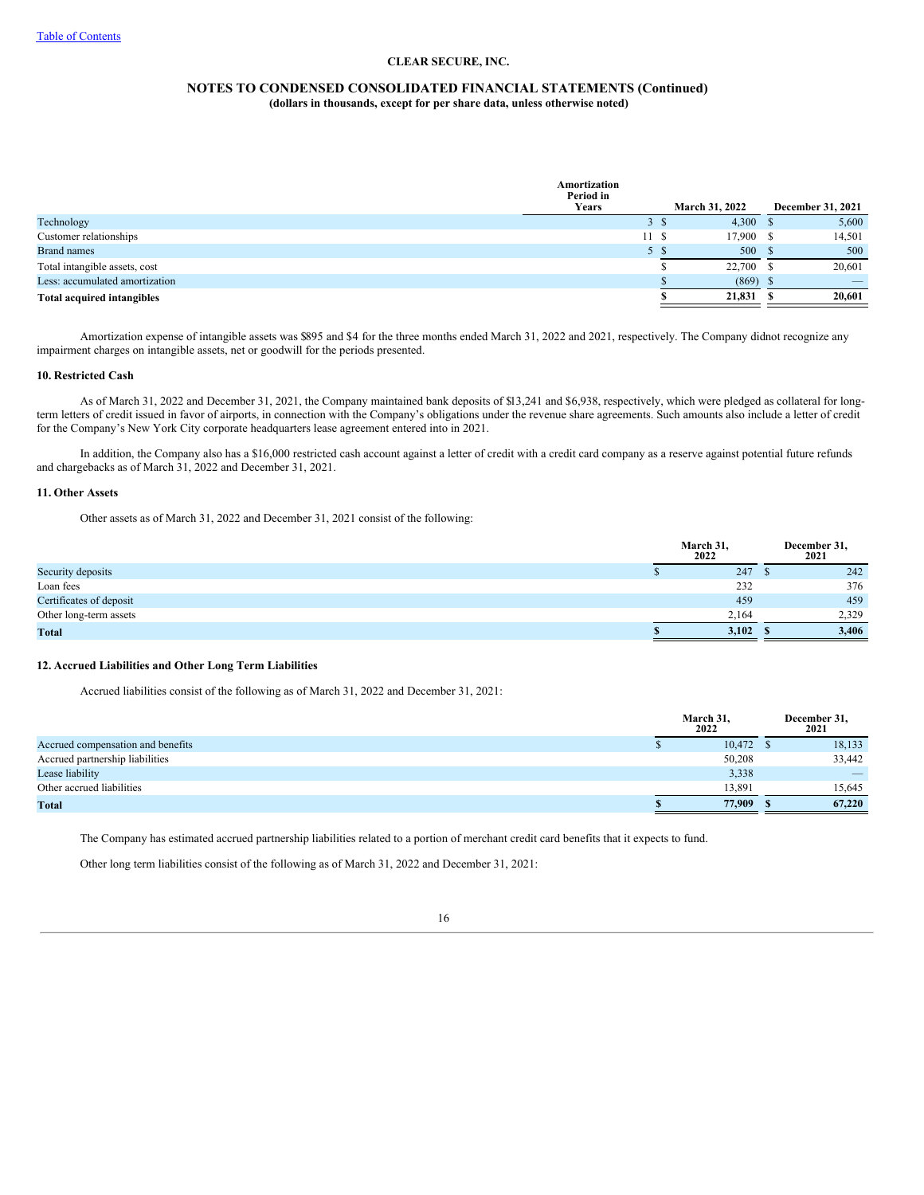# **NOTES TO CONDENSED CONSOLIDATED FINANCIAL STATEMENTS (Continued) (dollars in thousands, except for per share data, unless otherwise noted)**

|                                   | Amortization<br>Period in |                       |                          |
|-----------------------------------|---------------------------|-----------------------|--------------------------|
|                                   | Years                     | <b>March 31, 2022</b> | <b>December 31, 2021</b> |
| Technology                        | 3 S                       | $4,300$ \$            | 5,600                    |
| Customer relationships            | 11 S                      | $17,900$ \$           | 14,501                   |
| <b>Brand names</b>                | 5 \$                      | 500 \$                | 500                      |
| Total intangible assets, cost     |                           | 22,700 \$             | 20,601                   |
| Less: accumulated amortization    |                           | $(869)$ \$            | $\overline{\phantom{a}}$ |
| <b>Total acquired intangibles</b> |                           | 21,831 \$             | 20,601                   |

Amortization expense of intangible assets was \$895 and \$4 for the three months ended March 31, 2022 and 2021, respectively. The Company didnot recognize any impairment charges on intangible assets, net or goodwill for the periods presented.

# **10. Restricted Cash**

As of March 31, 2022 and December 31, 2021, the Company maintained bank deposits of \$13,241 and \$6,938, respectively, which were pledged as collateral for longterm letters of credit issued in favor of airports, in connection with the Company's obligations under the revenue share agreements. Such amounts also include a letter of credit for the Company's New York City corporate headquarters lease agreement entered into in 2021.

In addition, the Company also has a \$16,000 restricted cash account against a letter of credit with a credit card company as a reserve against potential future refunds and chargebacks as of March 31, 2022 and December 31, 2021.

#### **11. Other Assets**

Other assets as of March 31, 2022 and December 31, 2021 consist of the following:

|                         | March 31,<br>2022 | December 31,<br>2021 |
|-------------------------|-------------------|----------------------|
| Security deposits       | 247               | 242                  |
| Loan fees               | 232               | 376                  |
| Certificates of deposit | 459               | 459                  |
| Other long-term assets  | 2.164             | 2,329                |
| <b>Total</b>            | 3,102S            | 3,406                |

# **12. Accrued Liabilities and Other Long Term Liabilities**

Accrued liabilities consist of the following as of March 31, 2022 and December 31, 2021:

|                                   | March 31,<br>2022 | December 31,<br>2021     |
|-----------------------------------|-------------------|--------------------------|
| Accrued compensation and benefits | $10,472$ \$       | 18,133                   |
| Accrued partnership liabilities   | 50,208            | 33,442                   |
| Lease liability                   | 3,338             | $\overline{\phantom{a}}$ |
| Other accrued liabilities         | 13.891            | 15,645                   |
| <b>Total</b>                      | 77,909            | 67,220                   |

The Company has estimated accrued partnership liabilities related to a portion of merchant credit card benefits that it expects to fund.

Other long term liabilities consist of the following as of March 31, 2022 and December 31, 2021: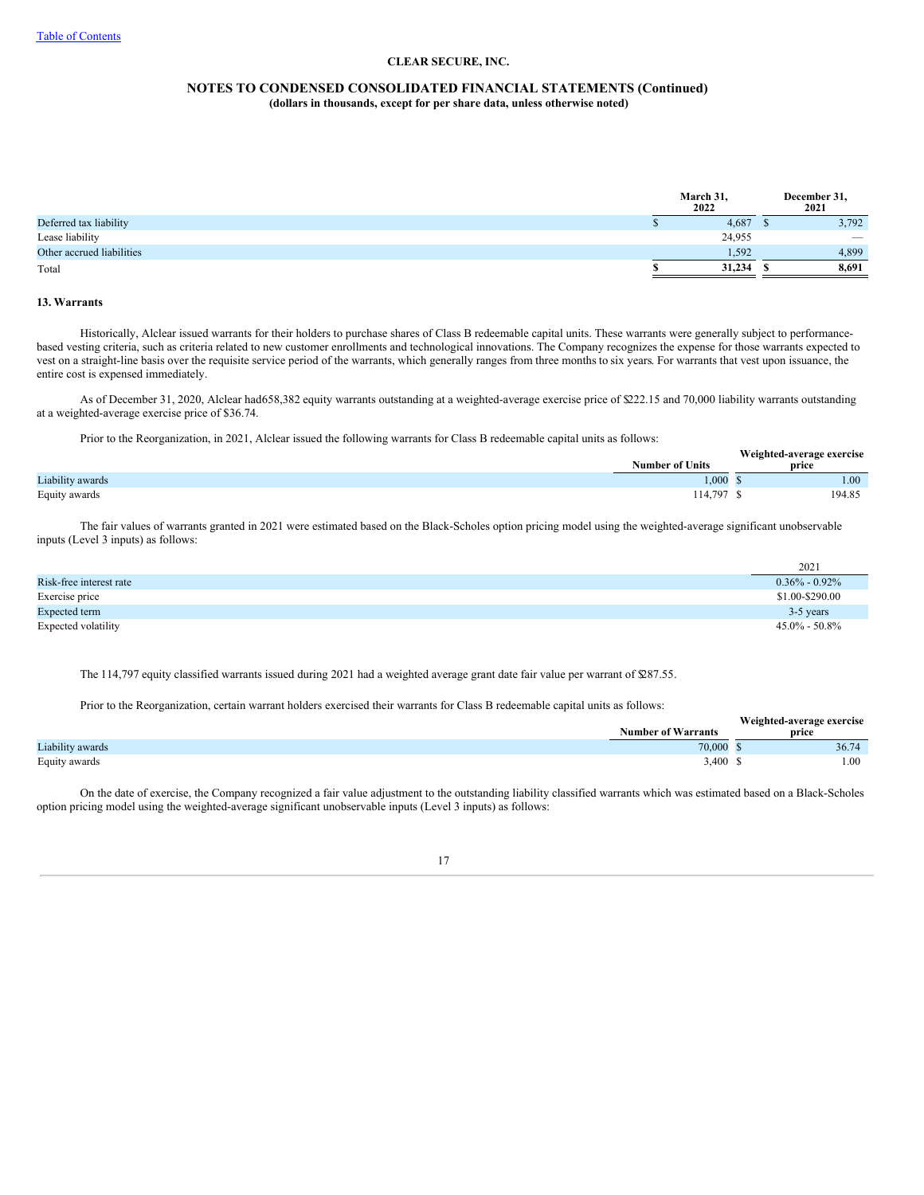# **NOTES TO CONDENSED CONSOLIDATED FINANCIAL STATEMENTS (Continued) (dollars in thousands, except for per share data, unless otherwise noted)**

|                           | March 31,<br>2022 |        | December 31,<br>2021     |
|---------------------------|-------------------|--------|--------------------------|
| Deferred tax liability    |                   | 4,687  | 3,792                    |
| Lease liability           |                   | 24,955 | $\overline{\phantom{a}}$ |
| Other accrued liabilities |                   | 1,592  | 4,899                    |
| Total                     |                   | 31,234 | 8,691                    |

## **13. Warrants**

Historically, Alclear issued warrants for their holders to purchase shares of Class B redeemable capital units. These warrants were generally subject to performancebased vesting criteria, such as criteria related to new customer enrollments and technological innovations. The Company recognizes the expense for those warrants expected to vest on a straight-line basis over the requisite service period of the warrants, which generally ranges from three months to six years. For warrants that vest upon issuance, the entire cost is expensed immediately.

As of December 31, 2020, Alclear had658,382 equity warrants outstanding at a weighted-average exercise price of \$222.15 and 70,000 liability warrants outstanding at a weighted-average exercise price of \$36.74.

Prior to the Reorganization, in 2021, Alclear issued the following warrants for Class B redeemable capital units as follows:

|                  | $\sim$ |  | $\tilde{}$ | <b>Number of Units</b> | Weighted-average exercise<br>price |        |
|------------------|--------|--|------------|------------------------|------------------------------------|--------|
| Liability awards |        |  |            | 000.1                  |                                    | 00.1   |
| Equity awards    |        |  |            | 114,797                |                                    | 194.85 |

The fair values of warrants granted in 2021 were estimated based on the Black-Scholes option pricing model using the weighted-average significant unobservable inputs (Level 3 inputs) as follows:

|                         | 2021              |
|-------------------------|-------------------|
| Risk-free interest rate | $0.36\% - 0.92\%$ |
| Exercise price          | \$1.00-\$290.00   |
| Expected term           | 3-5 years         |
| Expected volatility     | $45.0\% - 50.8\%$ |

The 114,797 equity classified warrants issued during 2021 had a weighted average grant date fair value per warrant of \$287.55.

Prior to the Reorganization, certain warrant holders exercised their warrants for Class B redeemable capital units as follows:

| $\sim$           | <b>Number of Warrants</b> | Weighted-average exercise<br>price |
|------------------|---------------------------|------------------------------------|
| Liability awards | 70,000                    | 36.74                              |
| Equity awards    | $3,400$ \$                | 00.1                               |

On the date of exercise, the Company recognized a fair value adjustment to the outstanding liability classified warrants which was estimated based on a Black-Scholes option pricing model using the weighted-average significant unobservable inputs (Level 3 inputs) as follows:

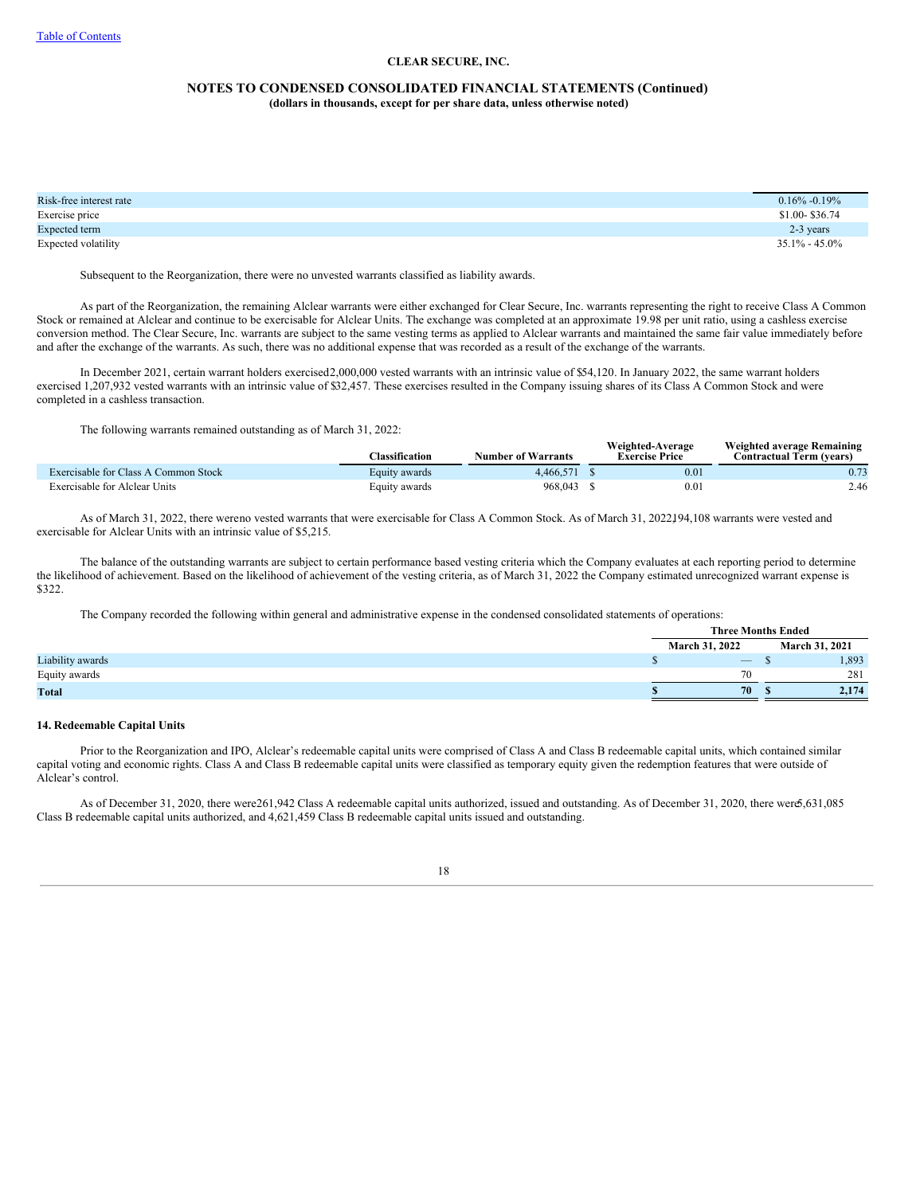# **NOTES TO CONDENSED CONSOLIDATED FINANCIAL STATEMENTS (Continued) (dollars in thousands, except for per share data, unless otherwise noted)**

| Risk-free interest rate | $0.16\% - 0.19\%$ |
|-------------------------|-------------------|
| Exercise price          | $$1.00 - $36.74$  |
| Expected term           | 2-3 years         |
| Expected volatility     | $35.1\% - 45.0\%$ |

Subsequent to the Reorganization, there were no unvested warrants classified as liability awards.

As part of the Reorganization, the remaining Alclear warrants were either exchanged for Clear Secure, Inc. warrants representing the right to receive Class A Common Stock or remained at Alclear and continue to be exercisable for Alclear Units. The exchange was completed at an approximate 19.98 per unit ratio, using a cashless exercise conversion method. The Clear Secure, Inc. warrants are subject to the same vesting terms as applied to Alclear warrants and maintained the same fair value immediately before and after the exchange of the warrants. As such, there was no additional expense that was recorded as a result of the exchange of the warrants.

In December 2021, certain warrant holders exercised2,000,000 vested warrants with an intrinsic value of \$54,120. In January 2022, the same warrant holders exercised 1,207,932 vested warrants with an intrinsic value of \$32,457. These exercises resulted in the Company issuing shares of its Class A Common Stock and were completed in a cashless transaction.

The following warrants remained outstanding as of March 31, 2022:

|                                      | <b>Classification</b> | <b>Number of Warrants</b> | Weighted-Average<br><b>Exercise Price</b> | Weighted average Remaining<br>Contractual Term (vears) |
|--------------------------------------|-----------------------|---------------------------|-------------------------------------------|--------------------------------------------------------|
| Exercisable for Class A Common Stock | Equity awards         | 4.466.571                 | 0.01                                      | 0.73                                                   |
| Exercisable for Alclear Units        | Equity awards         | 968,043 \$                | 0.01                                      | 2.46                                                   |

As of March 31, 2022, there wereno vested warrants that were exercisable for Class A Common Stock. As of March 31, 2022194,108 warrants were vested and exercisable for Alclear Units with an intrinsic value of \$5,215.

The balance of the outstanding warrants are subject to certain performance based vesting criteria which the Company evaluates at each reporting period to determine the likelihood of achievement. Based on the likelihood of achievement of the vesting criteria, as of March 31, 2022 the Company estimated unrecognized warrant expense is \$322.

The Company recorded the following within general and administrative expense in the condensed consolidated statements of operations: **Three Months Ended**

|                  |                          | Three Months Ended    |
|------------------|--------------------------|-----------------------|
|                  | <b>March 31, 2022</b>    | <b>March 31, 2021</b> |
| Liability awards | $\overline{\phantom{a}}$ | 1,893                 |
| Equity awards    | 70                       | 281                   |
| <b>Total</b>     | 70                       | 2,174                 |

#### **14. Redeemable Capital Units**

Prior to the Reorganization and IPO, Alclear's redeemable capital units were comprised of Class A and Class B redeemable capital units, which contained similar capital voting and economic rights. Class A and Class B redeemable capital units were classified as temporary equity given the redemption features that were outside of Alclear's control.

As of December 31, 2020, there were261,942 Class A redeemable capital units authorized, issued and outstanding. As of December 31, 2020, there were5,631,085 Class B redeemable capital units authorized, and 4,621,459 Class B redeemable capital units issued and outstanding.

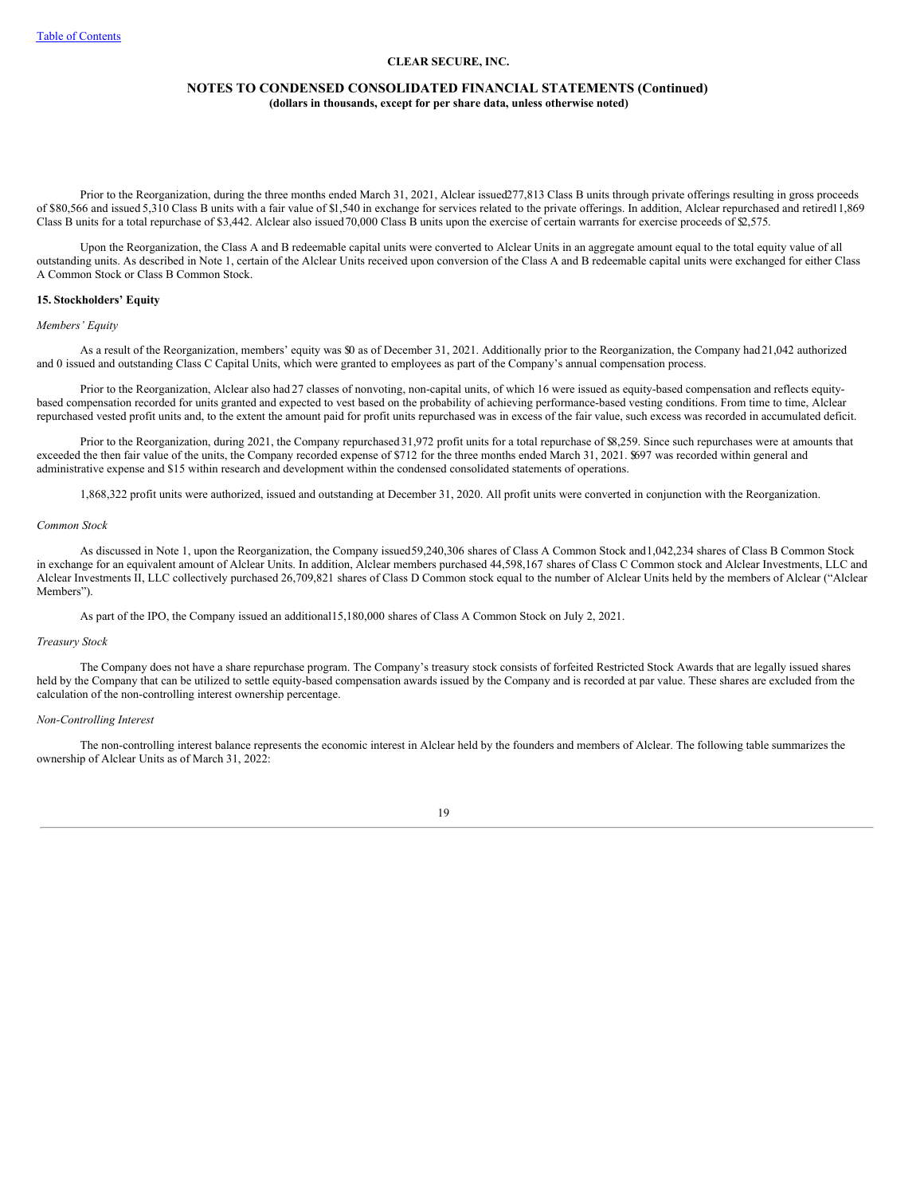## **NOTES TO CONDENSED CONSOLIDATED FINANCIAL STATEMENTS (Continued) (dollars in thousands, except for per share data, unless otherwise noted)**

Prior to the Reorganization, during the three months ended March 31, 2021, Alclear issued277,813 Class B units through private offerings resulting in gross proceeds of \$80,566 and issued 5,310 Class B units with a fair value of \$1,540 in exchange for services related to the private offerings. In addition, Alclear repurchased and retired11,869 Class B units for a total repurchase of \$3,442. Alclear also issued70,000 Class B units upon the exercise of certain warrants for exercise proceeds of \$2,575.

Upon the Reorganization, the Class A and B redeemable capital units were converted to Alclear Units in an aggregate amount equal to the total equity value of all outstanding units. As described in Note 1, certain of the Alclear Units received upon conversion of the Class A and B redeemable capital units were exchanged for either Class A Common Stock or Class B Common Stock.

## **15. Stockholders' Equity**

#### *Members' Equity*

As a result of the Reorganization, members' equity was \$0 as of December 31, 2021. Additionally prior to the Reorganization, the Company had21,042 authorized and 0 issued and outstanding Class C Capital Units, which were granted to employees as part of the Company's annual compensation process.

Prior to the Reorganization, Alclear also had 27 classes of nonvoting, non-capital units, of which 16 were issued as equity-based compensation and reflects equitybased compensation recorded for units granted and expected to vest based on the probability of achieving performance-based vesting conditions. From time to time, Alclear repurchased vested profit units and, to the extent the amount paid for profit units repurchased was in excess of the fair value, such excess was recorded in accumulated deficit.

Prior to the Reorganization, during 2021, the Company repurchased 31,972 profit units for a total repurchase of \$8,259. Since such repurchases were at amounts that exceeded the then fair value of the units, the Company recorded expense of \$712 for the three months ended March 31, 2021. \$697 was recorded within general and administrative expense and \$15 within research and development within the condensed consolidated statements of operations.

1,868,322 profit units were authorized, issued and outstanding at December 31, 2020. All profit units were converted in conjunction with the Reorganization.

# *Common Stock*

As discussed in Note 1, upon the Reorganization, the Company issued59,240,306 shares of Class A Common Stock and1,042,234 shares of Class B Common Stock in exchange for an equivalent amount of Alclear Units. In addition, Alclear members purchased 44,598,167 shares of Class C Common stock and Alclear Investments, LLC and Alclear Investments II, LLC collectively purchased 26,709,821 shares of Class D Common stock equal to the number of Alclear Units held by the members of Alclear ("Alclear Members").

As part of the IPO, the Company issued an additional15,180,000 shares of Class A Common Stock on July 2, 2021.

#### *Treasury Stock*

The Company does not have a share repurchase program. The Company's treasury stock consists of forfeited Restricted Stock Awards that are legally issued shares held by the Company that can be utilized to settle equity-based compensation awards issued by the Company and is recorded at par value. These shares are excluded from the calculation of the non-controlling interest ownership percentage.

### *Non-Controlling Interest*

The non-controlling interest balance represents the economic interest in Alclear held by the founders and members of Alclear. The following table summarizes the ownership of Alclear Units as of March 31, 2022:

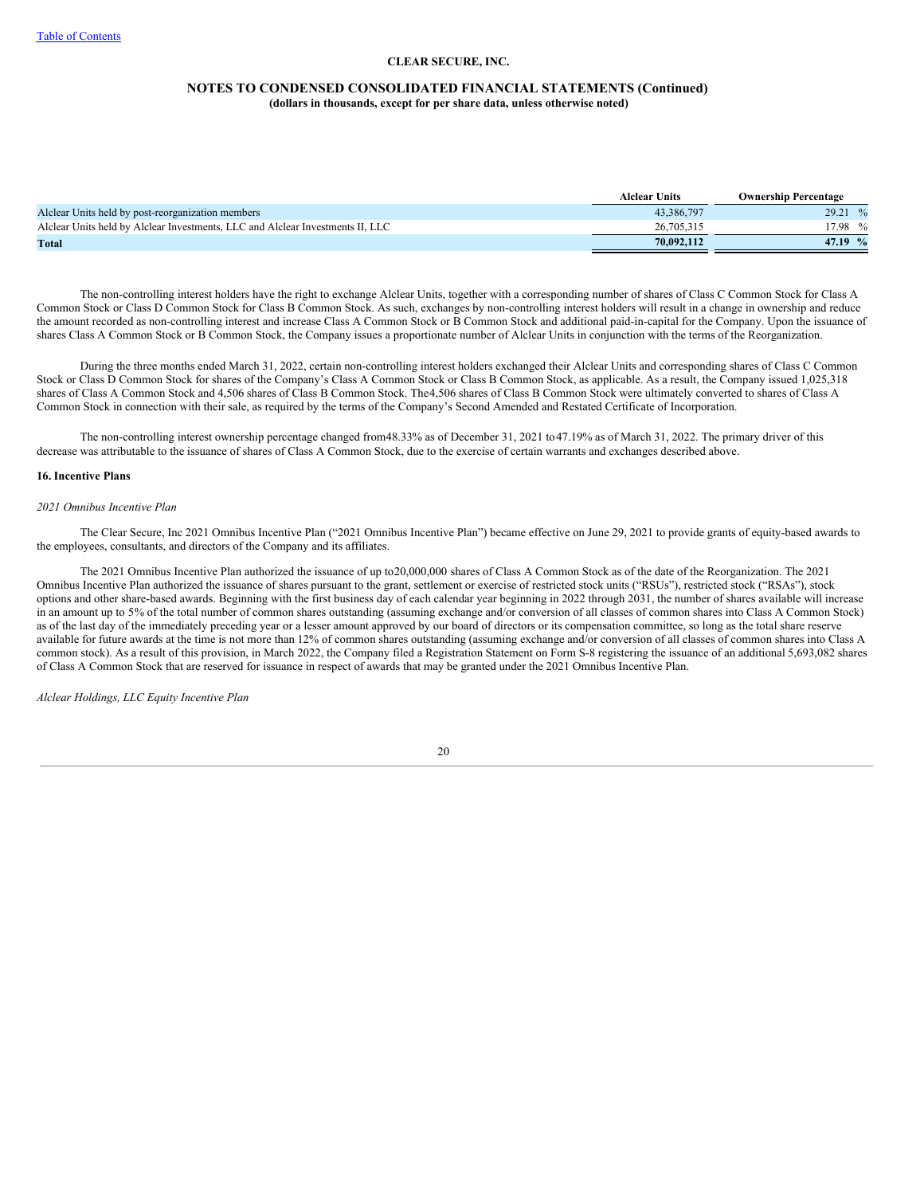## **NOTES TO CONDENSED CONSOLIDATED FINANCIAL STATEMENTS (Continued) (dollars in thousands, except for per share data, unless otherwise noted)**

|                                                                                | <b>Alclear Units</b> | <b>Ownership Percentage</b> |
|--------------------------------------------------------------------------------|----------------------|-----------------------------|
| Alclear Units held by post-reorganization members                              | 43.386.797           | $29.21\%$                   |
| Alclear Units held by Alclear Investments, LLC and Alclear Investments II, LLC | 26,705,315           | 17.98 %                     |
| <b>Total</b>                                                                   | 70.092.112           | $47.19\%$                   |

The non-controlling interest holders have the right to exchange Alclear Units, together with a corresponding number of shares of Class C Common Stock for Class A Common Stock or Class D Common Stock for Class B Common Stock. As such, exchanges by non-controlling interest holders will result in a change in ownership and reduce the amount recorded as non-controlling interest and increase Class A Common Stock or B Common Stock and additional paid-in-capital for the Company. Upon the issuance of shares Class A Common Stock or B Common Stock, the Company issues a proportionate number of Alclear Units in conjunction with the terms of the Reorganization.

During the three months ended March 31, 2022, certain non-controlling interest holders exchanged their Alclear Units and corresponding shares of Class C Common Stock or Class D Common Stock for shares of the Company's Class A Common Stock or Class B Common Stock, as applicable. As a result, the Company issued 1,025,318 shares of Class A Common Stock and 4,506 shares of Class B Common Stock. The4,506 shares of Class B Common Stock were ultimately converted to shares of Class A Common Stock in connection with their sale, as required by the terms of the Company's Second Amended and Restated Certificate of Incorporation.

The non-controlling interest ownership percentage changed from48.33% as of December 31, 2021 to47.19% as of March 31, 2022. The primary driver of this decrease was attributable to the issuance of shares of Class A Common Stock, due to the exercise of certain warrants and exchanges described above.

#### **16. Incentive Plans**

# *2021 Omnibus Incentive Plan*

The Clear Secure, Inc 2021 Omnibus Incentive Plan ("2021 Omnibus Incentive Plan") became effective on June 29, 2021 to provide grants of equity-based awards to the employees, consultants, and directors of the Company and its affiliates.

The 2021 Omnibus Incentive Plan authorized the issuance of up to20,000,000 shares of Class A Common Stock as of the date of the Reorganization. The 2021 Omnibus Incentive Plan authorized the issuance of shares pursuant to the grant, settlement or exercise of restricted stock units ("RSUs"), restricted stock ("RSAs"), stock options and other share-based awards. Beginning with the first business day of each calendar year beginning in 2022 through 2031, the number of shares available will increase in an amount up to 5% of the total number of common shares outstanding (assuming exchange and/or conversion of all classes of common shares into Class A Common Stock) as of the last day of the immediately preceding year or a lesser amount approved by our board of directors or its compensation committee, so long as the total share reserve available for future awards at the time is not more than 12% of common shares outstanding (assuming exchange and/or conversion of all classes of common shares into Class A common stock). As a result of this provision, in March 2022, the Company filed a Registration Statement on Form S-8 registering the issuance of an additional 5,693,082 shares of Class A Common Stock that are reserved for issuance in respect of awards that may be granted under the 2021 Omnibus Incentive Plan.

*Alclear Holdings, LLC Equity Incentive Plan*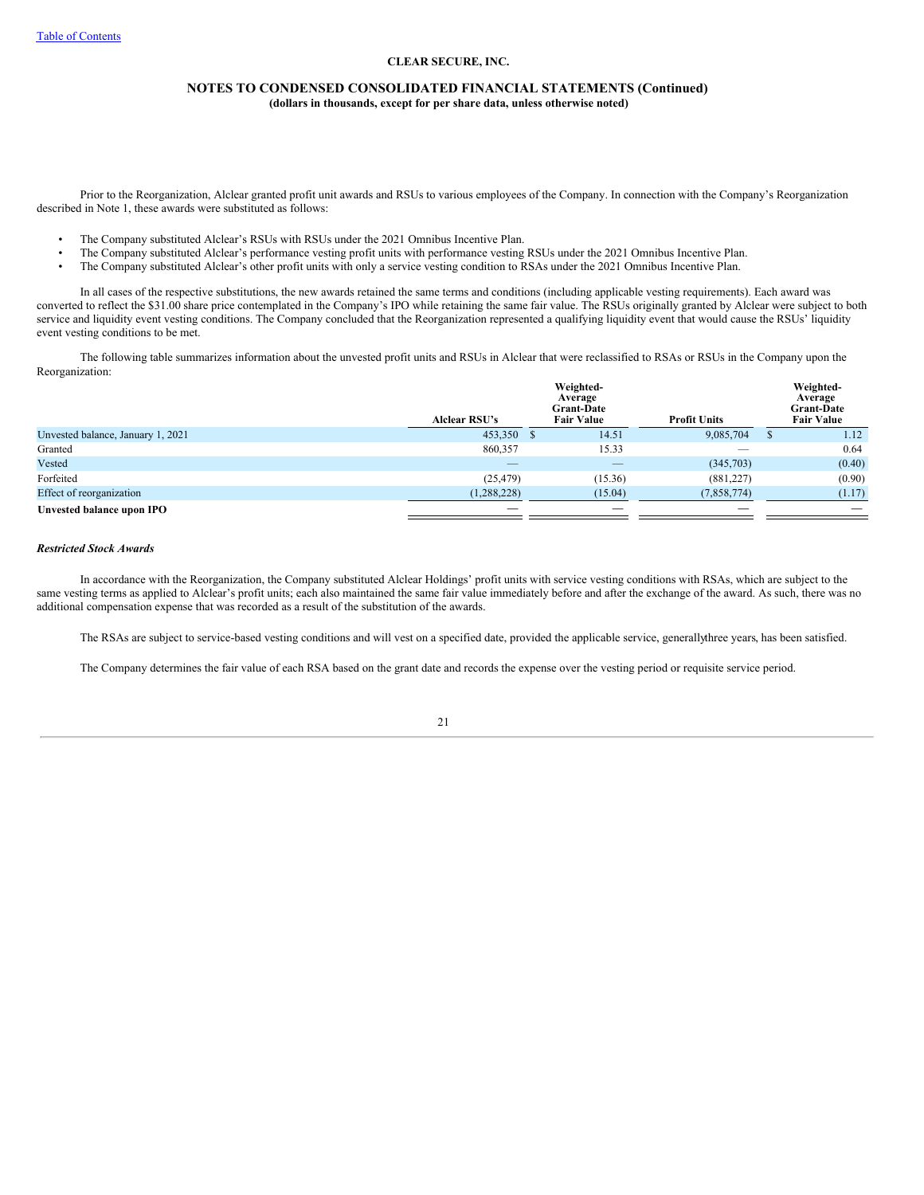# **NOTES TO CONDENSED CONSOLIDATED FINANCIAL STATEMENTS (Continued) (dollars in thousands, except for per share data, unless otherwise noted)**

Prior to the Reorganization, Alclear granted profit unit awards and RSUs to various employees of the Company. In connection with the Company's Reorganization described in Note 1, these awards were substituted as follows:

- The Company substituted Alclear's RSUs with RSUs under the 2021 Omnibus Incentive Plan.
- The Company substituted Alclear's performance vesting profit units with performance vesting RSUs under the 2021 Omnibus Incentive Plan.
- The Company substituted Alclear's other profit units with only a service vesting condition to RSAs under the 2021 Omnibus Incentive Plan.

In all cases of the respective substitutions, the new awards retained the same terms and conditions (including applicable vesting requirements). Each award was converted to reflect the \$31.00 share price contemplated in the Company's IPO while retaining the same fair value. The RSUs originally granted by Alclear were subject to both service and liquidity event vesting conditions. The Company concluded that the Reorganization represented a qualifying liquidity event that would cause the RSUs' liquidity event vesting conditions to be met.

The following table summarizes information about the unvested profit units and RSUs in Alclear that were reclassified to RSAs or RSUs in the Company upon the Reorganization:

|                                   | <b>Alclear RSU's</b> | Weighted-<br>Average<br><b>Grant-Date</b><br><b>Fair Value</b> | <b>Profit Units</b> | Weighted-<br>Average<br><b>Grant-Date</b><br><b>Fair Value</b> |
|-----------------------------------|----------------------|----------------------------------------------------------------|---------------------|----------------------------------------------------------------|
| Unvested balance, January 1, 2021 | 453,350 \$           | 14.51                                                          | 9,085,704           | 1.12                                                           |
| Granted                           | 860,357              | 15.33                                                          |                     | 0.64                                                           |
| Vested                            | _                    |                                                                | (345,703)           | (0.40)                                                         |
| Forfeited                         | (25, 479)            | (15.36)                                                        | (881, 227)          | (0.90)                                                         |
| Effect of reorganization          | (1,288,228)          | (15.04)                                                        | (7,858,774)         | (1.17)                                                         |
| Unvested balance upon IPO         |                      |                                                                |                     |                                                                |

# *Restricted Stock Awards*

In accordance with the Reorganization, the Company substituted Alclear Holdings' profit units with service vesting conditions with RSAs, which are subject to the same vesting terms as applied to Alclear's profit units; each also maintained the same fair value immediately before and after the exchange of the award. As such, there was no additional compensation expense that was recorded as a result of the substitution of the awards.

The RSAs are subject to service-based vesting conditions and will vest on a specified date, provided the applicable service, generallythree years, has been satisfied.

The Company determines the fair value of each RSA based on the grant date and records the expense over the vesting period or requisite service period.

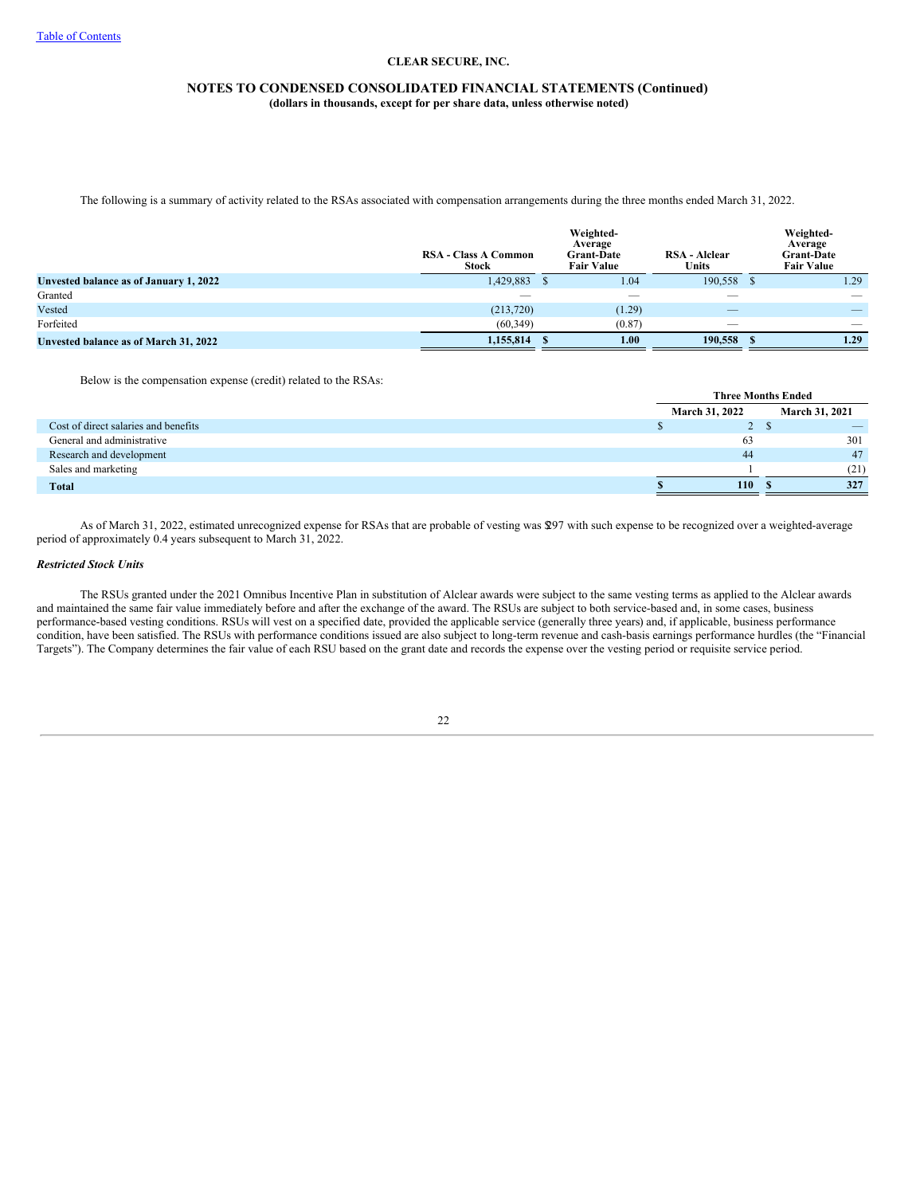# **NOTES TO CONDENSED CONSOLIDATED FINANCIAL STATEMENTS (Continued) (dollars in thousands, except for per share data, unless otherwise noted)**

The following is a summary of activity related to the RSAs associated with compensation arrangements during the three months ended March 31, 2022.

|                                        | <b>RSA - Class A Common</b><br><b>Stock</b> | Weighted-<br>Average<br><b>Grant-Date</b><br><b>Fair Value</b> | RSA - Alclear<br>Units   | Weighted-<br>Average<br><b>Grant-Date</b><br><b>Fair Value</b> |
|----------------------------------------|---------------------------------------------|----------------------------------------------------------------|--------------------------|----------------------------------------------------------------|
| Unvested balance as of January 1, 2022 | 1,429,883 \$                                | 1.04                                                           | 190,558 \$               | 1.29                                                           |
| Granted                                | $\sim$                                      | $\overline{\phantom{a}}$                                       | $\overline{\phantom{m}}$ | $\overline{\phantom{a}}$                                       |
| Vested                                 | (213,720)                                   | (1.29)                                                         | __                       |                                                                |
| Forfeited                              | (60, 349)                                   | (0.87)                                                         | __                       |                                                                |
| Unvested balance as of March 31, 2022  | 1,155,814 \$                                | 1.00 <sub>1</sub>                                              | 190,558                  | 1.29                                                           |

Below is the compensation expense (credit) related to the RSAs:

|                                      | <b>Three Months Ended</b> |                |      |
|--------------------------------------|---------------------------|----------------|------|
|                                      | March 31, 2022            | March 31, 2021 |      |
| Cost of direct salaries and benefits | 2 <sup>5</sup>            |                |      |
| General and administrative           | 63                        |                | 301  |
| Research and development             | 44                        |                | 47   |
| Sales and marketing                  |                           |                | (21) |
| <b>Total</b>                         | 110 <sub>5</sub>          |                | 327  |

As of March 31, 2022, estimated unrecognized expense for RSAs that are probable of vesting was \$297 with such expense to be recognized over a weighted-average period of approximately 0.4 years subsequent to March 31, 2022.

# *Restricted Stock Units*

The RSUs granted under the 2021 Omnibus Incentive Plan in substitution of Alclear awards were subject to the same vesting terms as applied to the Alclear awards and maintained the same fair value immediately before and after the exchange of the award. The RSUs are subject to both service-based and, in some cases, business performance-based vesting conditions. RSUs will vest on a specified date, provided the applicable service (generally three years) and, if applicable, business performance condition, have been satisfied. The RSUs with performance conditions issued are also subject to long-term revenue and cash-basis earnings performance hurdles (the "Financial Targets"). The Company determines the fair value of each RSU based on the grant date and records the expense over the vesting period or requisite service period.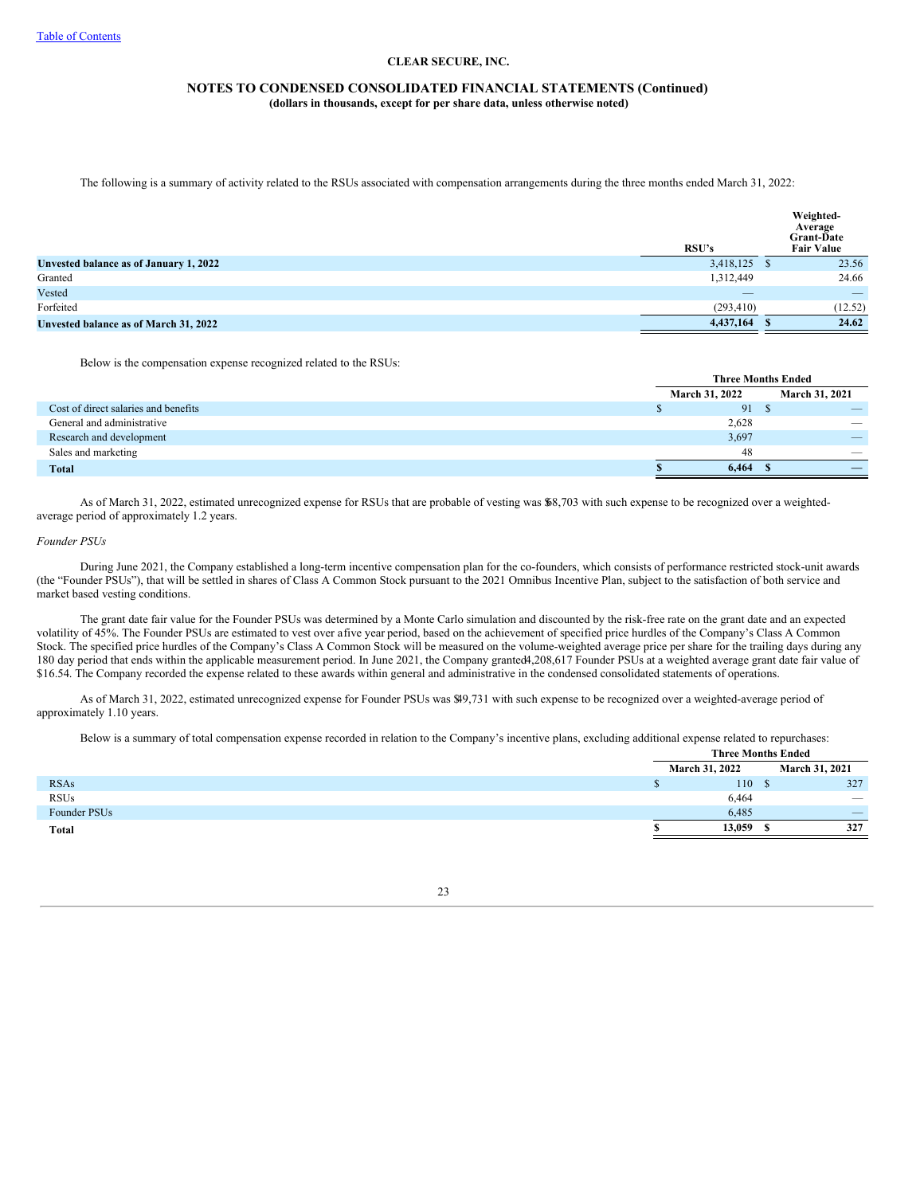# **NOTES TO CONDENSED CONSOLIDATED FINANCIAL STATEMENTS (Continued)**

**(dollars in thousands, except for per share data, unless otherwise noted)**

The following is a summary of activity related to the RSUs associated with compensation arrangements during the three months ended March 31, 2022:

|                                        | RSU's        |      | Weighted-<br>Average<br><b>Grant-Date</b><br><b>Fair Value</b> |
|----------------------------------------|--------------|------|----------------------------------------------------------------|
| Unvested balance as of January 1, 2022 | 3,418,125 \$ |      | 23.56                                                          |
| Granted                                | 1,312,449    |      | 24.66                                                          |
| Vested                                 |              |      |                                                                |
| Forfeited                              | (293, 410)   |      | (12.52)                                                        |
| Unvested balance as of March 31, 2022  | 4,437,164    | - \$ | 24.62                                                          |

Below is the compensation expense recognized related to the RSUs:

|                                      |  | <b>Three Months Ended</b> |                                 |
|--------------------------------------|--|---------------------------|---------------------------------|
|                                      |  | March 31, 2022            | March 31, 2021                  |
| Cost of direct salaries and benefits |  | 91 \$                     | $\overline{\phantom{a}}$        |
| General and administrative           |  | 2,628                     | $\hspace{0.1mm}-\hspace{0.1mm}$ |
| Research and development             |  | 3,697                     |                                 |
| Sales and marketing                  |  | 48                        |                                 |
| <b>Total</b>                         |  | $6,464$ \$                |                                 |

As of March 31, 2022, estimated unrecognized expense for RSUs that are probable of vesting was \$68,703 with such expense to be recognized over a weightedaverage period of approximately 1.2 years.

#### *Founder PSUs*

During June 2021, the Company established a long-term incentive compensation plan for the co-founders, which consists of performance restricted stock-unit awards (the "Founder PSUs"), that will be settled in shares of Class A Common Stock pursuant to the 2021 Omnibus Incentive Plan, subject to the satisfaction of both service and market based vesting conditions.

The grant date fair value for the Founder PSUs was determined by a Monte Carlo simulation and discounted by the risk-free rate on the grant date and an expected volatility of 45%. The Founder PSUs are estimated to vest over afive year period, based on the achievement of specified price hurdles of the Company's Class A Common Stock. The specified price hurdles of the Company's Class A Common Stock will be measured on the volume-weighted average price per share for the trailing days during any 180 day period that ends within the applicable measurement period. In June 2021, the Company granted4,208,617 Founder PSUs at a weighted average grant date fair value of \$16.54. The Company recorded the expense related to these awards within general and administrative in the condensed consolidated statements of operations.

As of March 31, 2022, estimated unrecognized expense for Founder PSUs was \$49,731 with such expense to be recognized over a weighted-average period of approximately 1.10 years.

Below is a summary of total compensation expense recorded in relation to the Company's incentive plans, excluding additional expense related to repurchases:

|              | <b>Three Months Ended</b> |  |                               |
|--------------|---------------------------|--|-------------------------------|
|              | March 31, 2022            |  | March 31, 2021                |
| <b>RSAs</b>  | 110                       |  | 327                           |
| <b>RSUs</b>  | 6,464                     |  | $\overbrace{\phantom{aaaaa}}$ |
| Founder PSUs | 6,485                     |  | $\sim$                        |
| Total        | 13,059                    |  | 327                           |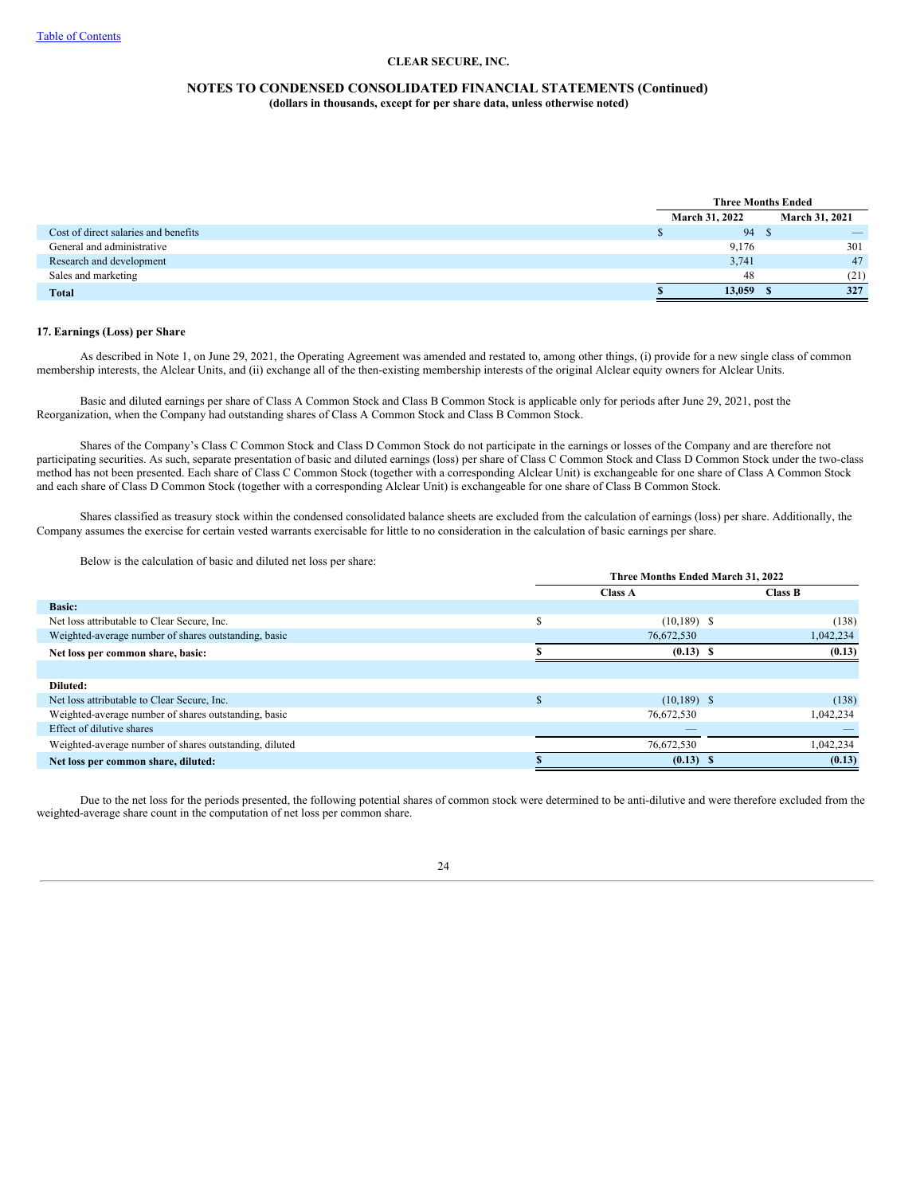# **NOTES TO CONDENSED CONSOLIDATED FINANCIAL STATEMENTS (Continued) (dollars in thousands, except for per share data, unless otherwise noted)**

|                                      | <b>Three Months Ended</b> |                |  |                       |
|--------------------------------------|---------------------------|----------------|--|-----------------------|
|                                      |                           | March 31, 2022 |  | <b>March 31, 2021</b> |
| Cost of direct salaries and benefits |                           | 94             |  | __                    |
| General and administrative           |                           | 9,176          |  | 301                   |
| Research and development             |                           | 3,741          |  | 47                    |
| Sales and marketing                  |                           | 48             |  | (21)                  |
| <b>Total</b>                         |                           | 13,059         |  | 327                   |

# **17. Earnings (Loss) per Share**

As described in Note 1, on June 29, 2021, the Operating Agreement was amended and restated to, among other things, (i) provide for a new single class of common membership interests, the Alclear Units, and (ii) exchange all of the then-existing membership interests of the original Alclear equity owners for Alclear Units.

Basic and diluted earnings per share of Class A Common Stock and Class B Common Stock is applicable only for periods after June 29, 2021, post the Reorganization, when the Company had outstanding shares of Class A Common Stock and Class B Common Stock.

Shares of the Company's Class C Common Stock and Class D Common Stock do not participate in the earnings or losses of the Company and are therefore not participating securities. As such, separate presentation of basic and diluted earnings (loss) per share of Class C Common Stock and Class D Common Stock under the two-class method has not been presented. Each share of Class C Common Stock (together with a corresponding Alclear Unit) is exchangeable for one share of Class A Common Stock and each share of Class D Common Stock (together with a corresponding Alclear Unit) is exchangeable for one share of Class B Common Stock.

Shares classified as treasury stock within the condensed consolidated balance sheets are excluded from the calculation of earnings (loss) per share. Additionally, the Company assumes the exercise for certain vested warrants exercisable for little to no consideration in the calculation of basic earnings per share.

Below is the calculation of basic and diluted net loss per share:

|                                                        | Three Months Ended March 31, 2022 |                |  |           |
|--------------------------------------------------------|-----------------------------------|----------------|--|-----------|
|                                                        |                                   | <b>Class A</b> |  | Class B   |
| <b>Basic:</b>                                          |                                   |                |  |           |
| Net loss attributable to Clear Secure, Inc.            | J.                                | $(10, 189)$ \$ |  | (138)     |
| Weighted-average number of shares outstanding, basic   |                                   | 76,672,530     |  | 1,042,234 |
| Net loss per common share, basic:                      |                                   | (0.13) S       |  | (0.13)    |
|                                                        |                                   |                |  |           |
| Diluted:                                               |                                   |                |  |           |
| Net loss attributable to Clear Secure, Inc.            | \$                                | $(10,189)$ \$  |  | (138)     |
| Weighted-average number of shares outstanding, basic   |                                   | 76,672,530     |  | 1,042,234 |
| Effect of dilutive shares                              |                                   | $-$            |  |           |
| Weighted-average number of shares outstanding, diluted |                                   | 76,672,530     |  | 1,042,234 |
| Net loss per common share, diluted:                    |                                   | $(0.13)$ \$    |  | (0.13)    |

Due to the net loss for the periods presented, the following potential shares of common stock were determined to be anti-dilutive and were therefore excluded from the weighted-average share count in the computation of net loss per common share.

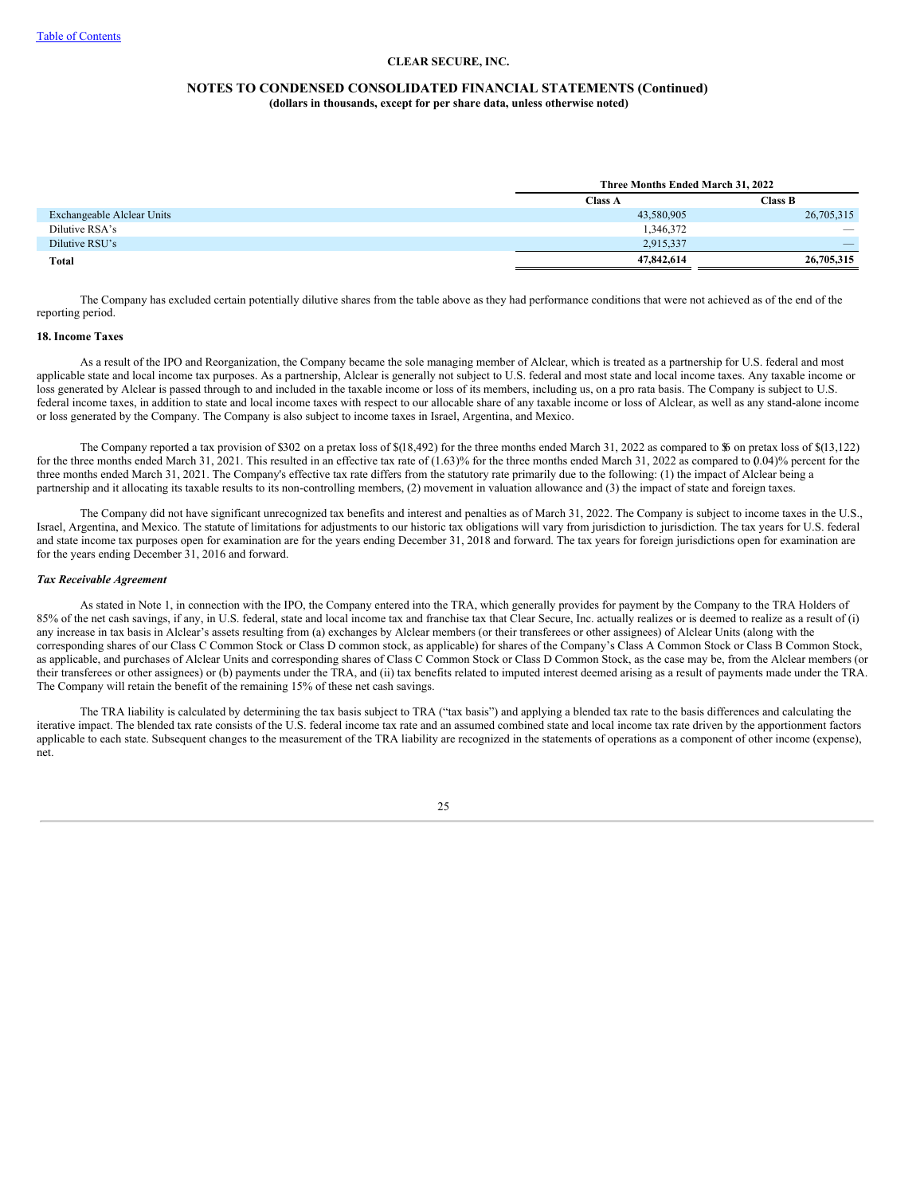# **NOTES TO CONDENSED CONSOLIDATED FINANCIAL STATEMENTS (Continued) (dollars in thousands, except for per share data, unless otherwise noted)**

|                            | Three Months Ended March 31, 2022 |                          |  |  |  |
|----------------------------|-----------------------------------|--------------------------|--|--|--|
|                            | <b>Class A</b>                    | <b>Class B</b>           |  |  |  |
| Exchangeable Alclear Units | 43,580,905                        | 26,705,315               |  |  |  |
| Dilutive RSA's             | 1,346,372                         | $\overline{\phantom{a}}$ |  |  |  |
| Dilutive RSU's             | 2,915,337                         | $\sim$                   |  |  |  |
| Total                      | 47,842,614                        | 26,705,315               |  |  |  |

The Company has excluded certain potentially dilutive shares from the table above as they had performance conditions that were not achieved as of the end of the reporting period.

#### **18. Income Taxes**

As a result of the IPO and Reorganization, the Company became the sole managing member of Alclear, which is treated as a partnership for U.S. federal and most applicable state and local income tax purposes. As a partnership, Alclear is generally not subject to U.S. federal and most state and local income taxes. Any taxable income or loss generated by Alclear is passed through to and included in the taxable income or loss of its members, including us, on a pro rata basis. The Company is subject to U.S. federal income taxes, in addition to state and local income taxes with respect to our allocable share of any taxable income or loss of Alclear, as well as any stand-alone income or loss generated by the Company. The Company is also subject to income taxes in Israel, Argentina, and Mexico.

The Company reported a tax provision of \$302 on a pretax loss of \$(18,492) for the three months ended March 31, 2022 as compared to \$6 on pretax loss of \$(13,122) for the three months ended March 31, 2021. This resulted in an effective tax rate of  $(1.63)$ % for the three months ended March 31, 2022 as compared to 0.04)% percent for the three months ended March 31, 2021. The Company's effective tax rate differs from the statutory rate primarily due to the following: (1) the impact of Alclear being a partnership and it allocating its taxable results to its non-controlling members, (2) movement in valuation allowance and (3) the impact of state and foreign taxes.

The Company did not have significant unrecognized tax benefits and interest and penalties as of March 31, 2022. The Company is subject to income taxes in the U.S., Israel, Argentina, and Mexico. The statute of limitations for adjustments to our historic tax obligations will vary from jurisdiction to jurisdiction. The tax years for U.S. federal and state income tax purposes open for examination are for the years ending December 31, 2018 and forward. The tax years for foreign jurisdictions open for examination are for the years ending December 31, 2016 and forward.

#### *Tax Receivable Agreement*

As stated in Note 1, in connection with the IPO, the Company entered into the TRA, which generally provides for payment by the Company to the TRA Holders of 85% of the net cash savings, if any, in U.S. federal, state and local income tax and franchise tax that Clear Secure, Inc. actually realizes or is deemed to realize as a result of (i) any increase in tax basis in Alclear's assets resulting from (a) exchanges by Alclear members (or their transferees or other assignees) of Alclear Units (along with the corresponding shares of our Class C Common Stock or Class D common stock, as applicable) for shares of the Company's Class A Common Stock or Class B Common Stock, as applicable, and purchases of Alclear Units and corresponding shares of Class C Common Stock or Class D Common Stock, as the case may be, from the Alclear members (or their transferees or other assignees) or (b) payments under the TRA, and (ii) tax benefits related to imputed interest deemed arising as a result of payments made under the TRA. The Company will retain the benefit of the remaining 15% of these net cash savings.

The TRA liability is calculated by determining the tax basis subject to TRA ("tax basis") and applying a blended tax rate to the basis differences and calculating the iterative impact. The blended tax rate consists of the U.S. federal income tax rate and an assumed combined state and local income tax rate driven by the apportionment factors applicable to each state. Subsequent changes to the measurement of the TRA liability are recognized in the statements of operations as a component of other income (expense), net.

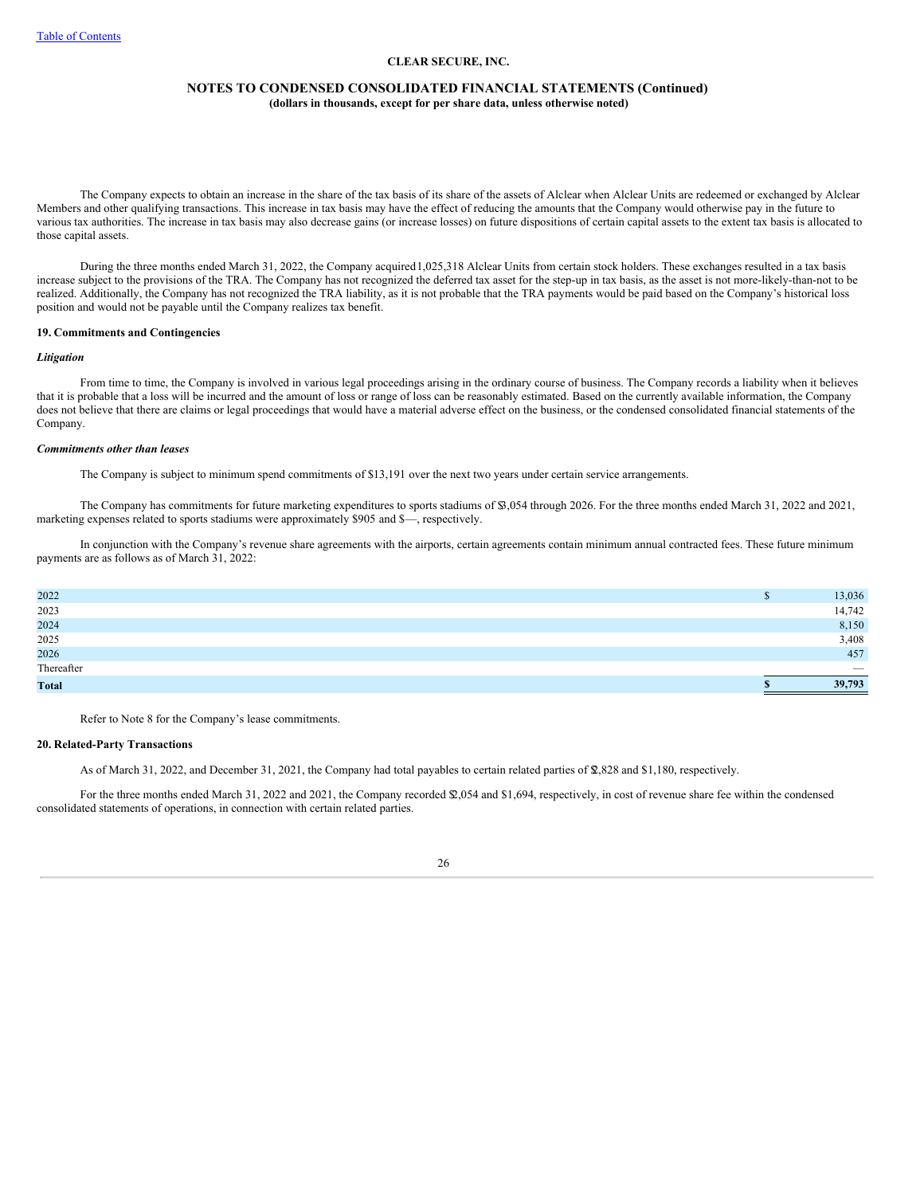## **NOTES TO CONDENSED CONSOLIDATED FINANCIAL STATEMENTS (Continued) (dollars in thousands, except for per share data, unless otherwise noted)**

The Company expects to obtain an increase in the share of the tax basis of its share of the assets of Alclear when Alclear Units are redeemed or exchanged by Alclear Members and other qualifying transactions. This increase in tax basis may have the effect of reducing the amounts that the Company would otherwise pay in the future to various tax authorities. The increase in tax basis may also decrease gains (or increase losses) on future dispositions of certain capital assets to the extent tax basis is allocated to those capital assets.

During the three months ended March 31, 2022, the Company acquired 1,025,318 Alclear Units from certain stock holders. These exchanges resulted in a tax basis increase subject to the provisions of the TRA. The Company has not recognized the deferred tax asset for the step-up in tax basis, as the asset is not more-likely-than-not to be realized. Additionally, the Company has not recognized the TRA liability, as it is not probable that the TRA payments would be paid based on the Company's historical loss position and would not be payable until the Company realizes tax benefit.

## **19. Commitments and Contingencies**

## *Litigation*

From time to time, the Company is involved in various legal proceedings arising in the ordinary course of business. The Company records a liability when it believes that it is probable that a loss will be incurred and the amount of loss or range of loss can be reasonably estimated. Based on the currently available information, the Company does not believe that there are claims or legal proceedings that would have a material adverse effect on the business, or the condensed consolidated financial statements of the Company.

#### *Commitments other than leases*

The Company is subject to minimum spend commitments of \$13,191 over the next two years under certain service arrangements.

The Company has commitments for future marketing expenditures to sports stadiums of \$3,054 through 2026. For the three months ended March 31, 2022 and 2021, marketing expenses related to sports stadiums were approximately \$905 and \$—, respectively.

In conjunction with the Company's revenue share agreements with the airports, certain agreements contain minimum annual contracted fees. These future minimum payments are as follows as of March 31, 2022:

| 2022         | - 17 | 13,036 |
|--------------|------|--------|
| 2023         |      | 14,742 |
| 2024         |      | 8,150  |
| $2025\,$     |      | 3,408  |
| 2026         |      | 457    |
| Thereafter   |      |        |
| <b>Total</b> |      | 39,793 |

Refer to Note 8 for the Company's lease commitments.

## **20. Related-Party Transactions**

As of March 31, 2022, and December 31, 2021, the Company had total payables to certain related parties of \$2,828 and \$1,180, respectively.

For the three months ended March 31, 2022 and 2021, the Company recorded \$2,054 and \$1,694, respectively, in cost of revenue share fee within the condensed consolidated statements of operations, in connection with certain related parties.

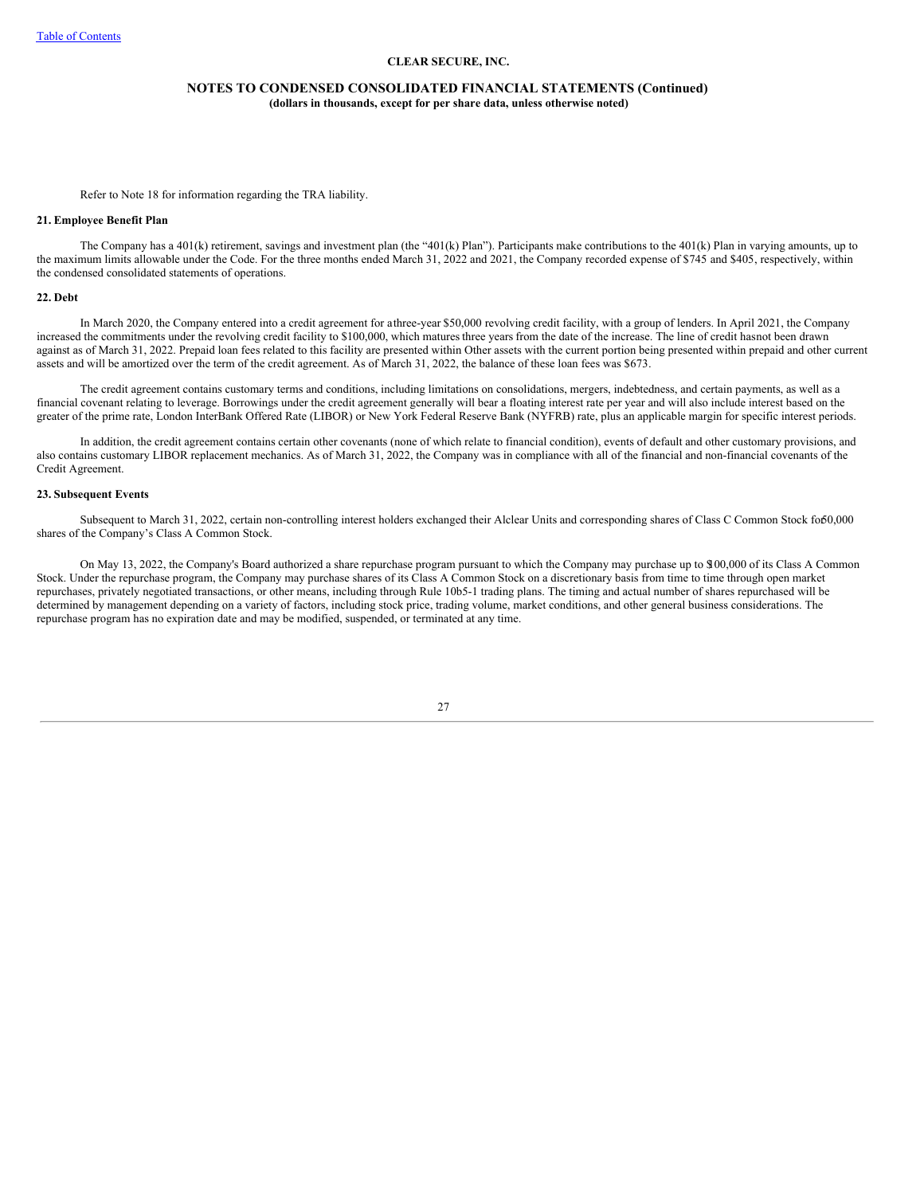# **NOTES TO CONDENSED CONSOLIDATED FINANCIAL STATEMENTS (Continued) (dollars in thousands, except for per share data, unless otherwise noted)**

Refer to Note 18 for information regarding the TRA liability.

#### **21. Employee Benefit Plan**

The Company has a 401(k) retirement, savings and investment plan (the "401(k) Plan"). Participants make contributions to the 401(k) Plan in varying amounts, up to the maximum limits allowable under the Code. For the three months ended March 31, 2022 and 2021, the Company recorded expense of \$745 and \$405, respectively, within the condensed consolidated statements of operations.

# **22. Debt**

In March 2020, the Company entered into a credit agreement for athree-year \$50,000 revolving credit facility, with a group of lenders. In April 2021, the Company increased the commitments under the revolving credit facility to \$100,000, which matures three years from the date of the increase. The line of credit hasnot been drawn against as of March 31, 2022. Prepaid loan fees related to this facility are presented within Other assets with the current portion being presented within prepaid and other current assets and will be amortized over the term of the credit agreement. As of March 31, 2022, the balance of these loan fees was \$673.

The credit agreement contains customary terms and conditions, including limitations on consolidations, mergers, indebtedness, and certain payments, as well as a financial covenant relating to leverage. Borrowings under the credit agreement generally will bear a floating interest rate per year and will also include interest based on the greater of the prime rate, London InterBank Offered Rate (LIBOR) or New York Federal Reserve Bank (NYFRB) rate, plus an applicable margin for specific interest periods.

In addition, the credit agreement contains certain other covenants (none of which relate to financial condition), events of default and other customary provisions, and also contains customary LIBOR replacement mechanics. As of March 31, 2022, the Company was in compliance with all of the financial and non-financial covenants of the Credit Agreement.

#### **23. Subsequent Events**

Subsequent to March 31, 2022, certain non-controlling interest holders exchanged their Alclear Units and corresponding shares of Class C Common Stock for50,000 shares of the Company's Class A Common Stock.

<span id="page-28-0"></span>On May 13, 2022, the Company's Board authorized a share repurchase program pursuant to which the Company may purchase up to \$100,000 of its Class A Common Stock. Under the repurchase program, the Company may purchase shares of its Class A Common Stock on a discretionary basis from time to time through open market repurchases, privately negotiated transactions, or other means, including through Rule 10b5-1 trading plans. The timing and actual number of shares repurchased will be determined by management depending on a variety of factors, including stock price, trading volume, market conditions, and other general business considerations. The repurchase program has no expiration date and may be modified, suspended, or terminated at any time.

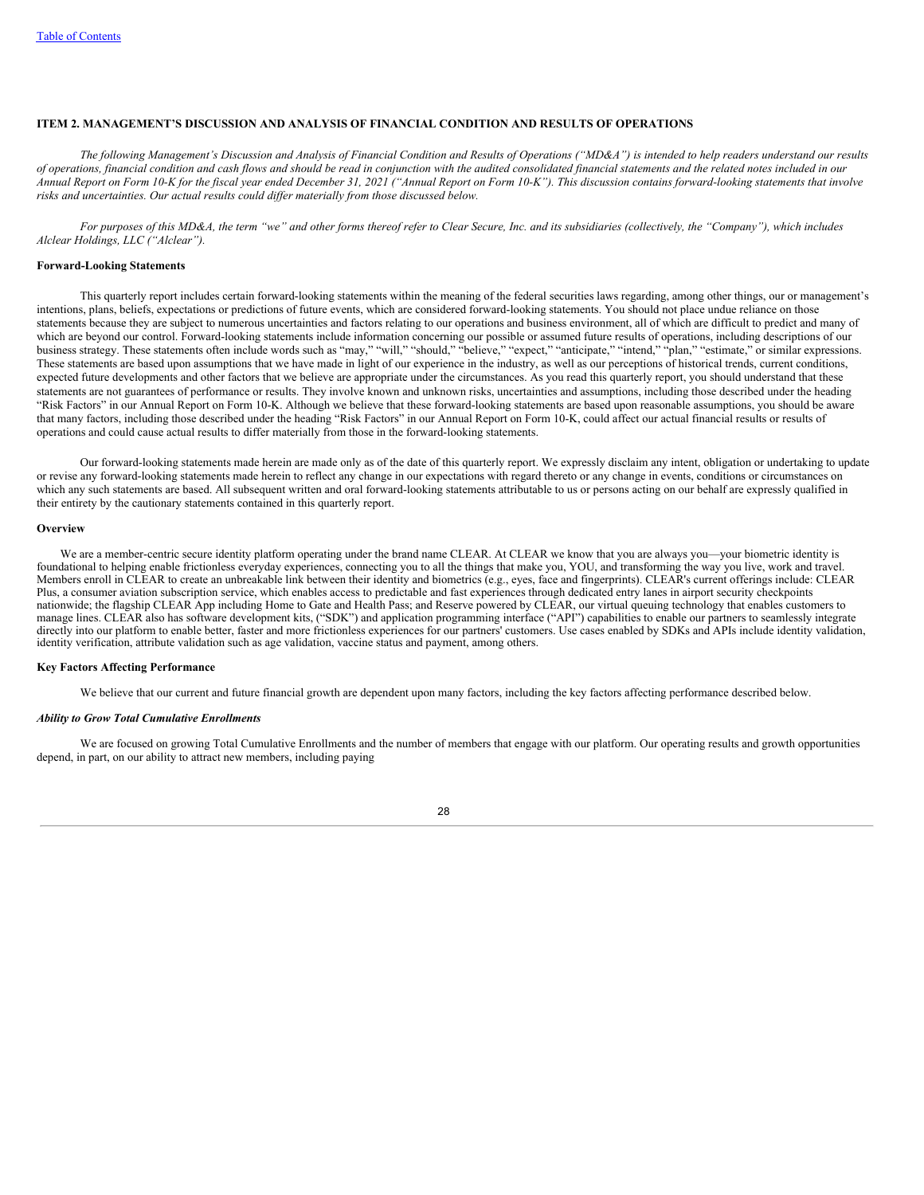# **ITEM 2. MANAGEMENT'S DISCUSSION AND ANALYSIS OF FINANCIAL CONDITION AND RESULTS OF OPERATIONS**

The following Management's Discussion and Analysis of Financial Condition and Results of Operations ("MD&A") is intended to help readers understand our results of operations, financial condition and cash flows and should be read in conjunction with the audited consolidated financial statements and the related notes included in our Annual Report on Form 10-K for the fiscal year ended December 31, 2021 ("Annual Report on Form 10-K"). This discussion contains forward-looking statements that involve *risks and uncertainties. Our actual results could dif er materially from those discussed below.*

For purposes of this MD&A, the term "we" and other forms thereof refer to Clear Secure, Inc. and its subsidiaries (collectively, the "Company"), which includes *Alclear Holdings, LLC ("Alclear").*

## **Forward-Looking Statements**

This quarterly report includes certain forward-looking statements within the meaning of the federal securities laws regarding, among other things, our or management's intentions, plans, beliefs, expectations or predictions of future events, which are considered forward-looking statements. You should not place undue reliance on those statements because they are subject to numerous uncertainties and factors relating to our operations and business environment, all of which are difficult to predict and many of which are beyond our control. Forward-looking statements include information concerning our possible or assumed future results of operations, including descriptions of our business strategy. These statements often include words such as "may," "will," "should," "believe," "expect," "anticipate," "intend," "plan," "estimate," or similar expressions. These statements are based upon assumptions that we have made in light of our experience in the industry, as well as our perceptions of historical trends, current conditions, expected future developments and other factors that we believe are appropriate under the circumstances. As you read this quarterly report, you should understand that these statements are not guarantees of performance or results. They involve known and unknown risks, uncertainties and assumptions, including those described under the heading "Risk Factors" in our Annual Report on Form 10-K. Although we believe that these forward-looking statements are based upon reasonable assumptions, you should be aware that many factors, including those described under the heading "Risk Factors" in our Annual Report on Form 10-K, could affect our actual financial results or results of operations and could cause actual results to differ materially from those in the forward-looking statements.

Our forward-looking statements made herein are made only as of the date of this quarterly report. We expressly disclaim any intent, obligation or undertaking to update or revise any forward-looking statements made herein to reflect any change in our expectations with regard thereto or any change in events, conditions or circumstances on which any such statements are based. All subsequent written and oral forward-looking statements attributable to us or persons acting on our behalf are expressly qualified in their entirety by the cautionary statements contained in this quarterly report.

#### **Overview**

We are a member-centric secure identity platform operating under the brand name CLEAR. At CLEAR we know that you are always you—your biometric identity is foundational to helping enable frictionless everyday experiences, connecting you to all the things that make you, YOU, and transforming the way you live, work and travel. Members enroll in CLEAR to create an unbreakable link between their identity and biometrics (e.g., eyes, face and fingerprints). CLEAR's current offerings include: CLEAR Plus, a consumer aviation subscription service, which enables access to predictable and fast experiences through dedicated entry lanes in airport security checkpoints nationwide; the flagship CLEAR App including Home to Gate and Health Pass; and Reserve powered by CLEAR, our virtual queuing technology that enables customers to manage lines. CLEAR also has software development kits, ("SDK") and application programming interface ("API") capabilities to enable our partners to seamlessly integrate directly into our platform to enable better, faster and more frictionless experiences for our partners' customers. Use cases enabled by SDKs and APIs include identity validation, identity verification, attribute validation such as age validation, vaccine status and payment, among others.

#### **Key Factors Affecting Performance**

We believe that our current and future financial growth are dependent upon many factors, including the key factors affecting performance described below.

#### *Ability to Grow Total Cumulative Enrollments*

We are focused on growing Total Cumulative Enrollments and the number of members that engage with our platform. Our operating results and growth opportunities depend, in part, on our ability to attract new members, including paying

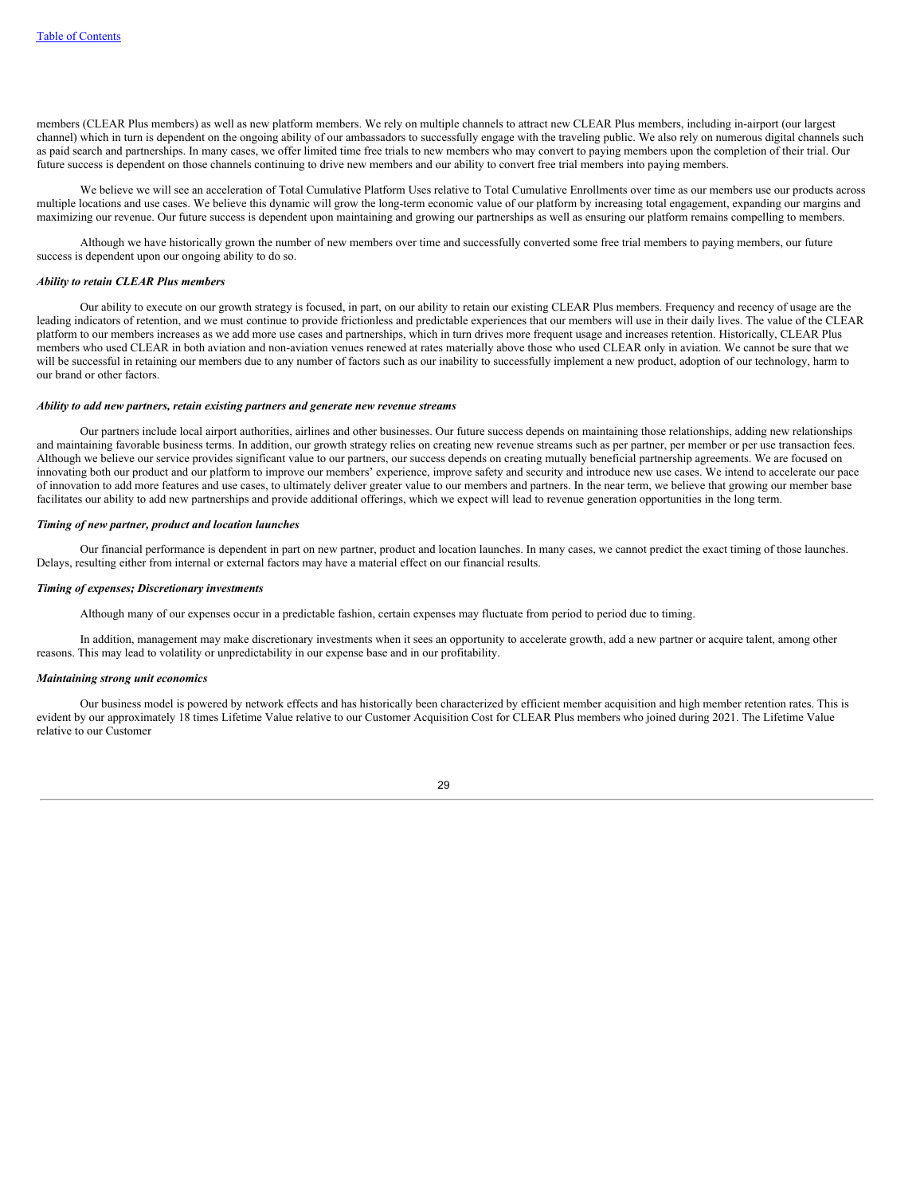members (CLEAR Plus members) as well as new platform members. We rely on multiple channels to attract new CLEAR Plus members, including in-airport (our largest channel) which in turn is dependent on the ongoing ability of our ambassadors to successfully engage with the traveling public. We also rely on numerous digital channels such as paid search and partnerships. In many cases, we offer limited time free trials to new members who may convert to paying members upon the completion of their trial. Our future success is dependent on those channels continuing to drive new members and our ability to convert free trial members into paying members.

We believe we will see an acceleration of Total Cumulative Platform Uses relative to Total Cumulative Enrollments over time as our members use our products across multiple locations and use cases. We believe this dynamic will grow the long-term economic value of our platform by increasing total engagement, expanding our margins and maximizing our revenue. Our future success is dependent upon maintaining and growing our partnerships as well as ensuring our platform remains compelling to members.

Although we have historically grown the number of new members over time and successfully converted some free trial members to paying members, our future success is dependent upon our ongoing ability to do so.

## *Ability to retain CLEAR Plus members*

Our ability to execute on our growth strategy is focused, in part, on our ability to retain our existing CLEAR Plus members. Frequency and recency of usage are the leading indicators of retention, and we must continue to provide frictionless and predictable experiences that our members will use in their daily lives. The value of the CLEAR platform to our members increases as we add more use cases and partnerships, which in turn drives more frequent usage and increases retention. Historically, CLEAR Plus members who used CLEAR in both aviation and non-aviation venues renewed at rates materially above those who used CLEAR only in aviation. We cannot be sure that we will be successful in retaining our members due to any number of factors such as our inability to successfully implement a new product, adoption of our technology, harm to our brand or other factors.

## *Ability to add new partners, retain existing partners and generate new revenue streams*

Our partners include local airport authorities, airlines and other businesses. Our future success depends on maintaining those relationships, adding new relationships and maintaining favorable business terms. In addition, our growth strategy relies on creating new revenue streams such as per partner, per member or per use transaction fees. Although we believe our service provides significant value to our partners, our success depends on creating mutually beneficial partnership agreements. We are focused on innovating both our product and our platform to improve our members' experience, improve safety and security and introduce new use cases. We intend to accelerate our pace of innovation to add more features and use cases, to ultimately deliver greater value to our members and partners. In the near term, we believe that growing our member base facilitates our ability to add new partnerships and provide additional offerings, which we expect will lead to revenue generation opportunities in the long term.

#### *Timing of new partner, product and location launches*

Our financial performance is dependent in part on new partner, product and location launches. In many cases, we cannot predict the exact timing of those launches. Delays, resulting either from internal or external factors may have a material effect on our financial results.

## *Timing of expenses; Discretionary investments*

Although many of our expenses occur in a predictable fashion, certain expenses may fluctuate from period to period due to timing.

In addition, management may make discretionary investments when it sees an opportunity to accelerate growth, add a new partner or acquire talent, among other reasons. This may lead to volatility or unpredictability in our expense base and in our profitability.

#### *Maintaining strong unit economics*

Our business model is powered by network effects and has historically been characterized by efficient member acquisition and high member retention rates. This is evident by our approximately 18 times Lifetime Value relative to our Customer Acquisition Cost for CLEAR Plus members who joined during 2021. The Lifetime Value relative to our Customer

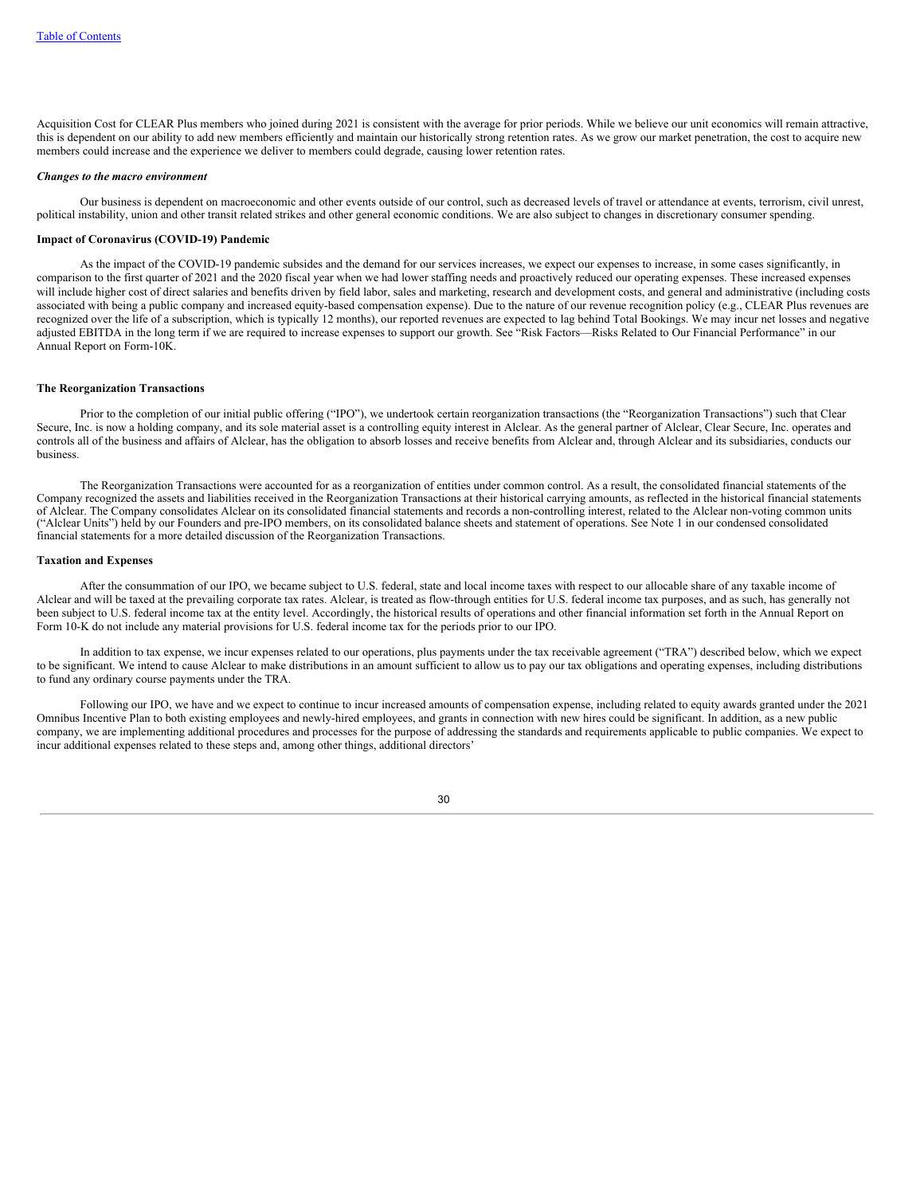Acquisition Cost for CLEAR Plus members who joined during 2021 is consistent with the average for prior periods. While we believe our unit economics will remain attractive, this is dependent on our ability to add new members efficiently and maintain our historically strong retention rates. As we grow our market penetration, the cost to acquire new members could increase and the experience we deliver to members could degrade, causing lower retention rates.

#### *Changes to the macro environment*

Our business is dependent on macroeconomic and other events outside of our control, such as decreased levels of travel or attendance at events, terrorism, civil unrest, political instability, union and other transit related strikes and other general economic conditions. We are also subject to changes in discretionary consumer spending.

# **Impact of Coronavirus (COVID-19) Pandemic**

As the impact of the COVID-19 pandemic subsides and the demand for our services increases, we expect our expenses to increase, in some cases significantly, in comparison to the first quarter of 2021 and the 2020 fiscal year when we had lower staffing needs and proactively reduced our operating expenses. These increased expenses will include higher cost of direct salaries and benefits driven by field labor, sales and marketing, research and development costs, and general and administrative (including costs associated with being a public company and increased equity-based compensation expense). Due to the nature of our revenue recognition policy (e.g., CLEAR Plus revenues are recognized over the life of a subscription, which is typically 12 months), our reported revenues are expected to lag behind Total Bookings. We may incur net losses and negative adjusted EBITDA in the long term if we are required to increase expenses to support our growth. See "Risk Factors—Risks Related to Our Financial Performance" in our Annual Report on Form-10K.

#### **The Reorganization Transactions**

Prior to the completion of our initial public offering ("IPO"), we undertook certain reorganization transactions (the "Reorganization Transactions") such that Clear Secure, Inc. is now a holding company, and its sole material asset is a controlling equity interest in Alclear. As the general partner of Alclear, Clear Secure, Inc. operates and controls all of the business and affairs of Alclear, has the obligation to absorb losses and receive benefits from Alclear and, through Alclear and its subsidiaries, conducts our business.

The Reorganization Transactions were accounted for as a reorganization of entities under common control. As a result, the consolidated financial statements of the Company recognized the assets and liabilities received in the Reorganization Transactions at their historical carrying amounts, as reflected in the historical financial statements of Alclear. The Company consolidates Alclear on its consolidated financial statements and records a non-controlling interest, related to the Alclear non-voting common units ("Alclear Units") held by our Founders and pre-IPO members, on its consolidated balance sheets and statement of operations. See Note 1 in our condensed consolidated financial statements for a more detailed discussion of the Reorganization Transactions.

#### **Taxation and Expenses**

After the consummation of our IPO, we became subject to U.S. federal, state and local income taxes with respect to our allocable share of any taxable income of Alclear and will be taxed at the prevailing corporate tax rates. Alclear, is treated as flow-through entities for U.S. federal income tax purposes, and as such, has generally not been subject to U.S. federal income tax at the entity level. Accordingly, the historical results of operations and other financial information set forth in the Annual Report on Form 10-K do not include any material provisions for U.S. federal income tax for the periods prior to our IPO.

In addition to tax expense, we incur expenses related to our operations, plus payments under the tax receivable agreement ("TRA") described below, which we expect to be significant. We intend to cause Alclear to make distributions in an amount sufficient to allow us to pay our tax obligations and operating expenses, including distributions to fund any ordinary course payments under the TRA.

Following our IPO, we have and we expect to continue to incur increased amounts of compensation expense, including related to equity awards granted under the 2021 Omnibus Incentive Plan to both existing employees and newly-hired employees, and grants in connection with new hires could be significant. In addition, as a new public company, we are implementing additional procedures and processes for the purpose of addressing the standards and requirements applicable to public companies. We expect to incur additional expenses related to these steps and, among other things, additional directors'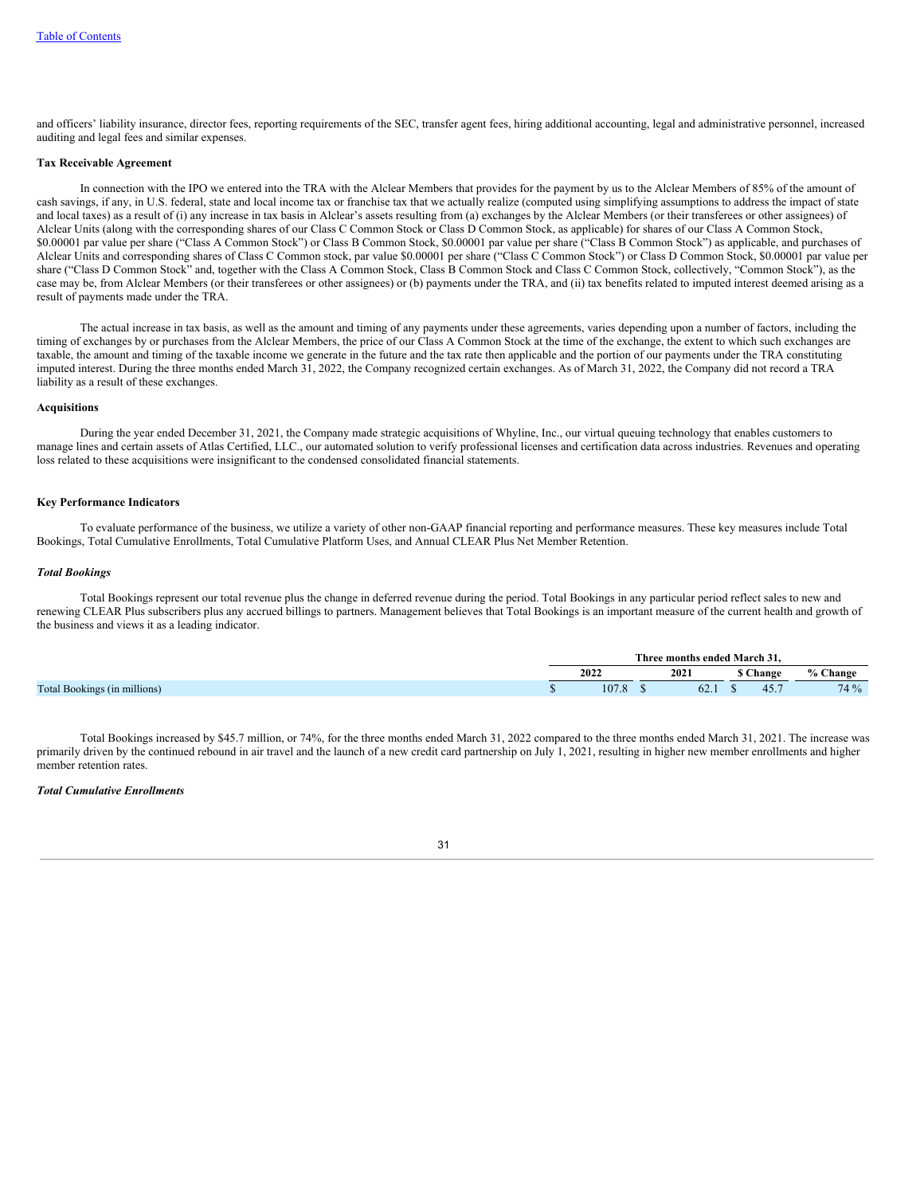and officers' liability insurance, director fees, reporting requirements of the SEC, transfer agent fees, hiring additional accounting, legal and administrative personnel, increased auditing and legal fees and similar expenses.

# **Tax Receivable Agreement**

In connection with the IPO we entered into the TRA with the Alclear Members that provides for the payment by us to the Alclear Members of 85% of the amount of cash savings, if any, in U.S. federal, state and local income tax or franchise tax that we actually realize (computed using simplifying assumptions to address the impact of state and local taxes) as a result of (i) any increase in tax basis in Alclear's assets resulting from (a) exchanges by the Alclear Members (or their transferees or other assignees) of Alclear Units (along with the corresponding shares of our Class C Common Stock or Class D Common Stock, as applicable) for shares of our Class A Common Stock, \$0.00001 par value per share ("Class A Common Stock") or Class B Common Stock, \$0.00001 par value per share ("Class B Common Stock") as applicable, and purchases of Alclear Units and corresponding shares of Class C Common stock, par value \$0.00001 per share ("Class C Common Stock") or Class D Common Stock, \$0.00001 par value per share ("Class D Common Stock" and, together with the Class A Common Stock, Class B Common Stock and Class C Common Stock, collectively, "Common Stock"), as the case may be, from Alclear Members (or their transferees or other assignees) or (b) payments under the TRA, and (ii) tax benefits related to imputed interest deemed arising as a result of payments made under the TRA.

The actual increase in tax basis, as well as the amount and timing of any payments under these agreements, varies depending upon a number of factors, including the timing of exchanges by or purchases from the Alclear Members, the price of our Class A Common Stock at the time of the exchange, the extent to which such exchanges are taxable, the amount and timing of the taxable income we generate in the future and the tax rate then applicable and the portion of our payments under the TRA constituting imputed interest. During the three months ended March 31, 2022, the Company recognized certain exchanges. As of March 31, 2022, the Company did not record a TRA liability as a result of these exchanges.

## **Acquisitions**

During the year ended December 31, 2021, the Company made strategic acquisitions of Whyline, Inc., our virtual queuing technology that enables customers to manage lines and certain assets of Atlas Certified, LLC., our automated solution to verify professional licenses and certification data across industries. Revenues and operating loss related to these acquisitions were insignificant to the condensed consolidated financial statements.

#### **Key Performance Indicators**

To evaluate performance of the business, we utilize a variety of other non-GAAP financial reporting and performance measures. These key measures include Total Bookings, Total Cumulative Enrollments, Total Cumulative Platform Uses, and Annual CLEAR Plus Net Member Retention.

#### *Total Bookings*

Total Bookings represent our total revenue plus the change in deferred revenue during the period. Total Bookings in any particular period reflect sales to new and renewing CLEAR Plus subscribers plus any accrued billings to partners. Management believes that Total Bookings is an important measure of the current health and growth of the business and views it as a leading indicator.

|                                     | Three months ended March 31. |       |  |       |  |               |             |
|-------------------------------------|------------------------------|-------|--|-------|--|---------------|-------------|
|                                     |                              | 2022  |  | 2021  |  | <b>Change</b> | % Change    |
| <b>Total Bookings (in millions)</b> |                              | 107.8 |  | 02. J |  | 45.7          | <b>74 %</b> |

Total Bookings increased by \$45.7 million, or 74%, for the three months ended March 31, 2022 compared to the three months ended March 31, 2021. The increase was primarily driven by the continued rebound in air travel and the launch of a new credit card partnership on July 1, 2021, resulting in higher new member enrollments and higher member retention rates.

# *Total Cumulative Enrollments*

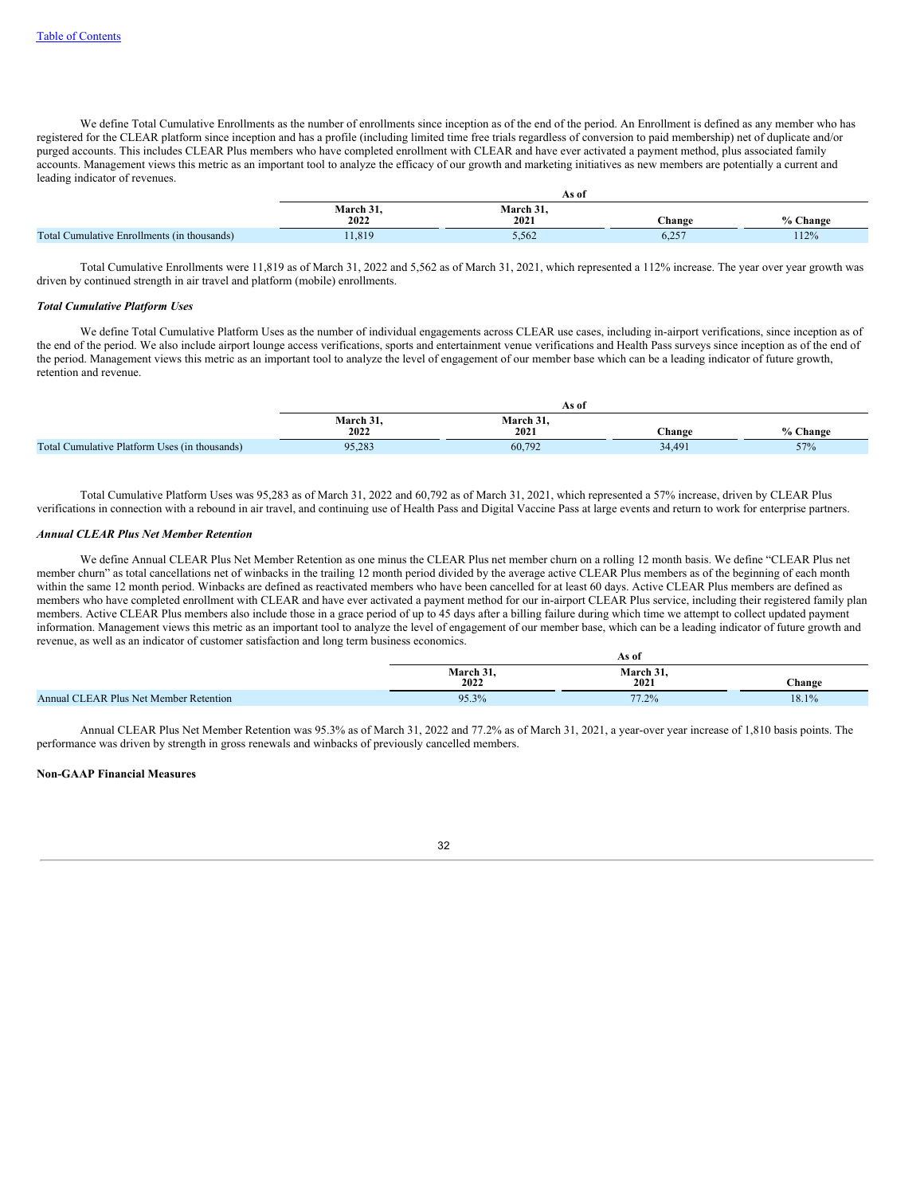We define Total Cumulative Enrollments as the number of enrollments since inception as of the end of the period. An Enrollment is defined as any member who has registered for the CLEAR platform since inception and has a profile (including limited time free trials regardless of conversion to paid membership) net of duplicate and/or purged accounts. This includes CLEAR Plus members who have completed enrollment with CLEAR and have ever activated a payment method, plus associated family accounts. Management views this metric as an important tool to analyze the efficacy of our growth and marketing initiatives as new members are potentially a current and leading indicator of revenues.

|                                             |                   | As of             |                    |          |
|---------------------------------------------|-------------------|-------------------|--------------------|----------|
|                                             | March 31,<br>2022 | March 31.<br>2021 | Change             | % Change |
| Total Cumulative Enrollments (in thousands) | 11,819            | 5,562             | $\sim$ $-$<br>0,23 | 112%     |

Total Cumulative Enrollments were 11,819 as of March 31, 2022 and 5,562 as of March 31, 2021, which represented a 112% increase. The year over year growth was driven by continued strength in air travel and platform (mobile) enrollments.

## *Total Cumulative Platform Uses*

We define Total Cumulative Platform Uses as the number of individual engagements across CLEAR use cases, including in-airport verifications, since inception as of the end of the period. We also include airport lounge access verifications, sports and entertainment venue verifications and Health Pass surveys since inception as of the end of the period. Management views this metric as an important tool to analyze the level of engagement of our member base which can be a leading indicator of future growth, retention and revenue.

|                                               |                  | As of             |        |                         |
|-----------------------------------------------|------------------|-------------------|--------|-------------------------|
|                                               | March 31<br>2022 | March 31.<br>2021 | Change | $\frac{0}{2}$<br>Change |
| Total Cumulative Platform Uses (in thousands) | 95,283           | 60,792            | 34,491 | 57%                     |

Total Cumulative Platform Uses was 95,283 as of March 31, 2022 and 60,792 as of March 31, 2021, which represented a 57% increase, driven by CLEAR Plus verifications in connection with a rebound in air travel, and continuing use of Health Pass and Digital Vaccine Pass at large events and return to work for enterprise partners.

## *Annual CLEAR Plus Net Member Retention*

We define Annual CLEAR Plus Net Member Retention as one minus the CLEAR Plus net member churn on a rolling 12 month basis. We define "CLEAR Plus net member churn" as total cancellations net of winbacks in the trailing 12 month period divided by the average active CLEAR Plus members as of the beginning of each month within the same 12 month period. Winbacks are defined as reactivated members who have been cancelled for at least 60 days. Active CLEAR Plus members are defined as members who have completed enrollment with CLEAR and have ever activated a payment method for our in-airport CLEAR Plus service, including their registered family plan members. Active CLEAR Plus members also include those in a grace period of up to 45 days after a billing failure during which time we attempt to collect updated payment information. Management views this metric as an important tool to analyze the level of engagement of our member base, which can be a leading indicator of future growth and revenue, as well as an indicator of customer satisfaction and long term business economics.

|                                               |                   | As of             |        |
|-----------------------------------------------|-------------------|-------------------|--------|
|                                               | March 31.<br>2022 | March 31.<br>2021 | Change |
| <b>Annual CLEAR Plus Net Member Retention</b> | 95.3%             | 77.2%             | 18.1%  |

Annual CLEAR Plus Net Member Retention was 95.3% as of March 31, 2022 and 77.2% as of March 31, 2021, a year-over year increase of 1,810 basis points. The performance was driven by strength in gross renewals and winbacks of previously cancelled members.

# **Non-GAAP Financial Measures**

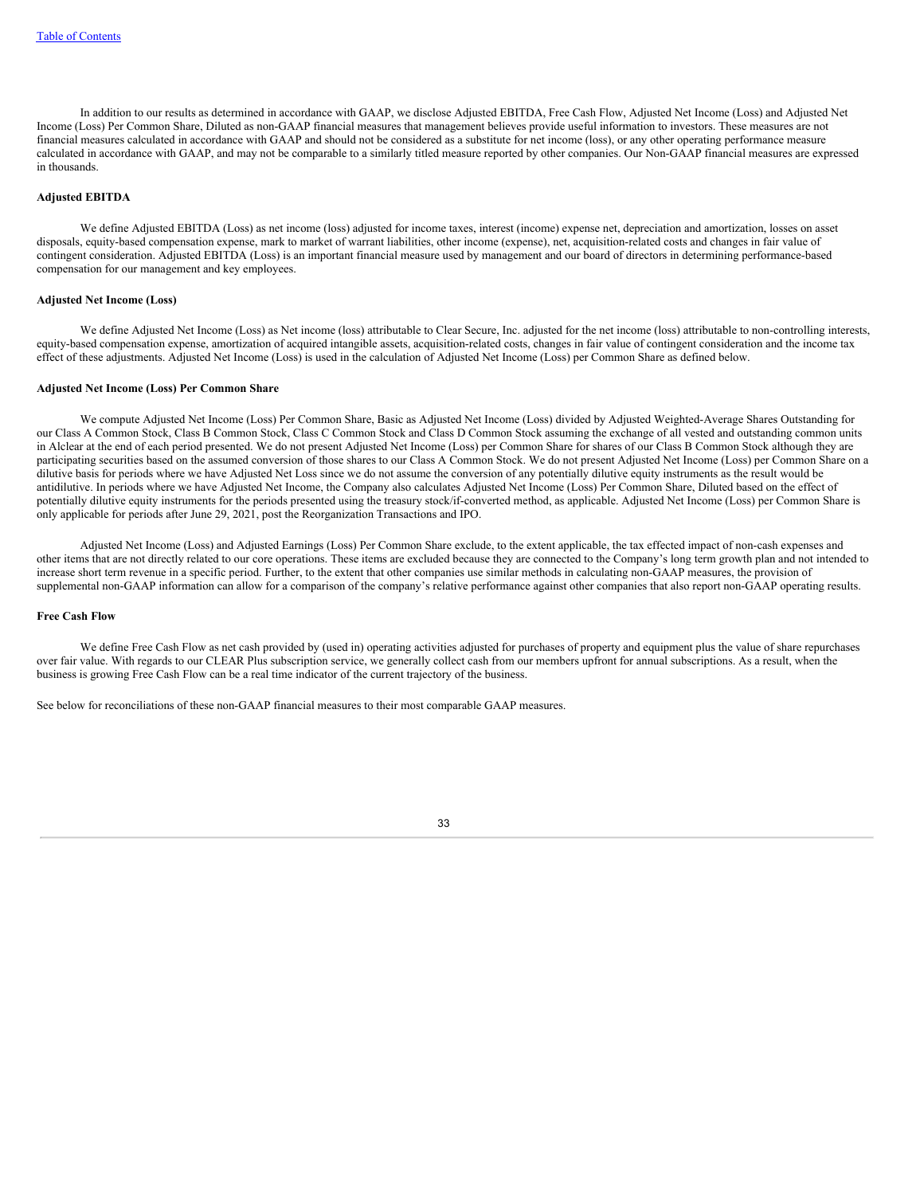In addition to our results as determined in accordance with GAAP, we disclose Adjusted EBITDA, Free Cash Flow, Adjusted Net Income (Loss) and Adjusted Net Income (Loss) Per Common Share, Diluted as non-GAAP financial measures that management believes provide useful information to investors. These measures are not financial measures calculated in accordance with GAAP and should not be considered as a substitute for net income (loss), or any other operating performance measure calculated in accordance with GAAP, and may not be comparable to a similarly titled measure reported by other companies. Our Non-GAAP financial measures are expressed in thousands.

# **Adjusted EBITDA**

We define Adjusted EBITDA (Loss) as net income (loss) adjusted for income taxes, interest (income) expense net, depreciation and amortization, losses on asset disposals, equity-based compensation expense, mark to market of warrant liabilities, other income (expense), net, acquisition-related costs and changes in fair value of contingent consideration. Adjusted EBITDA (Loss) is an important financial measure used by management and our board of directors in determining performance-based compensation for our management and key employees.

# **Adjusted Net Income (Loss)**

We define Adjusted Net Income (Loss) as Net income (loss) attributable to Clear Secure, Inc. adjusted for the net income (loss) attributable to non-controlling interests, equity-based compensation expense, amortization of acquired intangible assets, acquisition-related costs, changes in fair value of contingent consideration and the income tax effect of these adjustments. Adjusted Net Income (Loss) is used in the calculation of Adjusted Net Income (Loss) per Common Share as defined below.

## **Adjusted Net Income (Loss) Per Common Share**

We compute Adjusted Net Income (Loss) Per Common Share, Basic as Adjusted Net Income (Loss) divided by Adjusted Weighted-Average Shares Outstanding for our Class A Common Stock, Class B Common Stock, Class C Common Stock and Class D Common Stock assuming the exchange of all vested and outstanding common units in Alclear at the end of each period presented. We do not present Adjusted Net Income (Loss) per Common Share for shares of our Class B Common Stock although they are participating securities based on the assumed conversion of those shares to our Class A Common Stock. We do not present Adjusted Net Income (Loss) per Common Share on a dilutive basis for periods where we have Adjusted Net Loss since we do not assume the conversion of any potentially dilutive equity instruments as the result would be antidilutive. In periods where we have Adjusted Net Income, the Company also calculates Adjusted Net Income (Loss) Per Common Share, Diluted based on the effect of potentially dilutive equity instruments for the periods presented using the treasury stock/if-converted method, as applicable. Adjusted Net Income (Loss) per Common Share is only applicable for periods after June 29, 2021, post the Reorganization Transactions and IPO.

Adjusted Net Income (Loss) and Adjusted Earnings (Loss) Per Common Share exclude, to the extent applicable, the tax effected impact of non-cash expenses and other items that are not directly related to our core operations. These items are excluded because they are connected to the Company's long term growth plan and not intended to increase short term revenue in a specific period. Further, to the extent that other companies use similar methods in calculating non-GAAP measures, the provision of supplemental non-GAAP information can allow for a comparison of the company's relative performance against other companies that also report non-GAAP operating results.

## **Free Cash Flow**

We define Free Cash Flow as net cash provided by (used in) operating activities adjusted for purchases of property and equipment plus the value of share repurchases over fair value. With regards to our CLEAR Plus subscription service, we generally collect cash from our members upfront for annual subscriptions. As a result, when the business is growing Free Cash Flow can be a real time indicator of the current trajectory of the business.

See below for reconciliations of these non-GAAP financial measures to their most comparable GAAP measures.

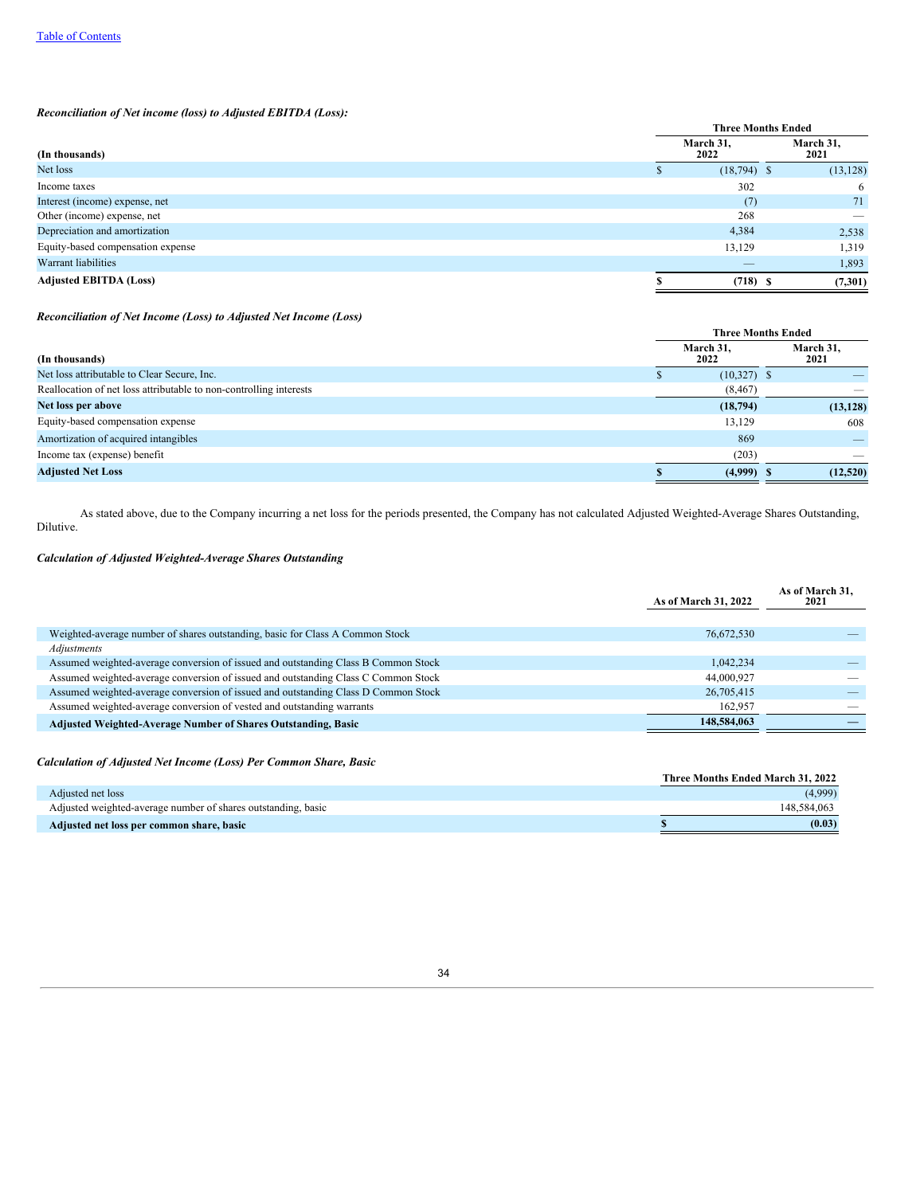# *Reconciliation of Net income (loss) to Adjusted EBITDA (Loss):*

|                                   | <b>Three Months Ended</b> |                   |  |                   |  |  |
|-----------------------------------|---------------------------|-------------------|--|-------------------|--|--|
| (In thousands)                    |                           | March 31,<br>2022 |  | March 31,<br>2021 |  |  |
| Net loss                          |                           | $(18,794)$ \$     |  | (13, 128)         |  |  |
| Income taxes                      |                           | 302               |  | 6                 |  |  |
| Interest (income) expense, net    |                           | (7)               |  | 71                |  |  |
| Other (income) expense, net       |                           | 268               |  |                   |  |  |
| Depreciation and amortization     |                           | 4,384             |  | 2,538             |  |  |
| Equity-based compensation expense |                           | 13,129            |  | 1,319             |  |  |
| Warrant liabilities               |                           | $-$               |  | 1,893             |  |  |
| <b>Adjusted EBITDA (Loss)</b>     |                           | $(718)$ \$        |  | (7,301)           |  |  |

# *Reconciliation of Net Income (Loss) to Adjusted Net Income (Loss)*

|                                                                    | <b>Three Months Ended</b> |                   |  |
|--------------------------------------------------------------------|---------------------------|-------------------|--|
| (In thousands)                                                     | March 31,<br>2022         | March 31,<br>2021 |  |
| Net loss attributable to Clear Secure, Inc.                        | $(10,327)$ \$             |                   |  |
| Reallocation of net loss attributable to non-controlling interests | (8, 467)                  |                   |  |
| Net loss per above                                                 | (18,794)                  | (13, 128)         |  |
| Equity-based compensation expense                                  | 13,129                    | 608               |  |
| Amortization of acquired intangibles                               | 869                       |                   |  |
| Income tax (expense) benefit                                       | (203)                     | $-$               |  |
| <b>Adjusted Net Loss</b>                                           | $(4,999)$ \$              | (12,520)          |  |

As stated above, due to the Company incurring a net loss for the periods presented, the Company has not calculated Adjusted Weighted-Average Shares Outstanding, Dilutive.

# *Calculation of Adjusted Weighted-Average Shares Outstanding*

|                                                                                    | As of March 31, 2022 | As of March 31,<br>2021 |
|------------------------------------------------------------------------------------|----------------------|-------------------------|
|                                                                                    |                      |                         |
| Weighted-average number of shares outstanding, basic for Class A Common Stock      | 76,672,530           |                         |
| Adjustments                                                                        |                      |                         |
| Assumed weighted-average conversion of issued and outstanding Class B Common Stock | 1.042.234            |                         |
| Assumed weighted-average conversion of issued and outstanding Class C Common Stock | 44,000,927           |                         |
| Assumed weighted-average conversion of issued and outstanding Class D Common Stock | 26,705,415           |                         |
| Assumed weighted-average conversion of vested and outstanding warrants             | 162.957              |                         |
| <b>Adjusted Weighted-Average Number of Shares Outstanding, Basic</b>               | 148,584,063          |                         |

# *Calculation of Adjusted Net Income (Loss) Per Common Share, Basic*

|                                                               | Three Months Ended March 31, 2022 |
|---------------------------------------------------------------|-----------------------------------|
| Adjusted net loss                                             | (4,999)                           |
| Adjusted weighted-average number of shares outstanding, basic | 148.584.063                       |
| Adjusted net loss per common share, basic                     | (0.03)                            |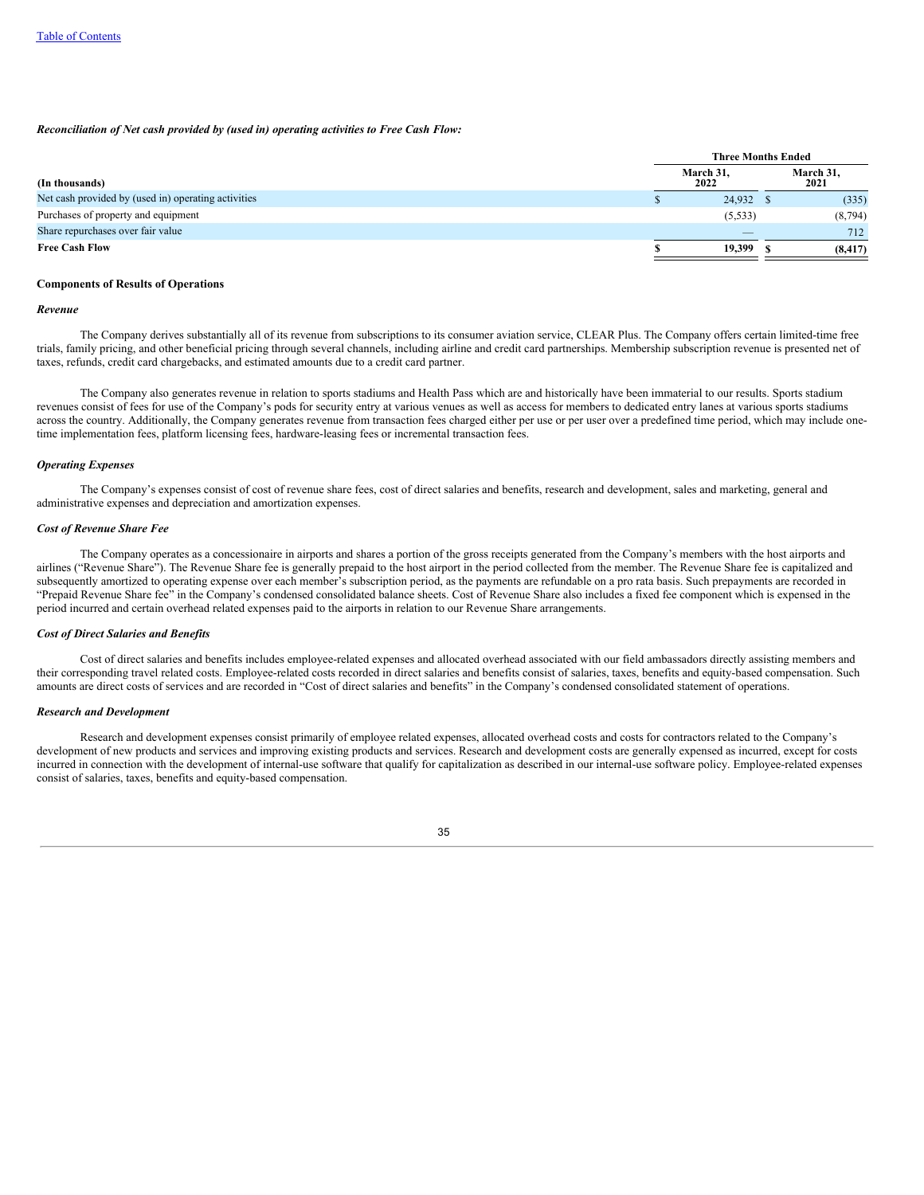#### *Reconciliation of Net cash provided by (used in) operating activities to Free Cash Flow:*

|                                                     |                          | <b>Three Months Ended</b> |  |
|-----------------------------------------------------|--------------------------|---------------------------|--|
| (In thousands)                                      | March 31.<br>2022        | March 31,<br>2021         |  |
| Net cash provided by (used in) operating activities | 24,932 \$                | (335)                     |  |
| Purchases of property and equipment                 | (5, 533)                 | (8, 794)                  |  |
| Share repurchases over fair value                   | $\overline{\phantom{a}}$ | 712                       |  |
| <b>Free Cash Flow</b>                               | 19.399 S                 | (8, 417)                  |  |

#### **Components of Results of Operations**

#### *Revenue*

The Company derives substantially all of its revenue from subscriptions to its consumer aviation service, CLEAR Plus. The Company offers certain limited-time free trials, family pricing, and other beneficial pricing through several channels, including airline and credit card partnerships. Membership subscription revenue is presented net of taxes, refunds, credit card chargebacks, and estimated amounts due to a credit card partner.

The Company also generates revenue in relation to sports stadiums and Health Pass which are and historically have been immaterial to our results. Sports stadium revenues consist of fees for use of the Company's pods for security entry at various venues as well as access for members to dedicated entry lanes at various sports stadiums across the country. Additionally, the Company generates revenue from transaction fees charged either per use or per user over a predefined time period, which may include onetime implementation fees, platform licensing fees, hardware-leasing fees or incremental transaction fees.

#### *Operating Expenses*

The Company's expenses consist of cost of revenue share fees, cost of direct salaries and benefits, research and development, sales and marketing, general and administrative expenses and depreciation and amortization expenses.

## *Cost of Revenue Share Fee*

The Company operates as a concessionaire in airports and shares a portion of the gross receipts generated from the Company's members with the host airports and airlines ("Revenue Share"). The Revenue Share fee is generally prepaid to the host airport in the period collected from the member. The Revenue Share fee is capitalized and subsequently amortized to operating expense over each member's subscription period, as the payments are refundable on a pro rata basis. Such prepayments are recorded in "Prepaid Revenue Share fee" in the Company's condensed consolidated balance sheets. Cost of Revenue Share also includes a fixed fee component which is expensed in the period incurred and certain overhead related expenses paid to the airports in relation to our Revenue Share arrangements.

#### *Cost of Direct Salaries and Benefits*

Cost of direct salaries and benefits includes employee-related expenses and allocated overhead associated with our field ambassadors directly assisting members and their corresponding travel related costs. Employee-related costs recorded in direct salaries and benefits consist of salaries, taxes, benefits and equity-based compensation. Such amounts are direct costs of services and are recorded in "Cost of direct salaries and benefits" in the Company's condensed consolidated statement of operations.

#### *Research and Development*

Research and development expenses consist primarily of employee related expenses, allocated overhead costs and costs for contractors related to the Company's development of new products and services and improving existing products and services. Research and development costs are generally expensed as incurred, except for costs incurred in connection with the development of internal-use software that qualify for capitalization as described in our internal-use software policy. Employee-related expenses consist of salaries, taxes, benefits and equity-based compensation.

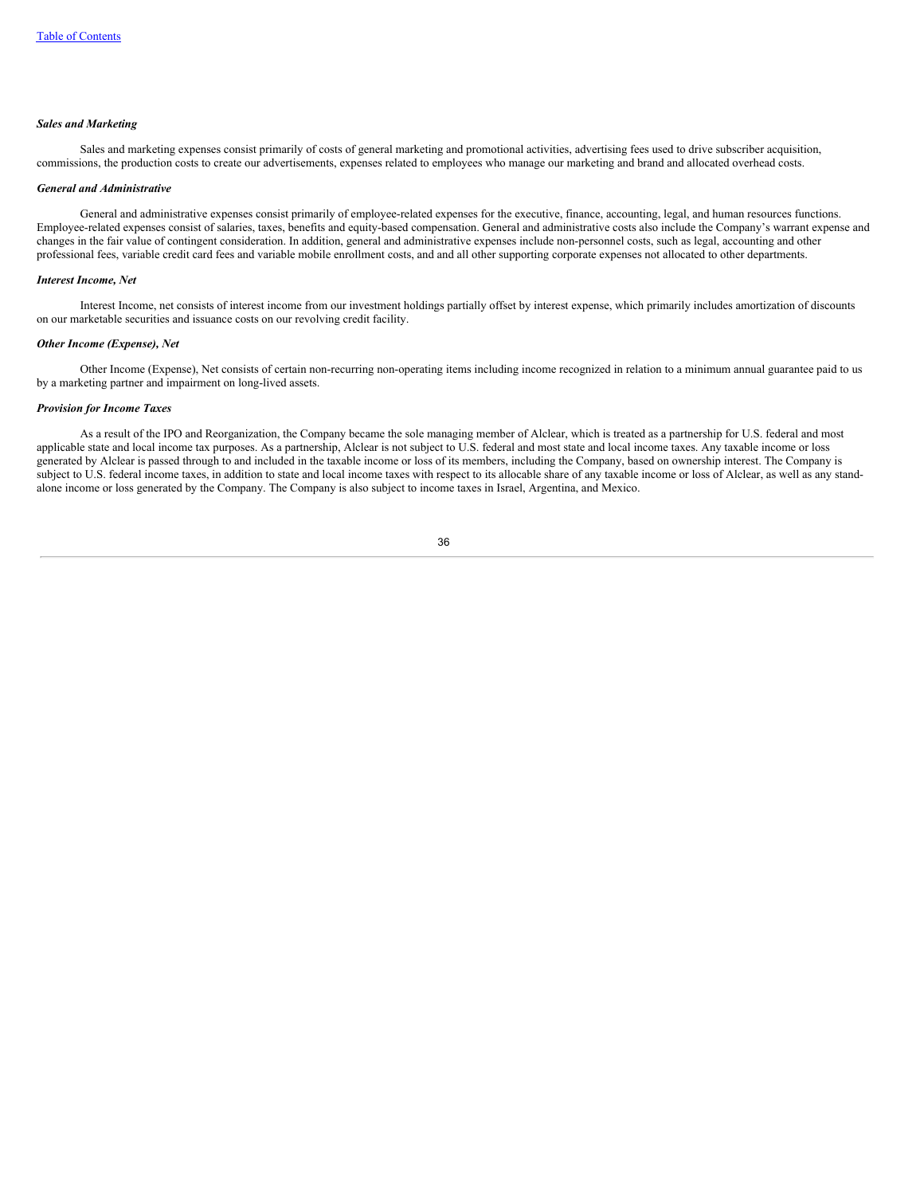# *Sales and Marketing*

Sales and marketing expenses consist primarily of costs of general marketing and promotional activities, advertising fees used to drive subscriber acquisition, commissions, the production costs to create our advertisements, expenses related to employees who manage our marketing and brand and allocated overhead costs.

#### *General and Administrative*

General and administrative expenses consist primarily of employee-related expenses for the executive, finance, accounting, legal, and human resources functions. Employee-related expenses consist of salaries, taxes, benefits and equity-based compensation. General and administrative costs also include the Company's warrant expense and changes in the fair value of contingent consideration. In addition, general and administrative expenses include non-personnel costs, such as legal, accounting and other professional fees, variable credit card fees and variable mobile enrollment costs, and and all other supporting corporate expenses not allocated to other departments.

## *Interest Income, Net*

Interest Income, net consists of interest income from our investment holdings partially offset by interest expense, which primarily includes amortization of discounts on our marketable securities and issuance costs on our revolving credit facility.

#### *Other Income (Expense), Net*

Other Income (Expense), Net consists of certain non-recurring non-operating items including income recognized in relation to a minimum annual guarantee paid to us by a marketing partner and impairment on long-lived assets.

#### *Provision for Income Taxes*

As a result of the IPO and Reorganization, the Company became the sole managing member of Alclear, which is treated as a partnership for U.S. federal and most applicable state and local income tax purposes. As a partnership, Alclear is not subject to U.S. federal and most state and local income taxes. Any taxable income or loss generated by Alclear is passed through to and included in the taxable income or loss of its members, including the Company, based on ownership interest. The Company is subject to U.S. federal income taxes, in addition to state and local income taxes with respect to its allocable share of any taxable income or loss of Alclear, as well as any standalone income or loss generated by the Company. The Company is also subject to income taxes in Israel, Argentina, and Mexico.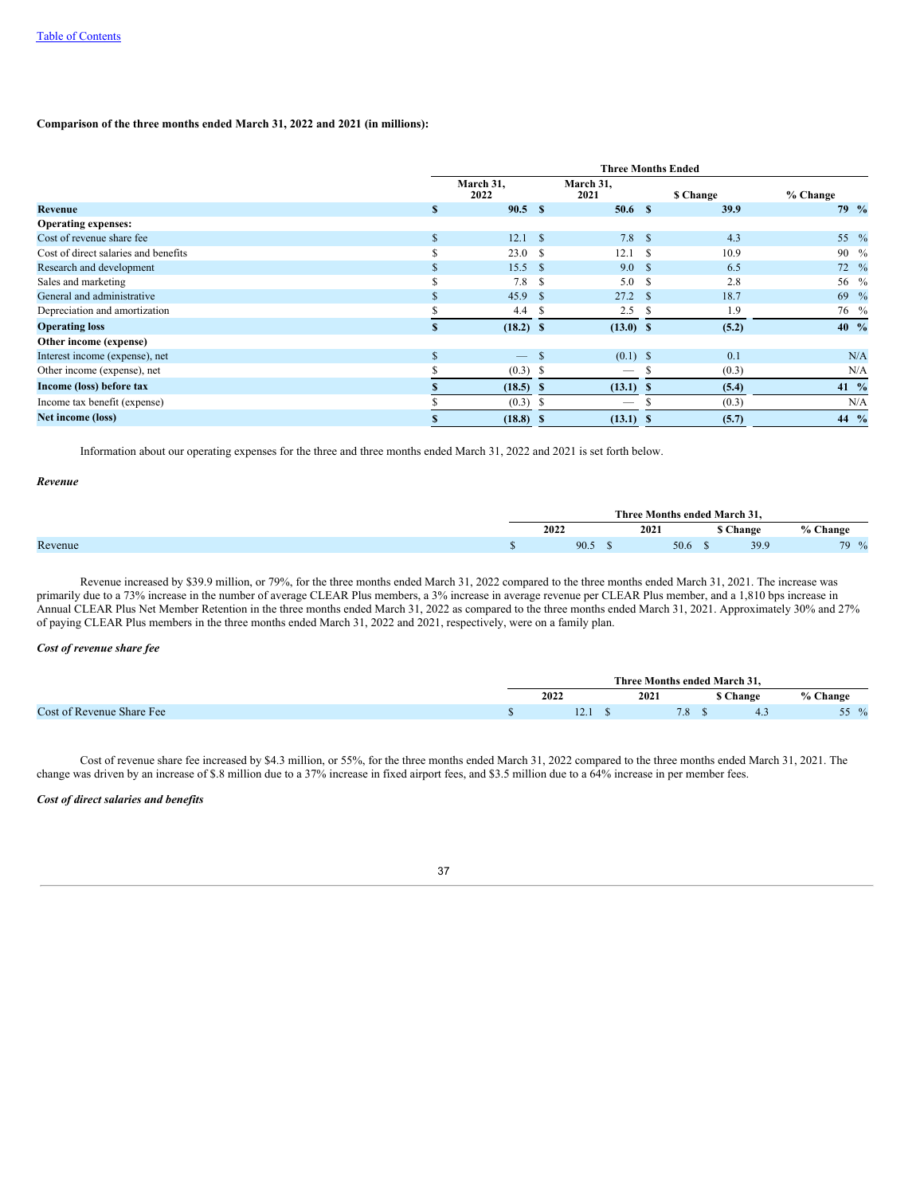# **Comparison of the three months ended March 31, 2022 and 2021 (in millions):**

|                                      |                    |                          |               |                   |      | <b>Three Months Ended</b> |                  |
|--------------------------------------|--------------------|--------------------------|---------------|-------------------|------|---------------------------|------------------|
|                                      |                    | March 31,<br>2022        |               | March 31,<br>2021 |      | \$ Change                 | % Change         |
| Revenue                              | S                  | $90.5$ \$                |               | $50.6-5$          |      | 39.9                      | 79 %             |
| <b>Operating expenses:</b>           |                    |                          |               |                   |      |                           |                  |
| Cost of revenue share fee            | \$                 | 12.1 S                   |               | 7.8 <sup>°</sup>  |      | 4.3                       | 55 %             |
| Cost of direct salaries and benefits | \$.                | 23.0 <sup>5</sup>        |               | 12.1              | - \$ | 10.9                      | 90 %             |
| Research and development             |                    | $15.5$ \$                |               | 9.0               | - \$ | 6.5                       | 72 %             |
| Sales and marketing                  | S                  | 7.8                      | <sup>\$</sup> | 5.0               | - S  | 2.8                       | 56 %             |
| General and administrative           |                    | 45.9                     | - \$          | 27.2              | - \$ | 18.7                      | 69 %             |
| Depreciation and amortization        |                    | 4.4                      | -S            | 2.5               | -S   | 1.9                       | 76 %             |
| <b>Operating loss</b>                | s                  | $(18.2)$ \$              |               | $(13.0)$ \$       |      | (5.2)                     | 40 $\frac{9}{6}$ |
| Other income (expense)               |                    |                          |               |                   |      |                           |                  |
| Interest income (expense), net       | $\mathbf{\hat{S}}$ | $\overline{\phantom{m}}$ | $\mathcal{S}$ | $(0.1)$ \$        |      | 0.1                       | N/A              |
| Other income (expense), net          |                    | $(0.3)$ \$               |               | $\hspace{0.05cm}$ | S    | (0.3)                     | N/A              |
| Income (loss) before tax             |                    | $(18.5)$ \$              |               | $(13.1)$ \$       |      | (5.4)                     | 41 $\frac{9}{6}$ |
| Income tax benefit (expense)         |                    | (0.3)                    | - 55          |                   |      | (0.3)                     | N/A              |
| Net income (loss)                    | X.                 | $(18.8)$ \$              |               | $(13.1)$ \$       |      | (5.7)                     | 44 $\frac{9}{6}$ |

Information about our operating expenses for the three and three months ended March 31, 2022 and 2021 is set forth below.

## *Revenue*

|         |      |      |      | Three Months ended March 31. |          |
|---------|------|------|------|------------------------------|----------|
|         | 2022 | 2021 |      | $^{\circ}$ Change            | % Change |
| Revenue | 90.5 |      | 50.6 | 39.9                         | 79 %     |

Revenue increased by \$39.9 million, or 79%, for the three months ended March 31, 2022 compared to the three months ended March 31, 2021. The increase was primarily due to a 73% increase in the number of average CLEAR Plus members, a 3% increase in average revenue per CLEAR Plus member, and a 1,810 bps increase in Annual CLEAR Plus Net Member Retention in the three months ended March 31, 2022 as compared to the three months ended March 31, 2021. Approximately 30% and 27% of paying CLEAR Plus members in the three months ended March 31, 2022 and 2021, respectively, were on a family plan.

# *Cost of revenue share fee*

|                           |      |      | Three Months ended March 31.            |          |           |
|---------------------------|------|------|-----------------------------------------|----------|-----------|
|                           | 2022 |      | 2021<br>the contract of the contract of | , Change | % Change  |
| Cost of Revenue Share Fee |      | 12.1 |                                         |          | 55<br>0/2 |

Cost of revenue share fee increased by \$4.3 million, or 55%, for the three months ended March 31, 2022 compared to the three months ended March 31, 2021. The change was driven by an increase of \$.8 million due to a 37% increase in fixed airport fees, and \$3.5 million due to a 64% increase in per member fees.

# *Cost of direct salaries and benefits*

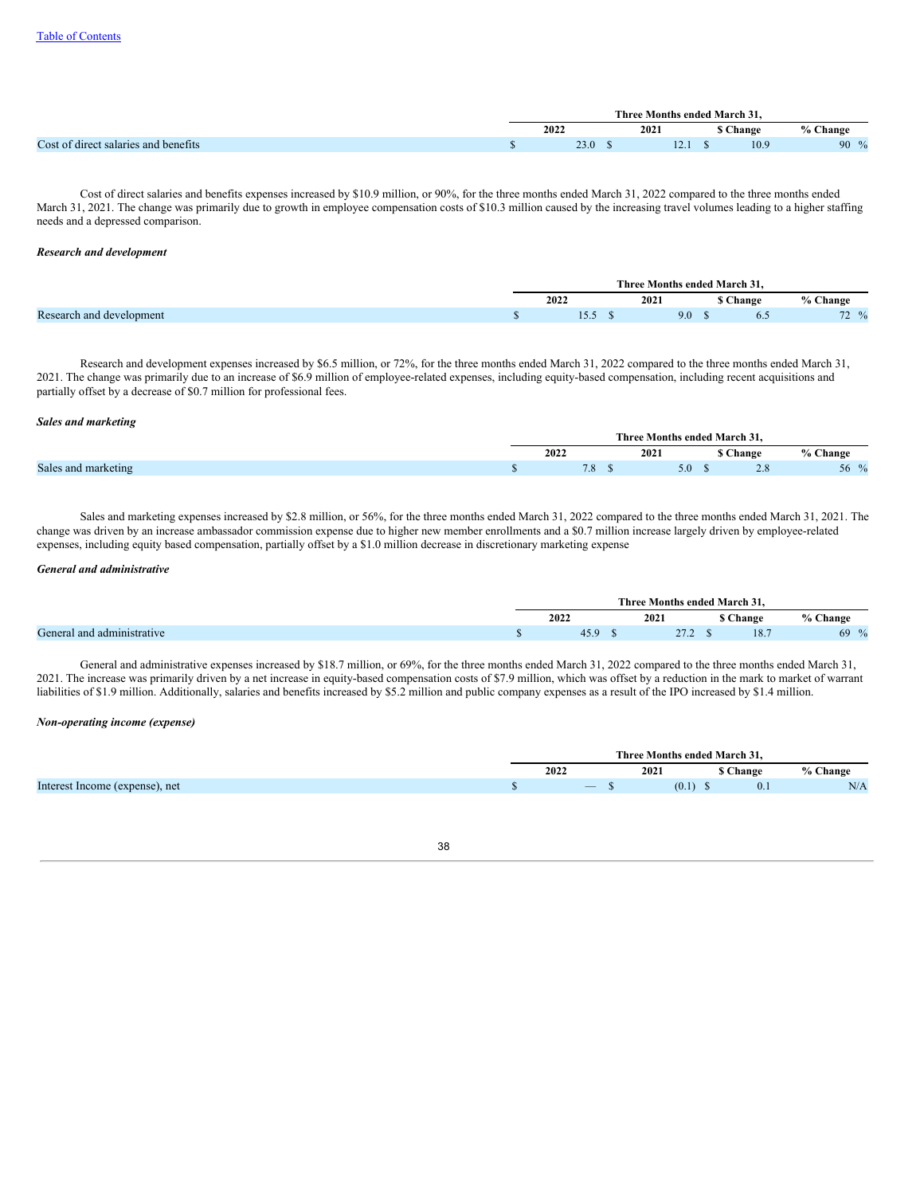|                                      |      | Three Months ended March 31. |  |                     |          |
|--------------------------------------|------|------------------------------|--|---------------------|----------|
|                                      | 2022 | 2021                         |  | <sup>n</sup> Change | % Change |
| Cost of direct salaries and benefits | 23.0 |                              |  | 10.9                | 90 %     |

Cost of direct salaries and benefits expenses increased by \$10.9 million, or 90%, for the three months ended March 31, 2022 compared to the three months ended March 31, 2021. The change was primarily due to growth in employee compensation costs of \$10.3 million caused by the increasing travel volumes leading to a higher staffing needs and a depressed comparison.

#### *Research and development*

|                          |      |      |     | Three Months ended March 31. |          |
|--------------------------|------|------|-----|------------------------------|----------|
|                          | 2022 | 2021 |     | \$ Change                    | % Change |
| Research and development | 15.5 |      | 9.0 | 6.J                          | 72 %     |

Research and development expenses increased by \$6.5 million, or 72%, for the three months ended March 31, 2022 compared to the three months ended March 31, 2021. The change was primarily due to an increase of \$6.9 million of employee-related expenses, including equity-based compensation, including recent acquisitions and partially offset by a decrease of \$0.7 million for professional fees.

# *Sales and marketing*

|                     |                  | Three Months ended March 31. |        |                |
|---------------------|------------------|------------------------------|--------|----------------|
|                     | 2022             | 2021                         | Change | Change<br>$\%$ |
| Sales and marketing | 70<br>$\cdot$ .0 | 5.0                          | 2.8    | 56             |

Sales and marketing expenses increased by \$2.8 million, or 56%, for the three months ended March 31, 2022 compared to the three months ended March 31, 2021. The change was driven by an increase ambassador commission expense due to higher new member enrollments and a \$0.7 million increase largely driven by employee-related expenses, including equity based compensation, partially offset by a \$1.0 million decrease in discretionary marketing expense

## *General and administrative*

|                            |      | Three Months ended March 31. |        |          |
|----------------------------|------|------------------------------|--------|----------|
|                            | 2022 | 2021                         | Change | % Change |
| General and administrative | 45.5 | ר הר<br>$\sim$ $\sim$ $\sim$ | 18.7   | $69\%$   |

General and administrative expenses increased by \$18.7 million, or 69%, for the three months ended March 31, 2022 compared to the three months ended March 31, 2021. The increase was primarily driven by a net increase in equity-based compensation costs of \$7.9 million, which was offset by a reduction in the mark to market of warrant liabilities of \$1.9 million. Additionally, salaries and benefits increased by \$5.2 million and public company expenses as a result of the IPO increased by \$1.4 million.

# *Non-operating income (expense)*

|                                |                          | Three Months ended March 31. |          |          |
|--------------------------------|--------------------------|------------------------------|----------|----------|
|                                | 2022                     | 2021                         | ` Change | % Change |
| Interest Income (expense), net | $\overline{\phantom{a}}$ | (0.1)                        | 0.1      | N/A      |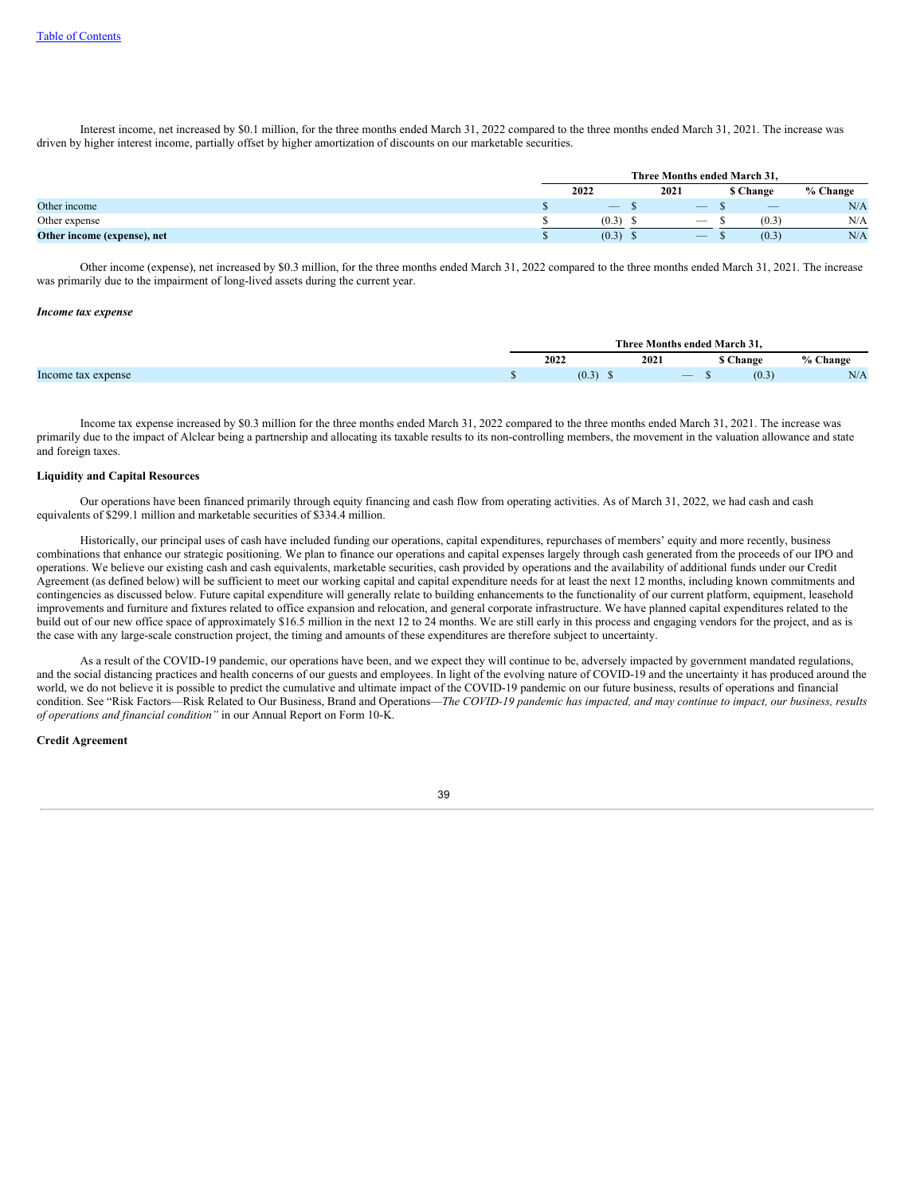Interest income, net increased by \$0.1 million, for the three months ended March 31, 2022 compared to the three months ended March 31, 2021. The increase was driven by higher interest income, partially offset by higher amortization of discounts on our marketable securities.

|                             | Three Months ended March 31, |                          |      |                          |  |                          |          |
|-----------------------------|------------------------------|--------------------------|------|--------------------------|--|--------------------------|----------|
|                             |                              | 2022                     | 2021 |                          |  | <b>S</b> Change          | % Change |
| Other income                |                              | $\overline{\phantom{m}}$ |      | $\qquad \qquad -$        |  | $\overline{\phantom{m}}$ | N/A      |
| Other expense               |                              | (0.3)                    |      | $\overline{\phantom{m}}$ |  | (0.3)                    | N/A      |
| Other income (expense), net |                              | (0.3)                    |      | $\qquad \qquad -$        |  | (0.3)                    | N/A      |

Other income (expense), net increased by \$0.3 million, for the three months ended March 31, 2022 compared to the three months ended March 31, 2021. The increase was primarily due to the impairment of long-lived assets during the current year.

#### *Income tax expense*

|                    |       |      |                          | Three Months ended March 31. |          |
|--------------------|-------|------|--------------------------|------------------------------|----------|
|                    | 2022  | 2021 |                          | <b>S</b> Change              | % Change |
| Income tax expense | (0.3) |      | $\overline{\phantom{a}}$ | (0.3)                        | N/A      |

Income tax expense increased by \$0.3 million for the three months ended March 31, 2022 compared to the three months ended March 31, 2021. The increase was primarily due to the impact of Alclear being a partnership and allocating its taxable results to its non-controlling members, the movement in the valuation allowance and state and foreign taxes.

#### **Liquidity and Capital Resources**

Our operations have been financed primarily through equity financing and cash flow from operating activities. As of March 31, 2022, we had cash and cash equivalents of \$299.1 million and marketable securities of \$334.4 million.

Historically, our principal uses of cash have included funding our operations, capital expenditures, repurchases of members' equity and more recently, business combinations that enhance our strategic positioning. We plan to finance our operations and capital expenses largely through cash generated from the proceeds of our IPO and operations. We believe our existing cash and cash equivalents, marketable securities, cash provided by operations and the availability of additional funds under our Credit Agreement (as defined below) will be sufficient to meet our working capital and capital expenditure needs for at least the next 12 months, including known commitments and contingencies as discussed below. Future capital expenditure will generally relate to building enhancements to the functionality of our current platform, equipment, leasehold improvements and furniture and fixtures related to office expansion and relocation, and general corporate infrastructure. We have planned capital expenditures related to the build out of our new office space of approximately \$16.5 million in the next 12 to 24 months. We are still early in this process and engaging vendors for the project, and as is the case with any large-scale construction project, the timing and amounts of these expenditures are therefore subject to uncertainty.

As a result of the COVID-19 pandemic, our operations have been, and we expect they will continue to be, adversely impacted by government mandated regulations, and the social distancing practices and health concerns of our guests and employees. In light of the evolving nature of COVID-19 and the uncertainty it has produced around the world, we do not believe it is possible to predict the cumulative and ultimate impact of the COVID-19 pandemic on our future business, results of operations and financial condition. See "Risk Factors-Risk Related to Our Business, Brand and Operations-The COVID-19 pandemic has impacted, and may continue to impact, our business, results *of operations and financial condition"* in our Annual Report on Form 10-K.

# **Credit Agreement**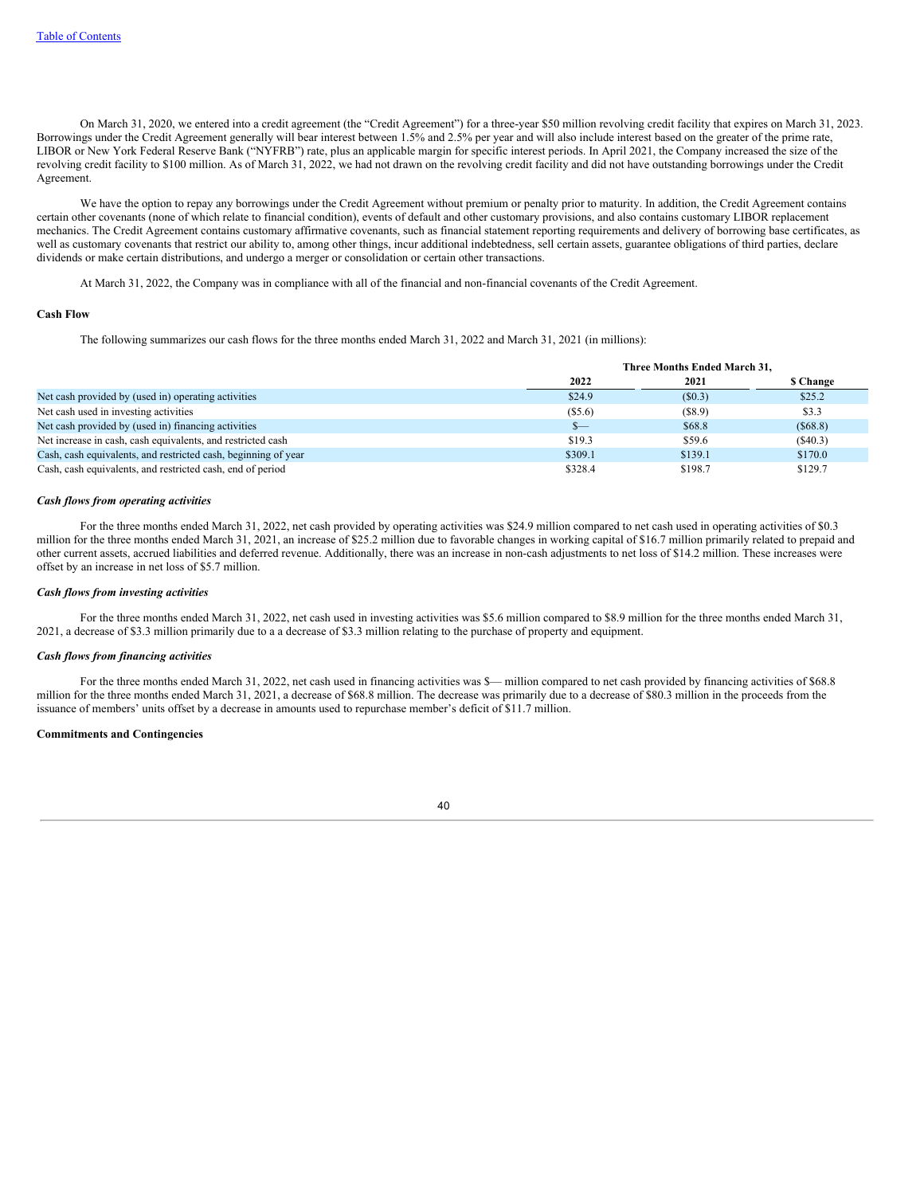On March 31, 2020, we entered into a credit agreement (the "Credit Agreement") for a three-year \$50 million revolving credit facility that expires on March 31, 2023. Borrowings under the Credit Agreement generally will bear interest between 1.5% and 2.5% per year and will also include interest based on the greater of the prime rate, LIBOR or New York Federal Reserve Bank ("NYFRB") rate, plus an applicable margin for specific interest periods. In April 2021, the Company increased the size of the revolving credit facility to \$100 million. As of March 31, 2022, we had not drawn on the revolving credit facility and did not have outstanding borrowings under the Credit Agreement.

We have the option to repay any borrowings under the Credit Agreement without premium or penalty prior to maturity. In addition, the Credit Agreement contains certain other covenants (none of which relate to financial condition), events of default and other customary provisions, and also contains customary LIBOR replacement mechanics. The Credit Agreement contains customary affirmative covenants, such as financial statement reporting requirements and delivery of borrowing base certificates, as well as customary covenants that restrict our ability to, among other things, incur additional indebtedness, sell certain assets, guarantee obligations of third parties, declare dividends or make certain distributions, and undergo a merger or consolidation or certain other transactions.

At March 31, 2022, the Company was in compliance with all of the financial and non-financial covenants of the Credit Agreement.

#### **Cash Flow**

The following summarizes our cash flows for the three months ended March 31, 2022 and March 31, 2021 (in millions):

|                                                                |         | Three Months Ended March 31. |                 |  |  |
|----------------------------------------------------------------|---------|------------------------------|-----------------|--|--|
|                                                                | 2022    | 2021                         | <b>S</b> Change |  |  |
| Net cash provided by (used in) operating activities            | \$24.9  | $(\$0.3)$                    | \$25.2          |  |  |
| Net cash used in investing activities                          | (S5.6)  | (S8.9)                       | \$3.3           |  |  |
| Net cash provided by (used in) financing activities            | $S-$    | \$68.8                       | (S68.8)         |  |  |
| Net increase in cash, cash equivalents, and restricted cash    | \$19.3  | \$59.6                       | (S40.3)         |  |  |
| Cash, cash equivalents, and restricted cash, beginning of year | \$309.1 | \$139.1                      | \$170.0         |  |  |
| Cash, cash equivalents, and restricted cash, end of period     | \$328.4 | \$198.7                      | \$129.7         |  |  |

#### *Cash flows from operating activities*

For the three months ended March 31, 2022, net cash provided by operating activities was \$24.9 million compared to net cash used in operating activities of \$0.3 million for the three months ended March 31, 2021, an increase of \$25.2 million due to favorable changes in working capital of \$16.7 million primarily related to prepaid and other current assets, accrued liabilities and deferred revenue. Additionally, there was an increase in non-cash adjustments to net loss of \$14.2 million. These increases were offset by an increase in net loss of \$5.7 million.

#### *Cash flows from investing activities*

For the three months ended March 31, 2022, net cash used in investing activities was \$5.6 million compared to \$8.9 million for the three months ended March 31, 2021, a decrease of \$3.3 million primarily due to a a decrease of \$3.3 million relating to the purchase of property and equipment.

# *Cash flows from financing activities*

For the three months ended March 31, 2022, net cash used in financing activities was \$— million compared to net cash provided by financing activities of \$68.8 million for the three months ended March 31, 2021, a decrease of \$68.8 million. The decrease was primarily due to a decrease of \$80.3 million in the proceeds from the issuance of members' units offset by a decrease in amounts used to repurchase member's deficit of \$11.7 million.

#### **Commitments and Contingencies**

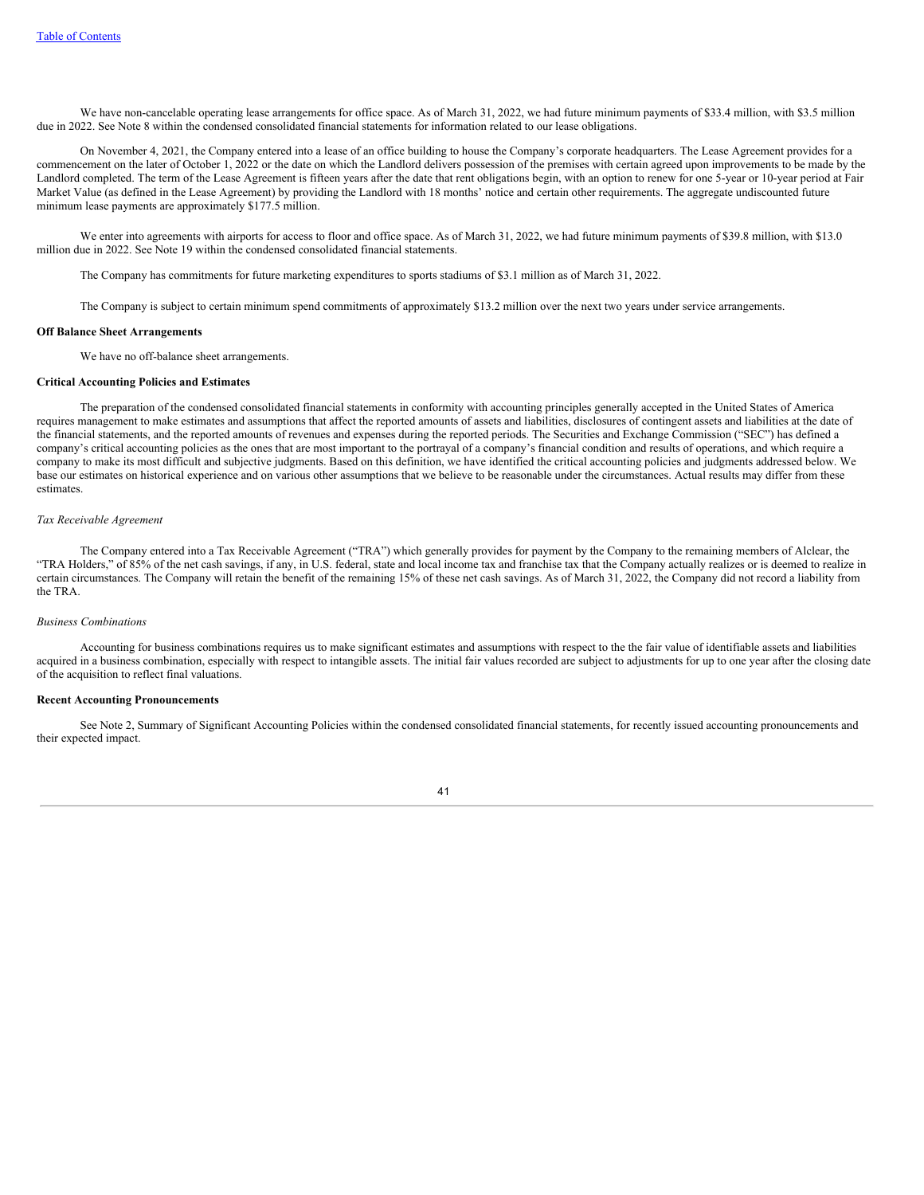We have non-cancelable operating lease arrangements for office space. As of March 31, 2022, we had future minimum payments of \$33.4 million, with \$3.5 million due in 2022. See Note 8 within the condensed consolidated financial statements for information related to our lease obligations.

On November 4, 2021, the Company entered into a lease of an office building to house the Company's corporate headquarters. The Lease Agreement provides for a commencement on the later of October 1, 2022 or the date on which the Landlord delivers possession of the premises with certain agreed upon improvements to be made by the Landlord completed. The term of the Lease Agreement is fifteen years after the date that rent obligations begin, with an option to renew for one 5-year or 10-year period at Fair Market Value (as defined in the Lease Agreement) by providing the Landlord with 18 months' notice and certain other requirements. The aggregate undiscounted future minimum lease payments are approximately \$177.5 million.

We enter into agreements with airports for access to floor and office space. As of March 31, 2022, we had future minimum payments of \$39.8 million, with \$13.0 million due in 2022. See Note 19 within the condensed consolidated financial statements.

The Company has commitments for future marketing expenditures to sports stadiums of \$3.1 million as of March 31, 2022.

The Company is subject to certain minimum spend commitments of approximately \$13.2 million over the next two years under service arrangements.

## **Off Balance Sheet Arrangements**

We have no off-balance sheet arrangements.

## **Critical Accounting Policies and Estimates**

The preparation of the condensed consolidated financial statements in conformity with accounting principles generally accepted in the United States of America requires management to make estimates and assumptions that affect the reported amounts of assets and liabilities, disclosures of contingent assets and liabilities at the date of the financial statements, and the reported amounts of revenues and expenses during the reported periods. The Securities and Exchange Commission ("SEC") has defined a company's critical accounting policies as the ones that are most important to the portrayal of a company's financial condition and results of operations, and which require a company to make its most difficult and subjective judgments. Based on this definition, we have identified the critical accounting policies and judgments addressed below. We base our estimates on historical experience and on various other assumptions that we believe to be reasonable under the circumstances. Actual results may differ from these estimates.

# *Tax Receivable Agreement*

The Company entered into a Tax Receivable Agreement ("TRA") which generally provides for payment by the Company to the remaining members of Alclear, the "TRA Holders," of 85% of the net cash savings, if any, in U.S. federal, state and local income tax and franchise tax that the Company actually realizes or is deemed to realize in certain circumstances. The Company will retain the benefit of the remaining 15% of these net cash savings. As of March 31, 2022, the Company did not record a liability from the TRA.

# *Business Combinations*

Accounting for business combinations requires us to make significant estimates and assumptions with respect to the the fair value of identifiable assets and liabilities acquired in a business combination, especially with respect to intangible assets. The initial fair values recorded are subject to adjustments for up to one year after the closing date of the acquisition to reflect final valuations.

# **Recent Accounting Pronouncements**

<span id="page-42-0"></span>See Note 2, Summary of Significant Accounting Policies within the condensed consolidated financial statements, for recently issued accounting pronouncements and their expected impact.

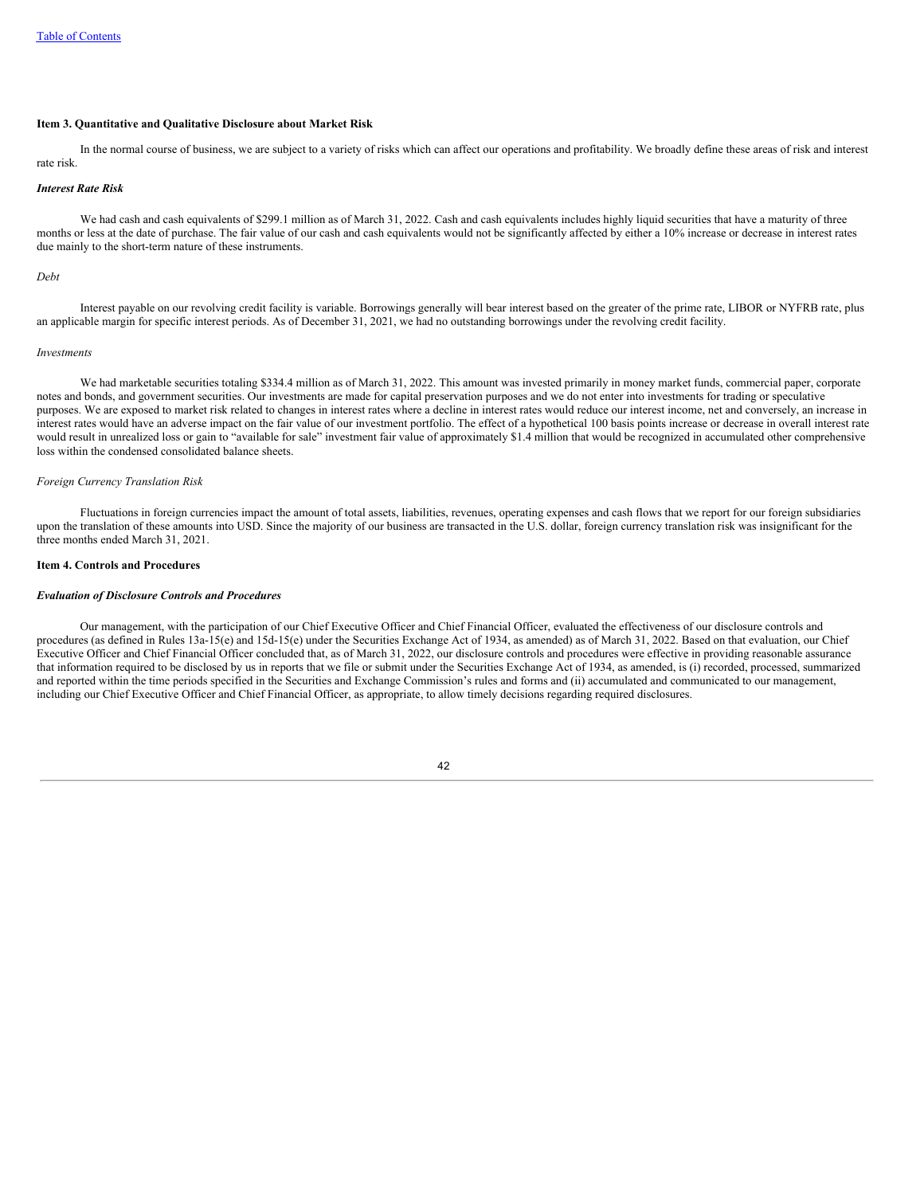#### **Item 3. Quantitative and Qualitative Disclosure about Market Risk**

In the normal course of business, we are subject to a variety of risks which can affect our operations and profitability. We broadly define these areas of risk and interest rate risk.

#### *Interest Rate Risk*

We had cash and cash equivalents of \$299.1 million as of March 31, 2022. Cash and cash equivalents includes highly liquid securities that have a maturity of three months or less at the date of purchase. The fair value of our cash and cash equivalents would not be significantly affected by either a 10% increase or decrease in interest rates due mainly to the short-term nature of these instruments.

#### *Debt*

Interest payable on our revolving credit facility is variable. Borrowings generally will bear interest based on the greater of the prime rate, LIBOR or NYFRB rate, plus an applicable margin for specific interest periods. As of December 31, 2021, we had no outstanding borrowings under the revolving credit facility.

#### *Investments*

We had marketable securities totaling \$334.4 million as of March 31, 2022. This amount was invested primarily in money market funds, commercial paper, corporate notes and bonds, and government securities. Our investments are made for capital preservation purposes and we do not enter into investments for trading or speculative purposes. We are exposed to market risk related to changes in interest rates where a decline in interest rates would reduce our interest income, net and conversely, an increase in interest rates would have an adverse impact on the fair value of our investment portfolio. The effect of a hypothetical 100 basis points increase or decrease in overall interest rate would result in unrealized loss or gain to "available for sale" investment fair value of approximately \$1.4 million that would be recognized in accumulated other comprehensive loss within the condensed consolidated balance sheets.

# *Foreign Currency Translation Risk*

Fluctuations in foreign currencies impact the amount of total assets, liabilities, revenues, operating expenses and cash flows that we report for our foreign subsidiaries upon the translation of these amounts into USD. Since the majority of our business are transacted in the U.S. dollar, foreign currency translation risk was insignificant for the three months ended March 31, 2021.

# <span id="page-43-0"></span>**Item 4. Controls and Procedures**

#### *Evaluation of Disclosure Controls and Procedures*

Our management, with the participation of our Chief Executive Officer and Chief Financial Officer, evaluated the effectiveness of our disclosure controls and procedures (as defined in Rules 13a-15(e) and 15d-15(e) under the Securities Exchange Act of 1934, as amended) as of March 31, 2022. Based on that evaluation, our Chief Executive Officer and Chief Financial Officer concluded that, as of March 31, 2022, our disclosure controls and procedures were effective in providing reasonable assurance that information required to be disclosed by us in reports that we file or submit under the Securities Exchange Act of 1934, as amended, is (i) recorded, processed, summarized and reported within the time periods specified in the Securities and Exchange Commission's rules and forms and (ii) accumulated and communicated to our management, including our Chief Executive Officer and Chief Financial Officer, as appropriate, to allow timely decisions regarding required disclosures.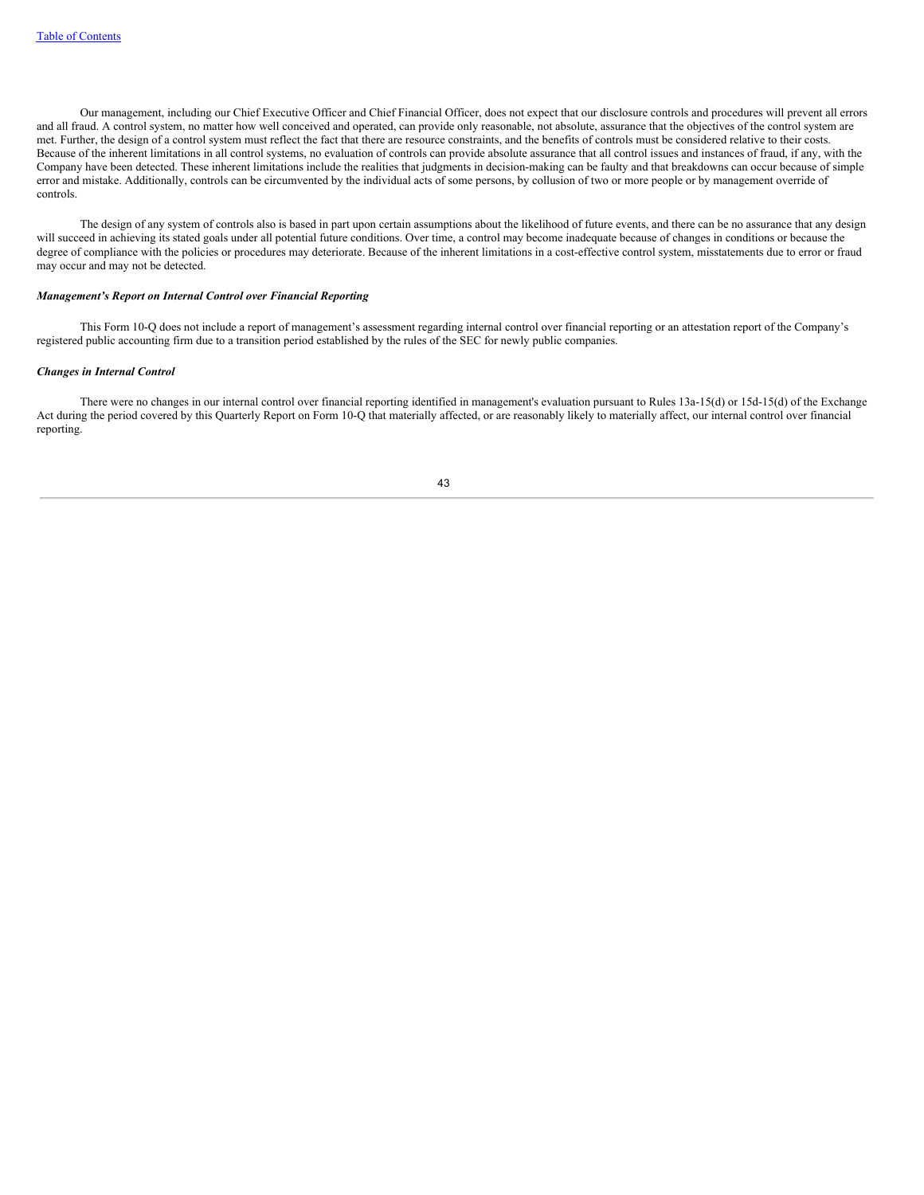Our management, including our Chief Executive Officer and Chief Financial Officer, does not expect that our disclosure controls and procedures will prevent all errors and all fraud. A control system, no matter how well conceived and operated, can provide only reasonable, not absolute, assurance that the objectives of the control system are met. Further, the design of a control system must reflect the fact that there are resource constraints, and the benefits of controls must be considered relative to their costs. Because of the inherent limitations in all control systems, no evaluation of controls can provide absolute assurance that all control issues and instances of fraud, if any, with the Company have been detected. These inherent limitations include the realities that judgments in decision-making can be faulty and that breakdowns can occur because of simple error and mistake. Additionally, controls can be circumvented by the individual acts of some persons, by collusion of two or more people or by management override of controls.

The design of any system of controls also is based in part upon certain assumptions about the likelihood of future events, and there can be no assurance that any design will succeed in achieving its stated goals under all potential future conditions. Over time, a control may become inadequate because of changes in conditions or because the degree of compliance with the policies or procedures may deteriorate. Because of the inherent limitations in a cost-effective control system, misstatements due to error or fraud may occur and may not be detected.

# *Management's Report on Internal Control over Financial Reporting*

This Form 10-Q does not include a report of management's assessment regarding internal control over financial reporting or an attestation report of the Company's registered public accounting firm due to a transition period established by the rules of the SEC for newly public companies.

# *Changes in Internal Control*

<span id="page-44-0"></span>There were no changes in our internal control over financial reporting identified in management's evaluation pursuant to Rules 13a-15(d) or 15d-15(d) of the Exchange Act during the period covered by this Quarterly Report on Form 10-Q that materially affected, or are reasonably likely to materially affect, our internal control over financial reporting.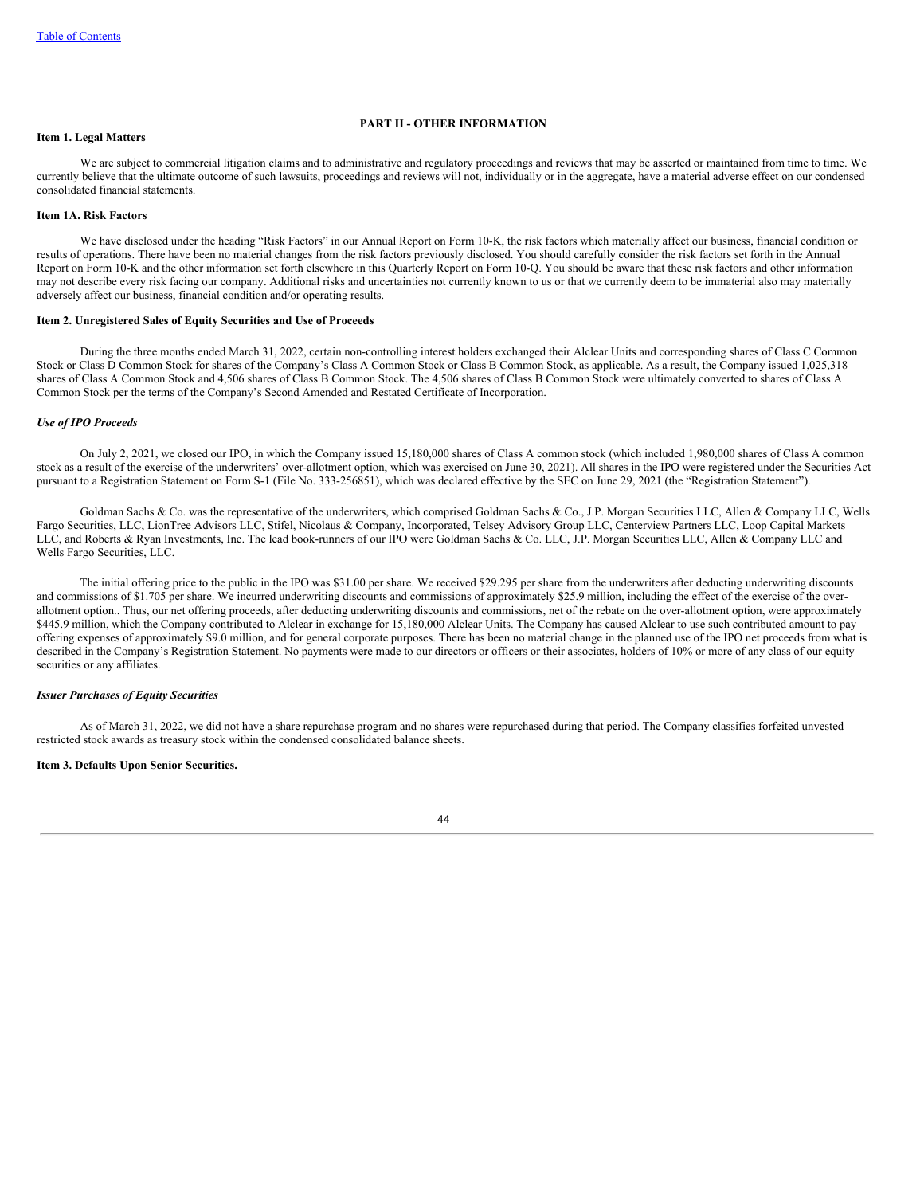# **PART II - OTHER INFORMATION**

#### <span id="page-45-0"></span>**Item 1. Legal Matters**

We are subject to commercial litigation claims and to administrative and regulatory proceedings and reviews that may be asserted or maintained from time to time. We currently believe that the ultimate outcome of such lawsuits, proceedings and reviews will not, individually or in the aggregate, have a material adverse effect on our condensed consolidated financial statements.

# <span id="page-45-1"></span>**Item 1A. Risk Factors**

We have disclosed under the heading "Risk Factors" in our Annual Report on Form 10-K, the risk factors which materially affect our business, financial condition or results of operations. There have been no material changes from the risk factors previously disclosed. You should carefully consider the risk factors set forth in the Annual Report on Form 10-K and the other information set forth elsewhere in this Quarterly Report on Form 10-Q. You should be aware that these risk factors and other information may not describe every risk facing our company. Additional risks and uncertainties not currently known to us or that we currently deem to be immaterial also may materially adversely affect our business, financial condition and/or operating results.

# <span id="page-45-2"></span>**Item 2. Unregistered Sales of Equity Securities and Use of Proceeds**

During the three months ended March 31, 2022, certain non-controlling interest holders exchanged their Alclear Units and corresponding shares of Class C Common Stock or Class D Common Stock for shares of the Company's Class A Common Stock or Class B Common Stock, as applicable. As a result, the Company issued 1,025,318 shares of Class A Common Stock and 4,506 shares of Class B Common Stock. The 4,506 shares of Class B Common Stock were ultimately converted to shares of Class A Common Stock per the terms of the Company's Second Amended and Restated Certificate of Incorporation.

# *Use of IPO Proceeds*

On July 2, 2021, we closed our IPO, in which the Company issued 15,180,000 shares of Class A common stock (which included 1,980,000 shares of Class A common stock as a result of the exercise of the underwriters' over-allotment option, which was exercised on June 30, 2021). All shares in the IPO were registered under the Securities Act pursuant to a Registration Statement on Form S-1 (File No. 333-256851), which was declared effective by the SEC on June 29, 2021 (the "Registration Statement").

Goldman Sachs & Co. was the representative of the underwriters, which comprised Goldman Sachs & Co., J.P. Morgan Securities LLC, Allen & Company LLC, Wells Fargo Securities, LLC, LionTree Advisors LLC, Stifel, Nicolaus & Company, Incorporated, Telsey Advisory Group LLC, Centerview Partners LLC, Loop Capital Markets LLC, and Roberts & Ryan Investments, Inc. The lead book-runners of our IPO were Goldman Sachs & Co. LLC, J.P. Morgan Securities LLC, Allen & Company LLC and Wells Fargo Securities, LLC.

The initial offering price to the public in the IPO was \$31.00 per share. We received \$29.295 per share from the underwriters after deducting underwriting discounts and commissions of \$1.705 per share. We incurred underwriting discounts and commissions of approximately \$25.9 million, including the effect of the exercise of the overallotment option.. Thus, our net offering proceeds, after deducting underwriting discounts and commissions, net of the rebate on the over-allotment option, were approximately \$445.9 million, which the Company contributed to Alclear in exchange for 15,180,000 Alclear Units. The Company has caused Alclear to use such contributed amount to pay offering expenses of approximately \$9.0 million, and for general corporate purposes. There has been no material change in the planned use of the IPO net proceeds from what is described in the Company's Registration Statement. No payments were made to our directors or officers or their associates, holders of 10% or more of any class of our equity securities or any affiliates.

# *Issuer Purchases of Equity Securities*

As of March 31, 2022, we did not have a share repurchase program and no shares were repurchased during that period. The Company classifies forfeited unvested restricted stock awards as treasury stock within the condensed consolidated balance sheets.

# <span id="page-45-3"></span>**Item 3. Defaults Upon Senior Securities.**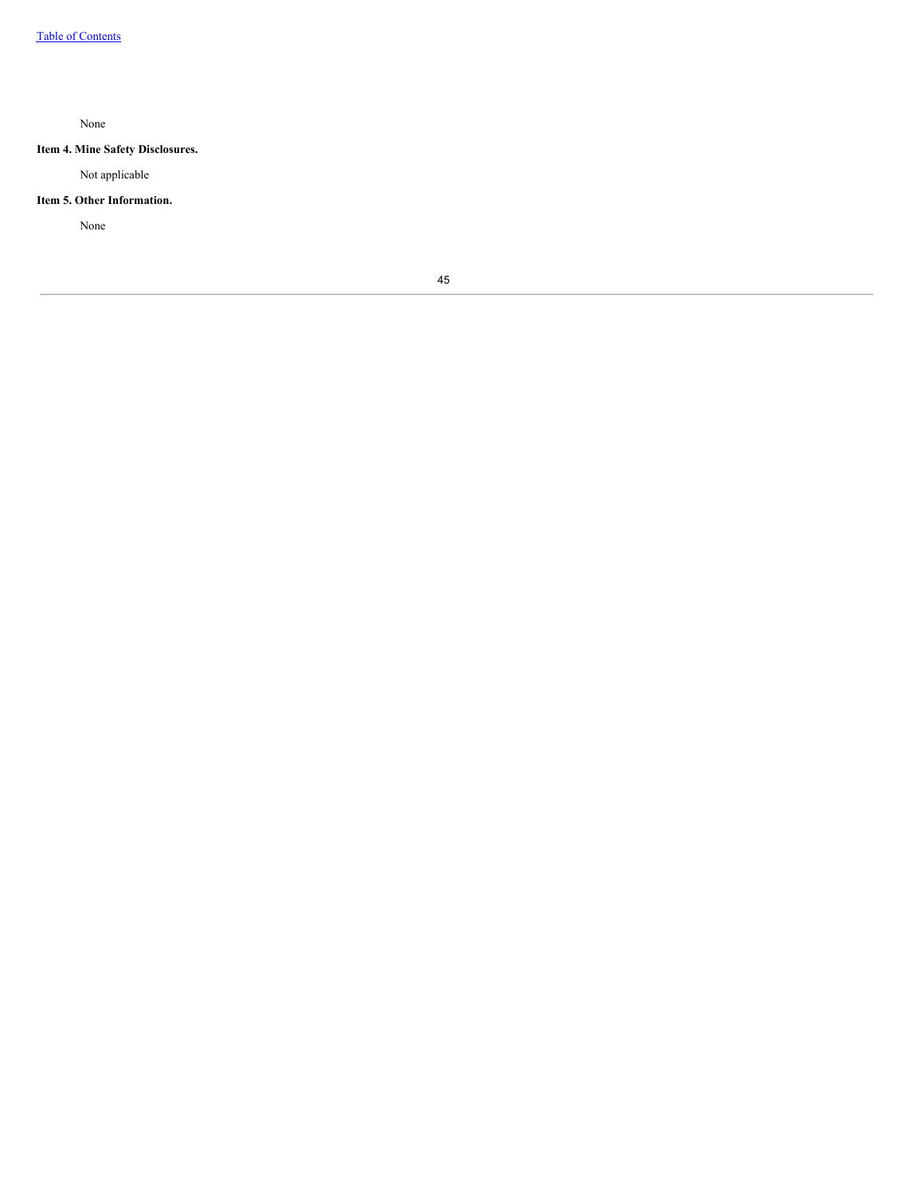None

# <span id="page-46-0"></span>**Item 4. Mine Safety Disclosures.**

Not applicable

# <span id="page-46-1"></span>**Item 5. Other Information.**

<span id="page-46-2"></span>None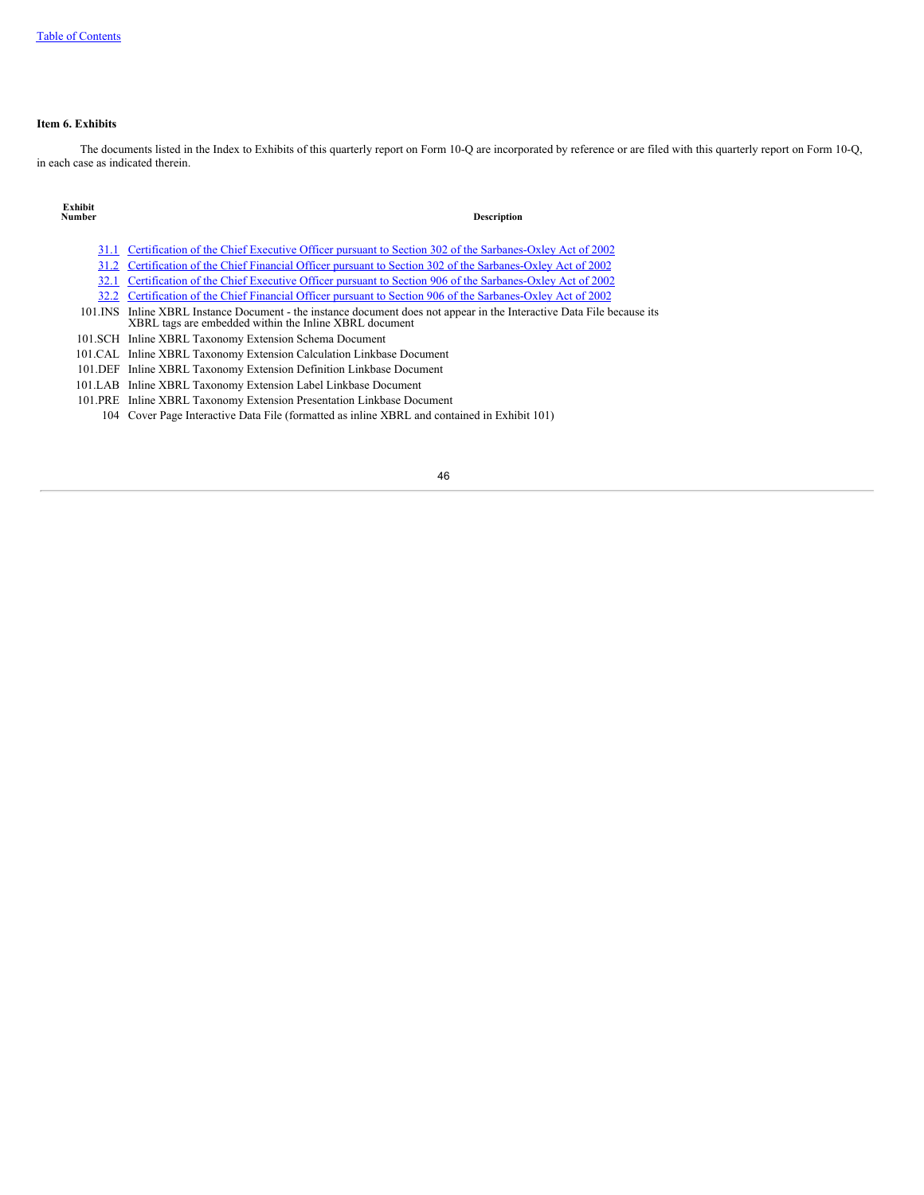# **Item 6. Exhibits**

The documents listed in the Index to Exhibits of this quarterly report on Form 10-Q are incorporated by reference or are filed with this quarterly report on Form 10-Q, in each case as indicated therein.

# **Exhibit**

#### **Description**

- [31.1](#page-49-0) Certification of the Chief Executive Officer pursuant to Section 302 of the [Sarbanes-Oxley](#page-49-0) Act of 2002
- [31.2](#page-50-0) Certification of the Chief Financial Officer pursuant to Section 302 of the [Sarbanes-Oxley](#page-50-0) Act of 2002
- [32.1](#page-51-0) Certification of the Chief Executive Officer pursuant to Section 906 of the [Sarbanes-Oxley](#page-51-0) Act of 2002
- [32.2](#page-52-0) Certification of the Chief Financial Officer pursuant to Section 906 of the [Sarbanes-Oxley](#page-52-0) Act of 2002
- 101.INS Inline XBRL Instance Document the instance document does not appear in the Interactive Data File because its XBRL tags are embedded within the Inline XBRL document
- 101.SCH Inline XBRL Taxonomy Extension Schema Document
- 101.CAL Inline XBRL Taxonomy Extension Calculation Linkbase Document
- 101.DEF Inline XBRL Taxonomy Extension Definition Linkbase Document
- 101.LAB Inline XBRL Taxonomy Extension Label Linkbase Document
- <span id="page-47-0"></span>101.PRE Inline XBRL Taxonomy Extension Presentation Linkbase Document
	- 104 Cover Page Interactive Data File (formatted as inline XBRL and contained in Exhibit 101)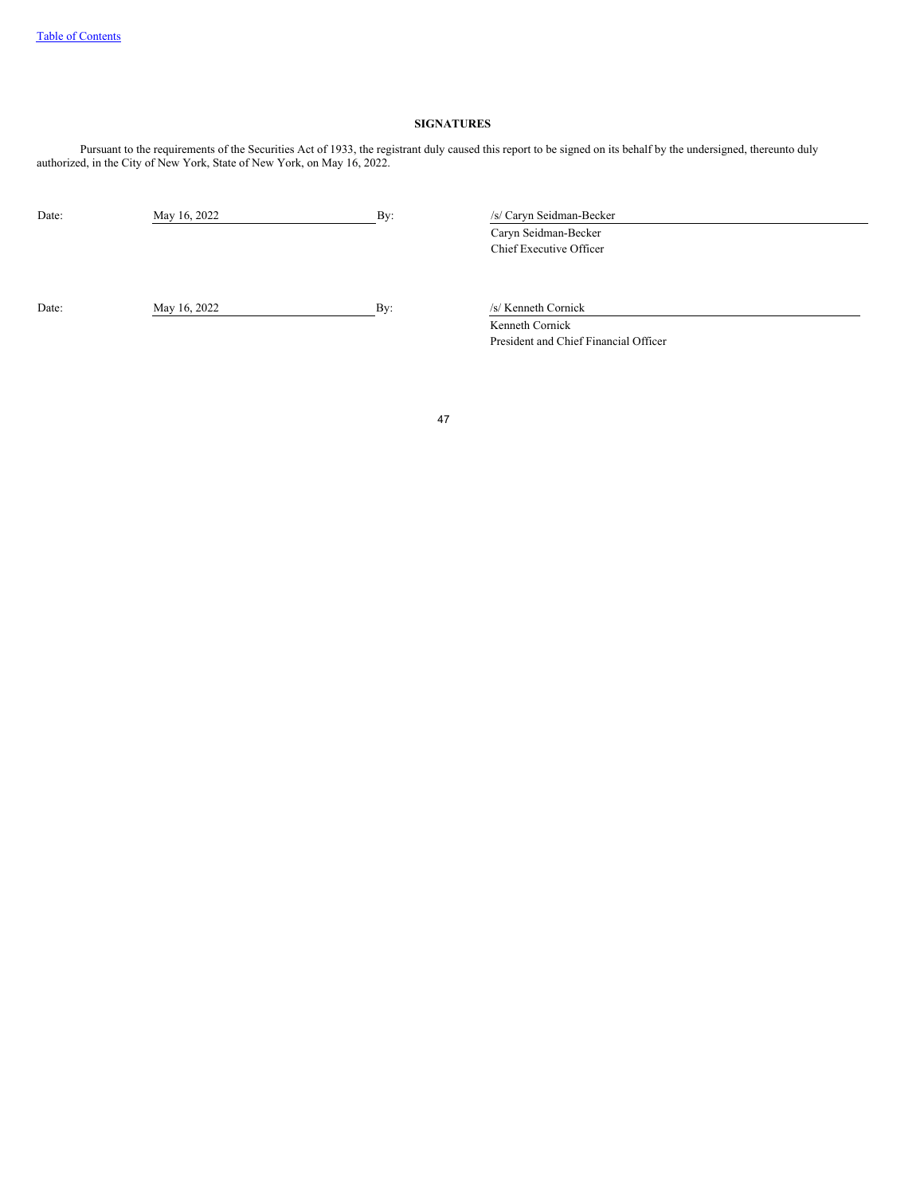# **SIGNATURES**

Pursuant to the requirements of the Securities Act of 1933, the registrant duly caused this report to be signed on its behalf by the undersigned, thereunto duly authorized, in the City of New York, State of New York, on May 16, 2022.

| Date: | May 16, 2022 | By: | /s/ Caryn Seidman-Becker              |  |
|-------|--------------|-----|---------------------------------------|--|
|       |              |     | Caryn Seidman-Becker                  |  |
|       |              |     | Chief Executive Officer               |  |
|       |              |     |                                       |  |
| Date: | May 16, 2022 | By: | /s/ Kenneth Cornick                   |  |
|       |              |     | Kenneth Cornick                       |  |
|       |              |     | President and Chief Financial Officer |  |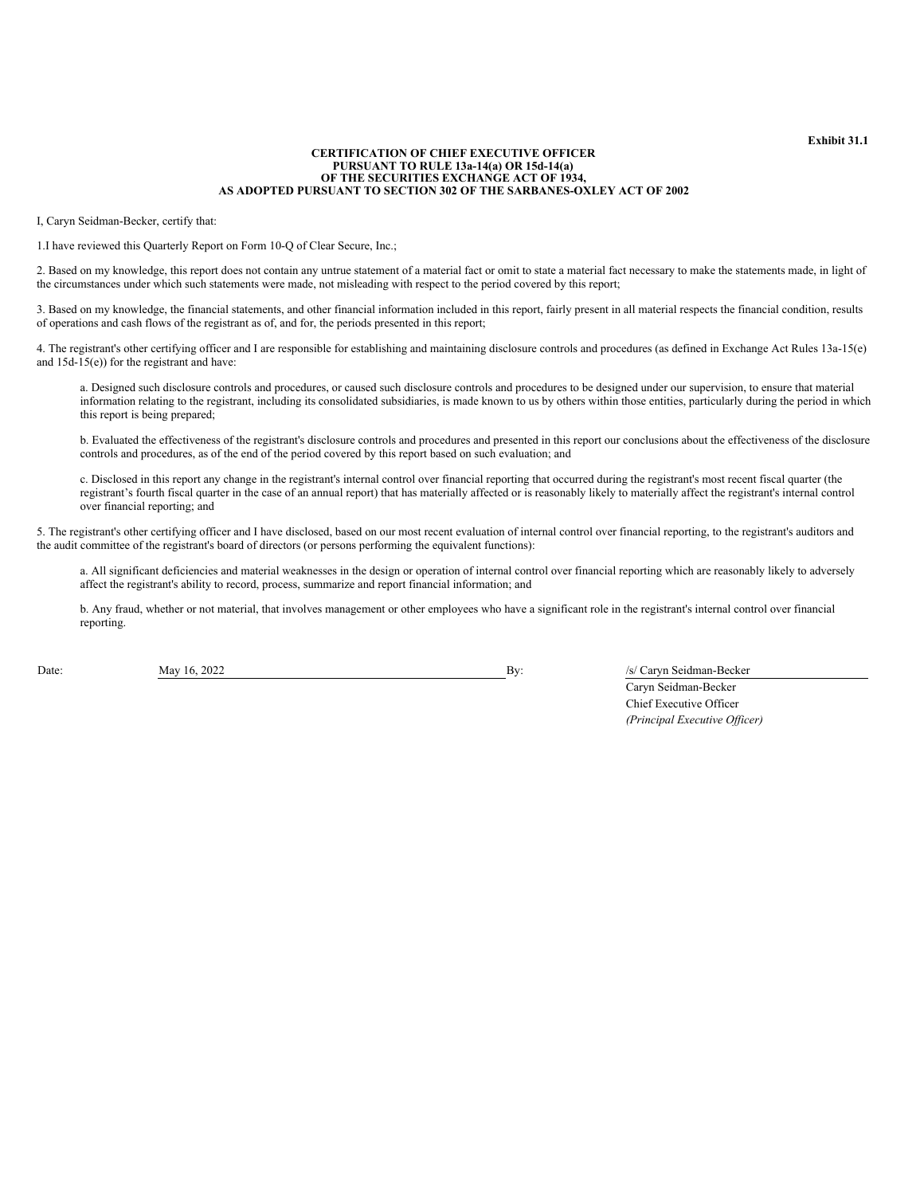**Exhibit 31.1**

#### **CERTIFICATION OF CHIEF EXECUTIVE OFFICER PURSUANT TO RULE 13a-14(a) OR 15d-14(a) OF THE SECURITIES EXCHANGE ACT OF 1934, AS ADOPTED PURSUANT TO SECTION 302 OF THE SARBANES-OXLEY ACT OF 2002**

<span id="page-49-0"></span>I, Caryn Seidman-Becker, certify that:

1.I have reviewed this Quarterly Report on Form 10-Q of Clear Secure, Inc.;

2. Based on my knowledge, this report does not contain any untrue statement of a material fact or omit to state a material fact necessary to make the statements made, in light of the circumstances under which such statements were made, not misleading with respect to the period covered by this report;

3. Based on my knowledge, the financial statements, and other financial information included in this report, fairly present in all material respects the financial condition, results of operations and cash flows of the registrant as of, and for, the periods presented in this report;

4. The registrant's other certifying officer and I are responsible for establishing and maintaining disclosure controls and procedures (as defined in Exchange Act Rules 13a-15(e) and  $15d-15(e)$ ) for the registrant and have:

a. Designed such disclosure controls and procedures, or caused such disclosure controls and procedures to be designed under our supervision, to ensure that material information relating to the registrant, including its consolidated subsidiaries, is made known to us by others within those entities, particularly during the period in which this report is being prepared;

b. Evaluated the effectiveness of the registrant's disclosure controls and procedures and presented in this report our conclusions about the effectiveness of the disclosure controls and procedures, as of the end of the period covered by this report based on such evaluation; and

c. Disclosed in this report any change in the registrant's internal control over financial reporting that occurred during the registrant's most recent fiscal quarter (the registrant's fourth fiscal quarter in the case of an annual report) that has materially affected or is reasonably likely to materially affect the registrant's internal control over financial reporting; and

5. The registrant's other certifying officer and I have disclosed, based on our most recent evaluation of internal control over financial reporting, to the registrant's auditors and the audit committee of the registrant's board of directors (or persons performing the equivalent functions):

a. All significant deficiencies and material weaknesses in the design or operation of internal control over financial reporting which are reasonably likely to adversely affect the registrant's ability to record, process, summarize and report financial information; and

b. Any fraud, whether or not material, that involves management or other employees who have a significant role in the registrant's internal control over financial reporting.

Date: May 16, 2022 May 16, 2022 By: */s/ Caryn Seidman-Becker* By:

Caryn Seidman-Becker Chief Executive Officer *(Principal Executive Of icer)*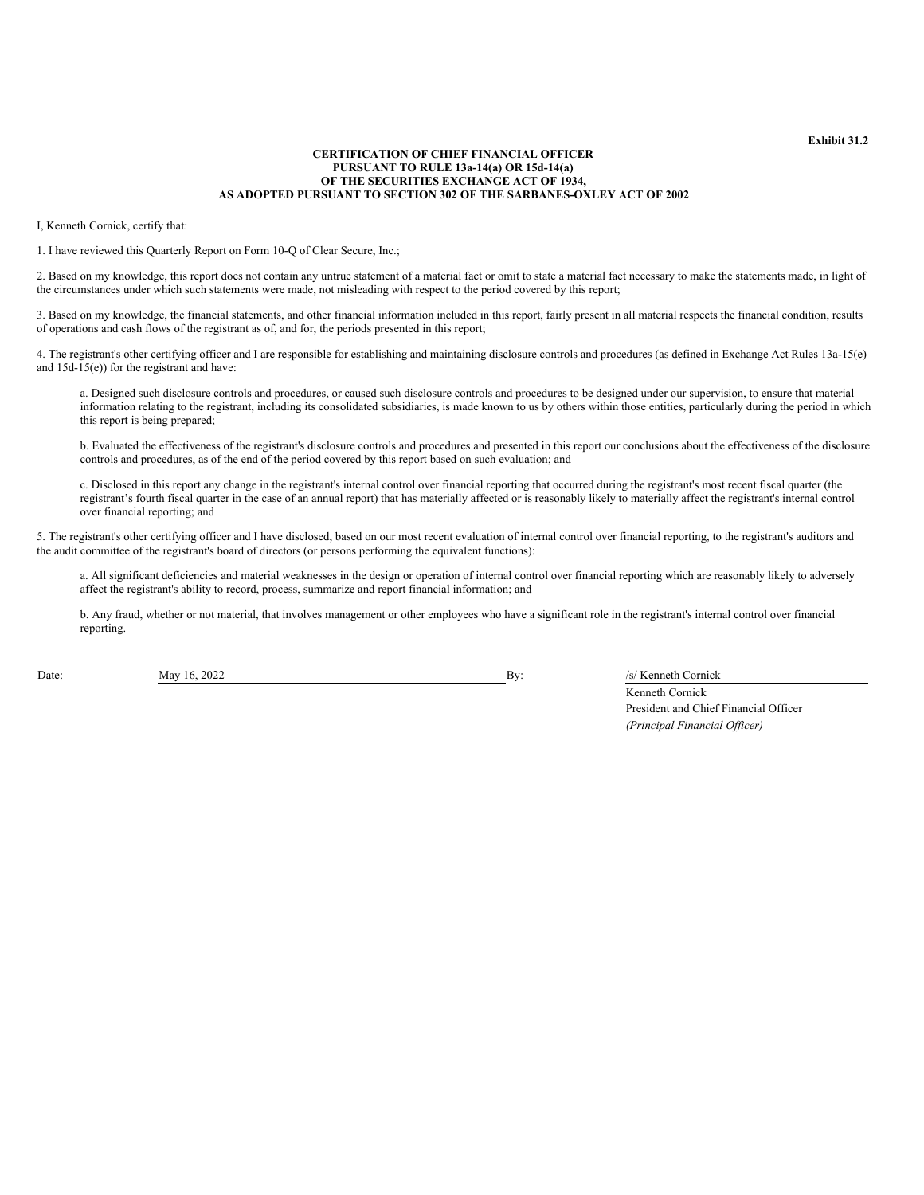**Exhibit 31.2**

# **CERTIFICATION OF CHIEF FINANCIAL OFFICER PURSUANT TO RULE 13a-14(a) OR 15d-14(a) OF THE SECURITIES EXCHANGE ACT OF 1934, AS ADOPTED PURSUANT TO SECTION 302 OF THE SARBANES-OXLEY ACT OF 2002**

<span id="page-50-0"></span>I, Kenneth Cornick, certify that:

1. I have reviewed this Quarterly Report on Form 10-Q of Clear Secure, Inc.;

2. Based on my knowledge, this report does not contain any untrue statement of a material fact or omit to state a material fact necessary to make the statements made, in light of the circumstances under which such statements were made, not misleading with respect to the period covered by this report;

3. Based on my knowledge, the financial statements, and other financial information included in this report, fairly present in all material respects the financial condition, results of operations and cash flows of the registrant as of, and for, the periods presented in this report;

4. The registrant's other certifying officer and I are responsible for establishing and maintaining disclosure controls and procedures (as defined in Exchange Act Rules 13a-15(e) and 15d-15(e)) for the registrant and have:

a. Designed such disclosure controls and procedures, or caused such disclosure controls and procedures to be designed under our supervision, to ensure that material information relating to the registrant, including its consolidated subsidiaries, is made known to us by others within those entities, particularly during the period in which this report is being prepared;

b. Evaluated the effectiveness of the registrant's disclosure controls and procedures and presented in this report our conclusions about the effectiveness of the disclosure controls and procedures, as of the end of the period covered by this report based on such evaluation; and

c. Disclosed in this report any change in the registrant's internal control over financial reporting that occurred during the registrant's most recent fiscal quarter (the registrant's fourth fiscal quarter in the case of an annual report) that has materially affected or is reasonably likely to materially affect the registrant's internal control over financial reporting; and

5. The registrant's other certifying officer and I have disclosed, based on our most recent evaluation of internal control over financial reporting, to the registrant's auditors and the audit committee of the registrant's board of directors (or persons performing the equivalent functions):

a. All significant deficiencies and material weaknesses in the design or operation of internal control over financial reporting which are reasonably likely to adversely affect the registrant's ability to record, process, summarize and report financial information; and

b. Any fraud, whether or not material, that involves management or other employees who have a significant role in the registrant's internal control over financial reporting.

Date: May 16, 2022 May 16, 2022 By: */s/ Kenneth Cornick* By:

Kenneth Cornick President and Chief Financial Officer *(Principal Financial Of icer)*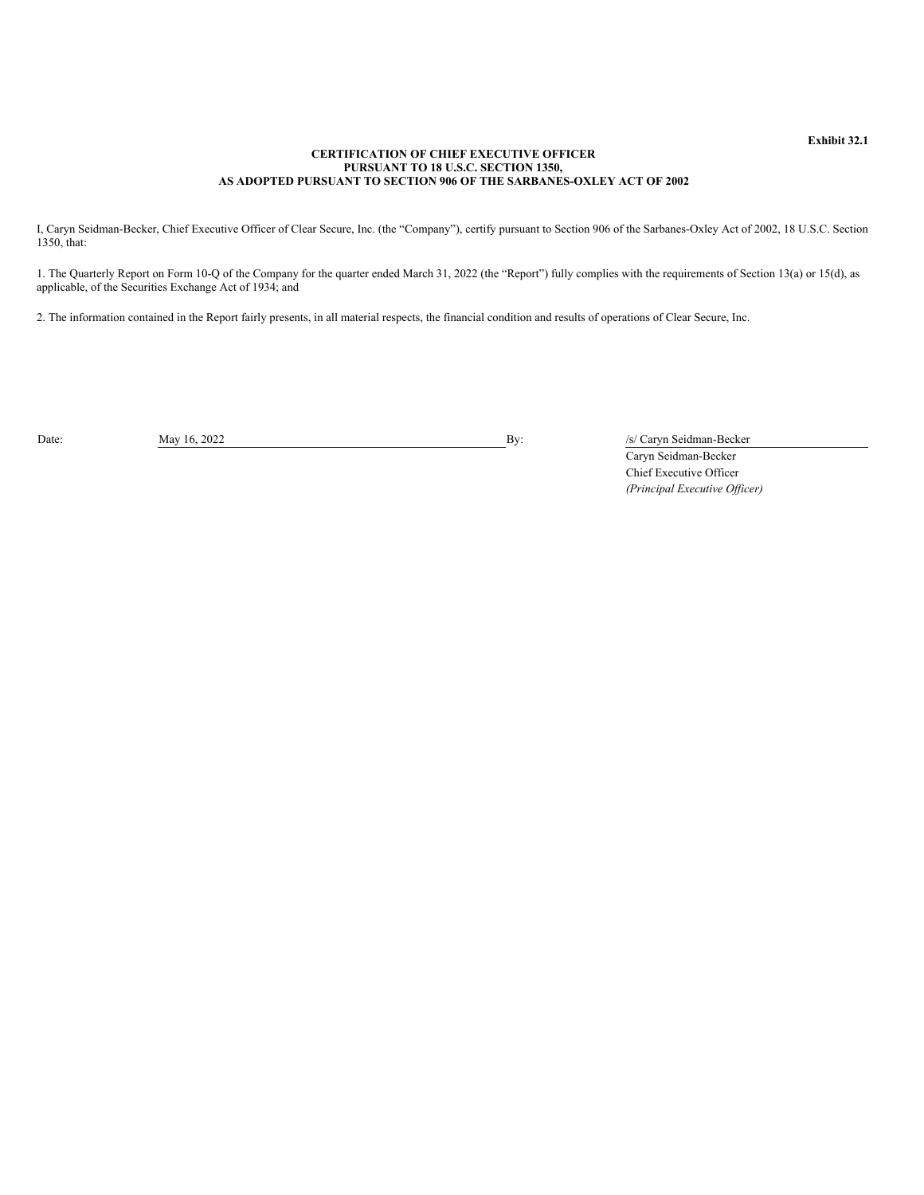# **CERTIFICATION OF CHIEF EXECUTIVE OFFICER PURSUANT TO 18 U.S.C. SECTION 1350, AS ADOPTED PURSUANT TO SECTION 906 OF THE SARBANES-OXLEY ACT OF 2002**

<span id="page-51-0"></span>I, Caryn Seidman-Becker, Chief Executive Officer of Clear Secure, Inc. (the "Company"), certify pursuant to Section 906 of the Sarbanes-Oxley Act of 2002, 18 U.S.C. Section 1350, that:

1. The Quarterly Report on Form 10-Q of the Company for the quarter ended March 31, 2022 (the "Report") fully complies with the requirements of Section 13(a) or 15(d), as applicable, of the Securities Exchange Act of 1934; and

2. The information contained in the Report fairly presents, in all material respects, the financial condition and results of operations of Clear Secure, Inc.

Date: May 16, 2022 May 16, 2022 By: */s/ Caryn Seidman-Becker* Caryn Seidman-Becker Chief Executive Officer *(Principal Executive Of icer)*